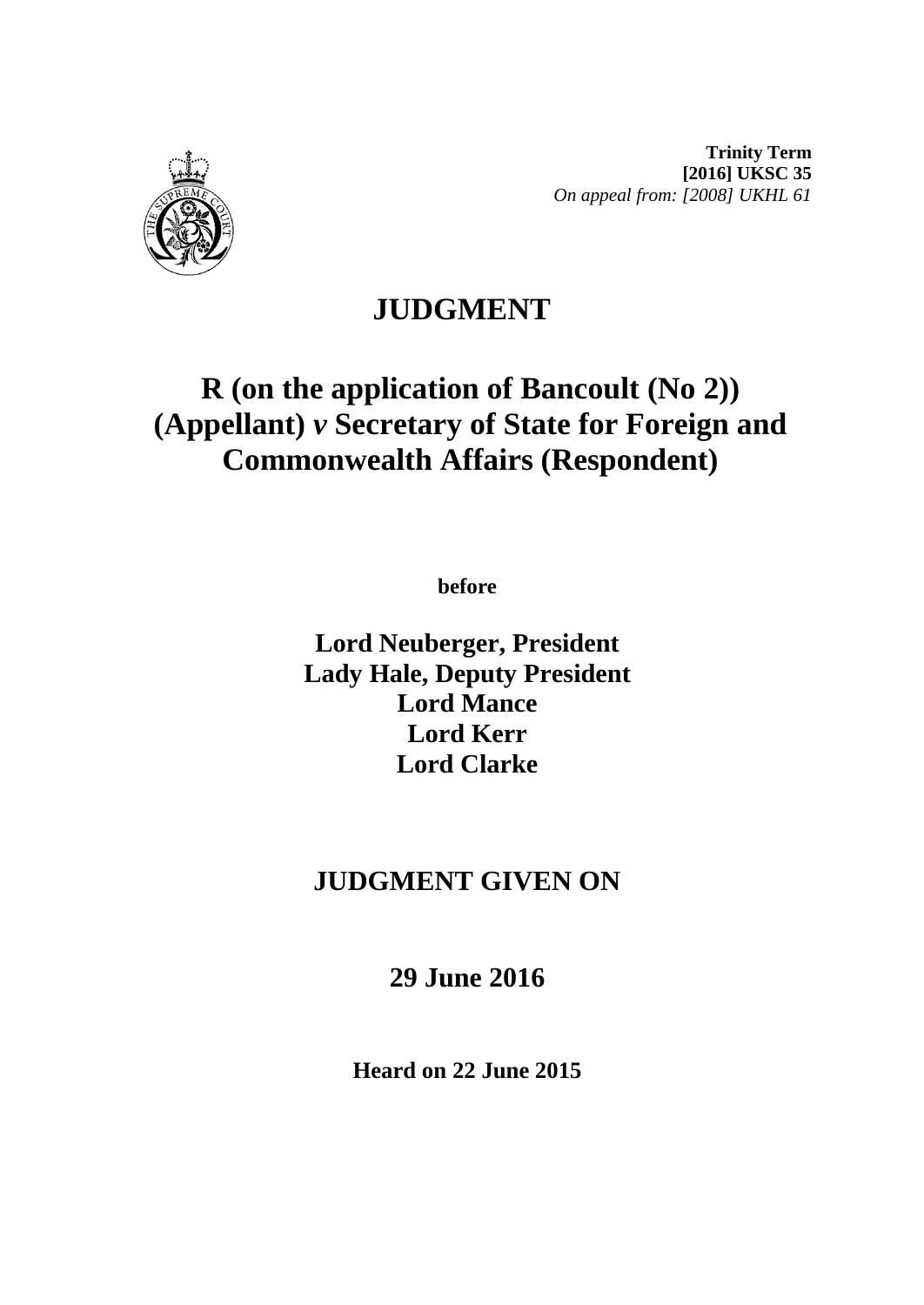

## **JUDGMENT**

# **R (on the application of Bancoult (No 2)) (Appellant)** *v* **Secretary of State for Foreign and Commonwealth Affairs (Respondent)**

**before** 

**Lord Neuberger, President Lady Hale, Deputy President Lord Mance Lord Kerr Lord Clarke**

## **JUDGMENT GIVEN ON**

**29 June 2016**

**Heard on 22 June 2015**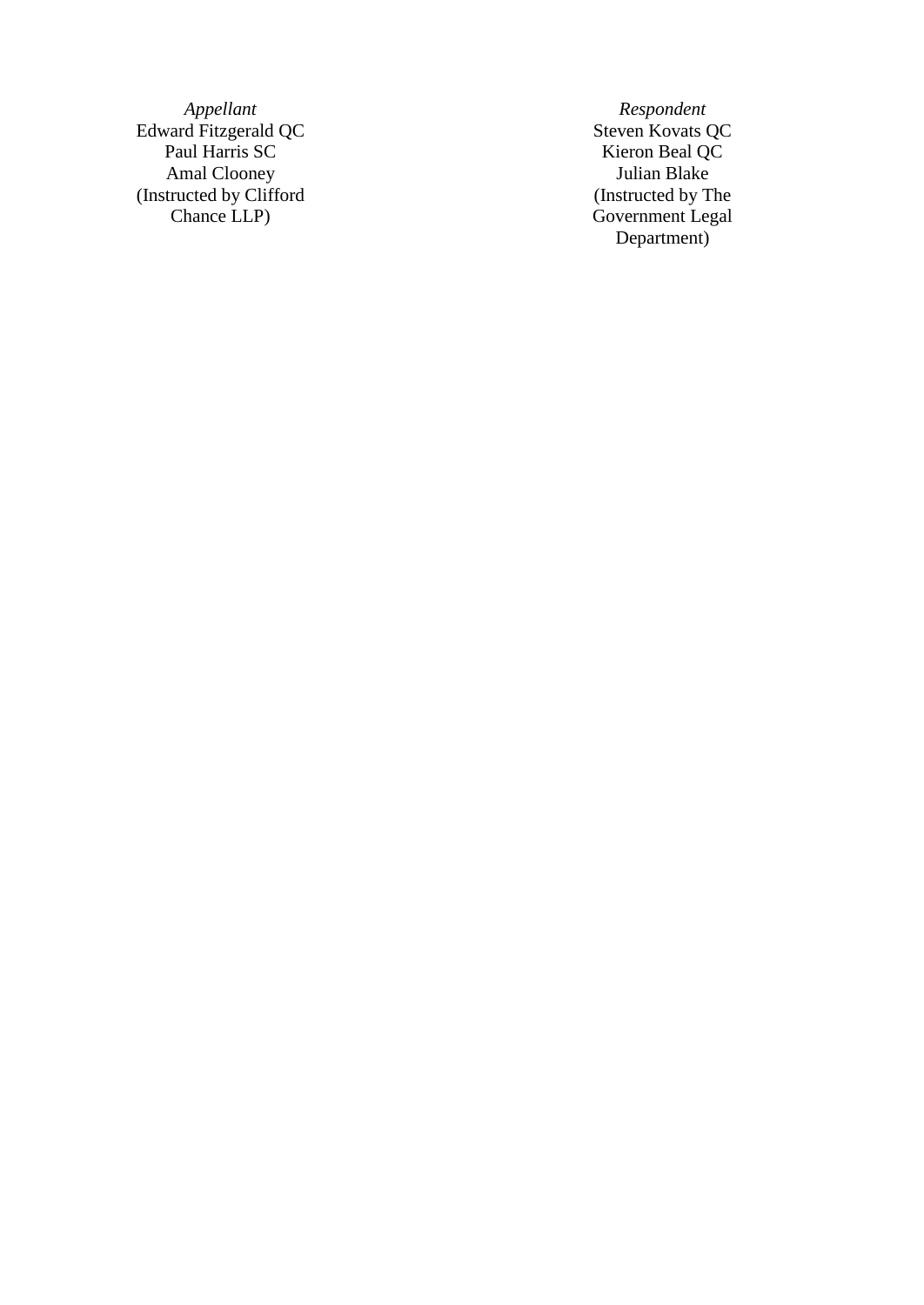Edward Fitzgerald QC<br>Paul Harris SC Amal Clooney **Iulian Blake** (Instructed by Clifford Chance LLP )

*Appellant*<br> *Respondent*<br> **Respondent**<br> **Respondent**<br> **Respondent**<br> **Respondent**<br> **Respondent**<br> **Steven Kovats QC** Kieron Beal QC<br>Julian Blake (Instructed by The Government Legal Department )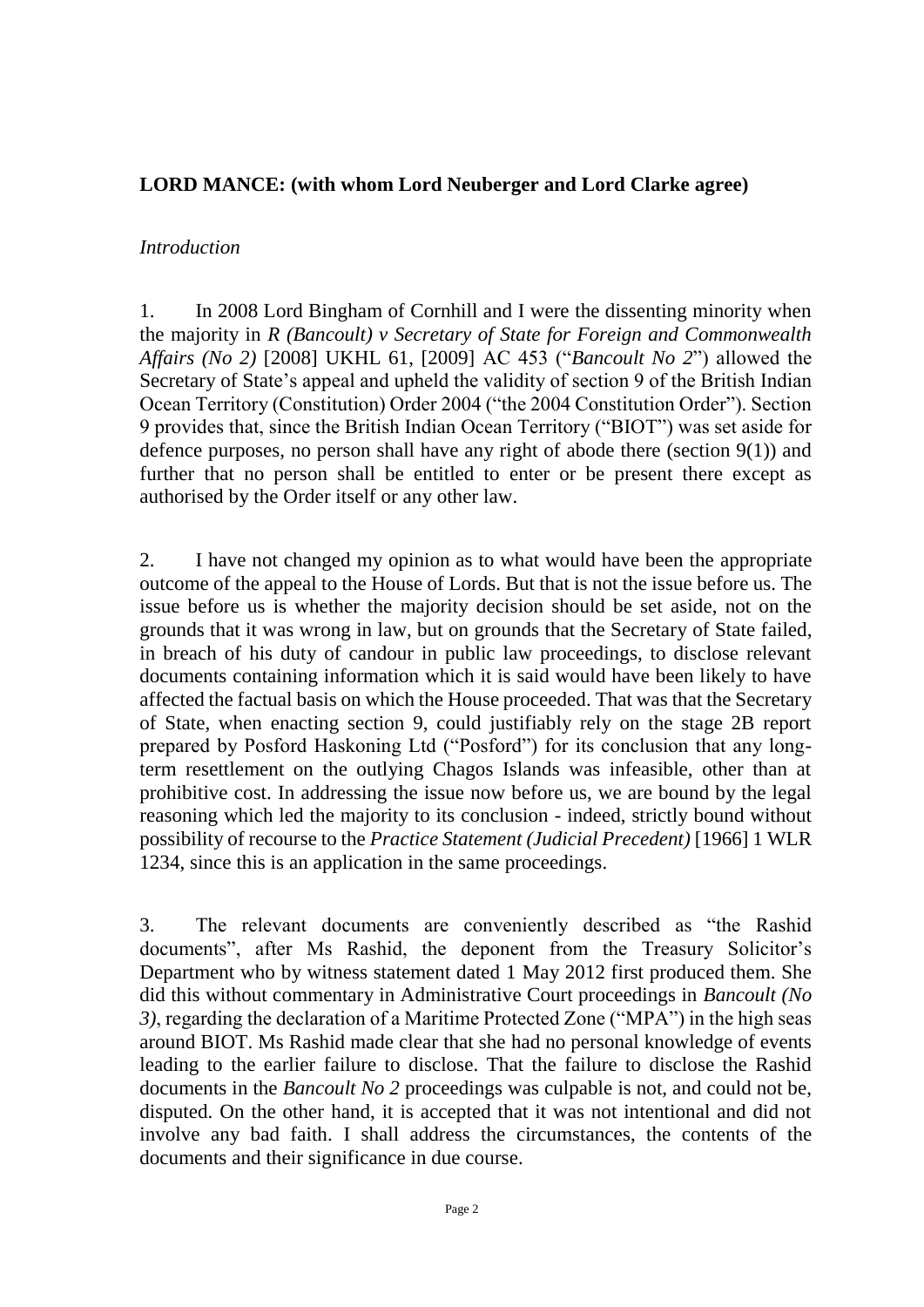#### **LORD MANCE: (with whom Lord Neuberger and Lord Clarke agree)**

#### *Introduction*

1. In 2008 Lord Bingham of Cornhill and I were the dissenting minority when the majority in *R (Bancoult) v Secretary of State for Foreign and Commonwealth Affairs (No 2)* [2008] UKHL 61, [2009] AC 453 ("*Bancoult No 2*") allowed the Secretary of State's appeal and upheld the validity of section 9 of the British Indian Ocean Territory (Constitution) Order 2004 ("the 2004 Constitution Order"). Section 9 provides that, since the British Indian Ocean Territory ("BIOT") was set aside for defence purposes, no person shall have any right of abode there (section 9(1)) and further that no person shall be entitled to enter or be present there except as authorised by the Order itself or any other law.

2. I have not changed my opinion as to what would have been the appropriate outcome of the appeal to the House of Lords. But that is not the issue before us. The issue before us is whether the majority decision should be set aside, not on the grounds that it was wrong in law, but on grounds that the Secretary of State failed, in breach of his duty of candour in public law proceedings, to disclose relevant documents containing information which it is said would have been likely to have affected the factual basis on which the House proceeded. That was that the Secretary of State, when enacting section 9, could justifiably rely on the stage 2B report prepared by Posford Haskoning Ltd ("Posford") for its conclusion that any longterm resettlement on the outlying Chagos Islands was infeasible, other than at prohibitive cost. In addressing the issue now before us, we are bound by the legal reasoning which led the majority to its conclusion - indeed, strictly bound without possibility of recourse to the *Practice Statement (Judicial Precedent)* [1966] 1 WLR 1234, since this is an application in the same proceedings.

3. The relevant documents are conveniently described as "the Rashid documents", after Ms Rashid, the deponent from the Treasury Solicitor's Department who by witness statement dated 1 May 2012 first produced them. She did this without commentary in Administrative Court proceedings in *Bancoult (No 3)*, regarding the declaration of a Maritime Protected Zone ("MPA") in the high seas around BIOT. Ms Rashid made clear that she had no personal knowledge of events leading to the earlier failure to disclose. That the failure to disclose the Rashid documents in the *Bancoult No 2* proceedings was culpable is not, and could not be, disputed. On the other hand, it is accepted that it was not intentional and did not involve any bad faith. I shall address the circumstances, the contents of the documents and their significance in due course.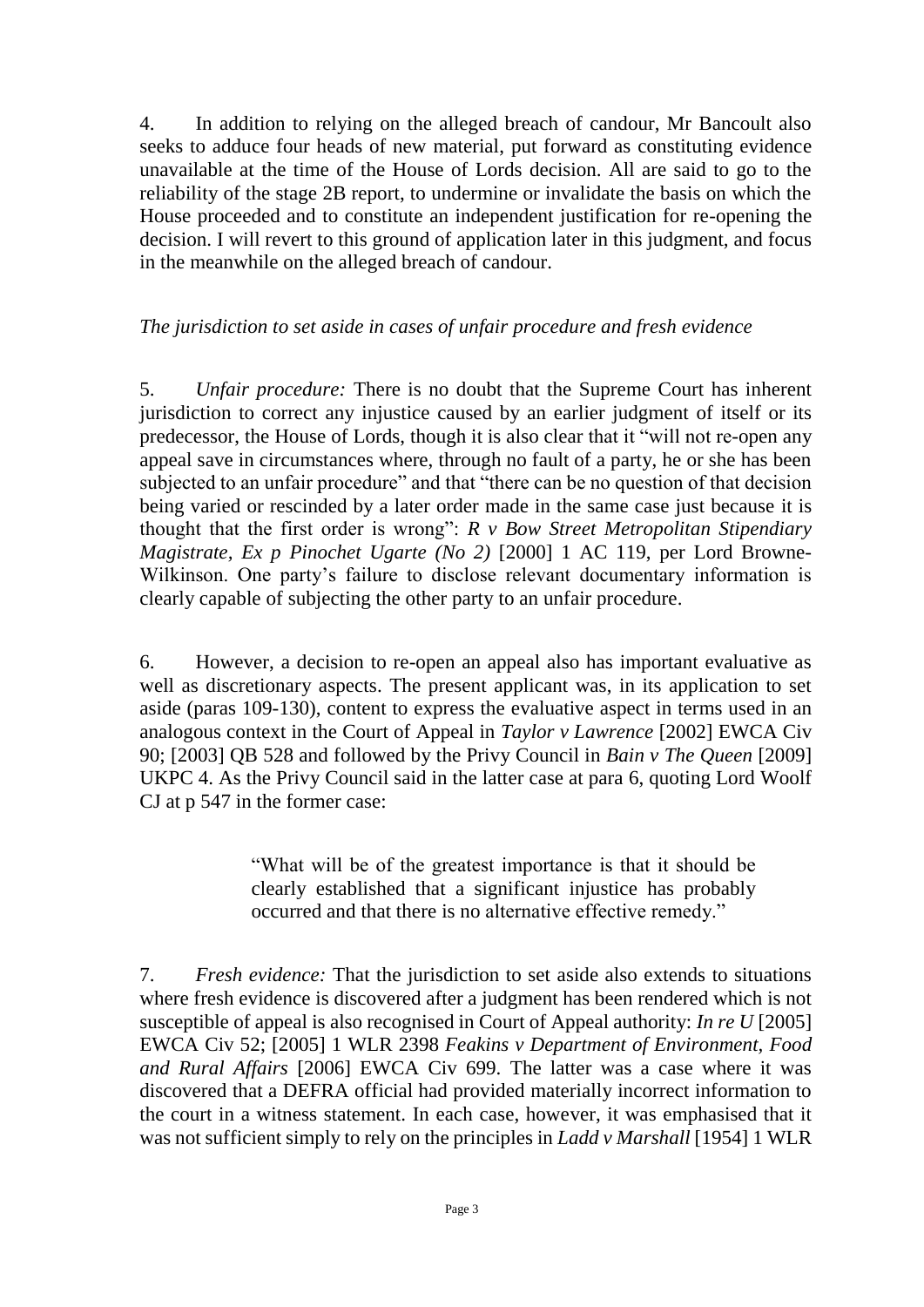4. In addition to relying on the alleged breach of candour, Mr Bancoult also seeks to adduce four heads of new material, put forward as constituting evidence unavailable at the time of the House of Lords decision. All are said to go to the reliability of the stage 2B report, to undermine or invalidate the basis on which the House proceeded and to constitute an independent justification for re-opening the decision. I will revert to this ground of application later in this judgment, and focus in the meanwhile on the alleged breach of candour.

## *The jurisdiction to set aside in cases of unfair procedure and fresh evidence*

5. *Unfair procedure:* There is no doubt that the Supreme Court has inherent jurisdiction to correct any injustice caused by an earlier judgment of itself or its predecessor, the House of Lords, though it is also clear that it "will not re-open any appeal save in circumstances where, through no fault of a party, he or she has been subjected to an unfair procedure" and that "there can be no question of that decision being varied or rescinded by a later order made in the same case just because it is thought that the first order is wrong": *R v Bow Street Metropolitan Stipendiary Magistrate, Ex p Pinochet Ugarte (No 2)* [2000] 1 AC 119, per Lord Browne-Wilkinson. One party's failure to disclose relevant documentary information is clearly capable of subjecting the other party to an unfair procedure.

6. However, a decision to re-open an appeal also has important evaluative as well as discretionary aspects. The present applicant was, in its application to set aside (paras 109-130), content to express the evaluative aspect in terms used in an analogous context in the Court of Appeal in *Taylor v Lawrence* [2002] EWCA Civ 90; [2003] QB 528 and followed by the Privy Council in *Bain v The Queen* [2009] UKPC 4. As the Privy Council said in the latter case at para 6, quoting Lord Woolf CJ at p 547 in the former case:

> "What will be of the greatest importance is that it should be clearly established that a significant injustice has probably occurred and that there is no alternative effective remedy."

7. *Fresh evidence:* That the jurisdiction to set aside also extends to situations where fresh evidence is discovered after a judgment has been rendered which is not susceptible of appeal is also recognised in Court of Appeal authority: *In re U* [2005] EWCA Civ 52; [2005] 1 WLR 2398 *Feakins v Department of Environment, Food and Rural Affairs* [2006] EWCA Civ 699. The latter was a case where it was discovered that a DEFRA official had provided materially incorrect information to the court in a witness statement. In each case, however, it was emphasised that it was not sufficient simply to rely on the principles in *Ladd v Marshall* [1954] 1 WLR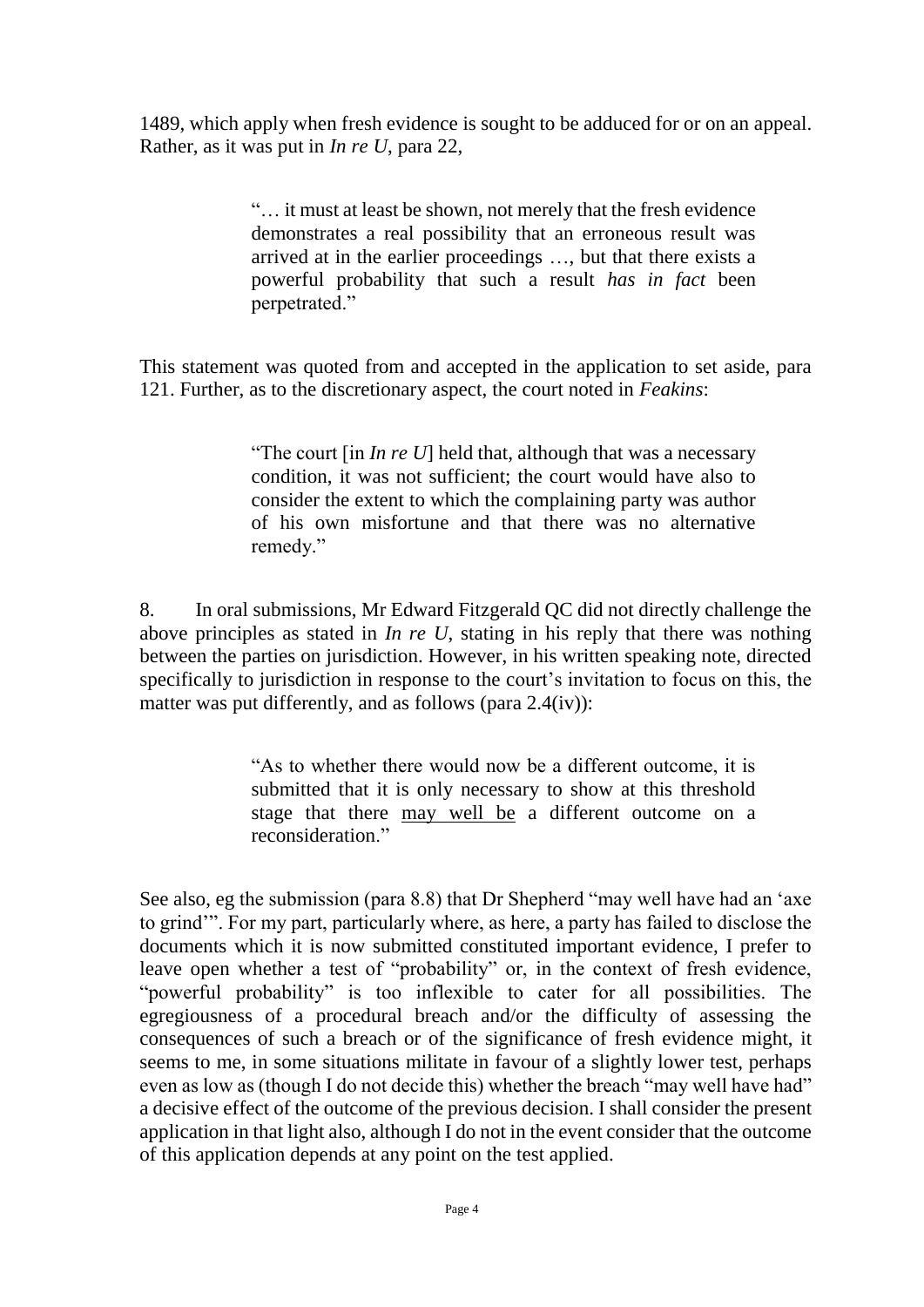1489, which apply when fresh evidence is sought to be adduced for or on an appeal. Rather, as it was put in *In re U*, para 22,

> "… it must at least be shown, not merely that the fresh evidence demonstrates a real possibility that an erroneous result was arrived at in the earlier proceedings …, but that there exists a powerful probability that such a result *has in fact* been perpetrated."

This statement was quoted from and accepted in the application to set aside, para 121. Further, as to the discretionary aspect, the court noted in *Feakins*:

> "The court [in *In re U*] held that, although that was a necessary condition, it was not sufficient; the court would have also to consider the extent to which the complaining party was author of his own misfortune and that there was no alternative remedy."

8. In oral submissions, Mr Edward Fitzgerald QC did not directly challenge the above principles as stated in *In re U*, stating in his reply that there was nothing between the parties on jurisdiction. However, in his written speaking note, directed specifically to jurisdiction in response to the court's invitation to focus on this, the matter was put differently, and as follows (para 2.4(iv)):

> "As to whether there would now be a different outcome, it is submitted that it is only necessary to show at this threshold stage that there may well be a different outcome on a reconsideration."

See also, eg the submission (para 8.8) that Dr Shepherd "may well have had an 'axe to grind'". For my part, particularly where, as here, a party has failed to disclose the documents which it is now submitted constituted important evidence, I prefer to leave open whether a test of "probability" or, in the context of fresh evidence, "powerful probability" is too inflexible to cater for all possibilities. The egregiousness of a procedural breach and/or the difficulty of assessing the consequences of such a breach or of the significance of fresh evidence might, it seems to me, in some situations militate in favour of a slightly lower test, perhaps even as low as (though I do not decide this) whether the breach "may well have had" a decisive effect of the outcome of the previous decision. I shall consider the present application in that light also, although I do not in the event consider that the outcome of this application depends at any point on the test applied.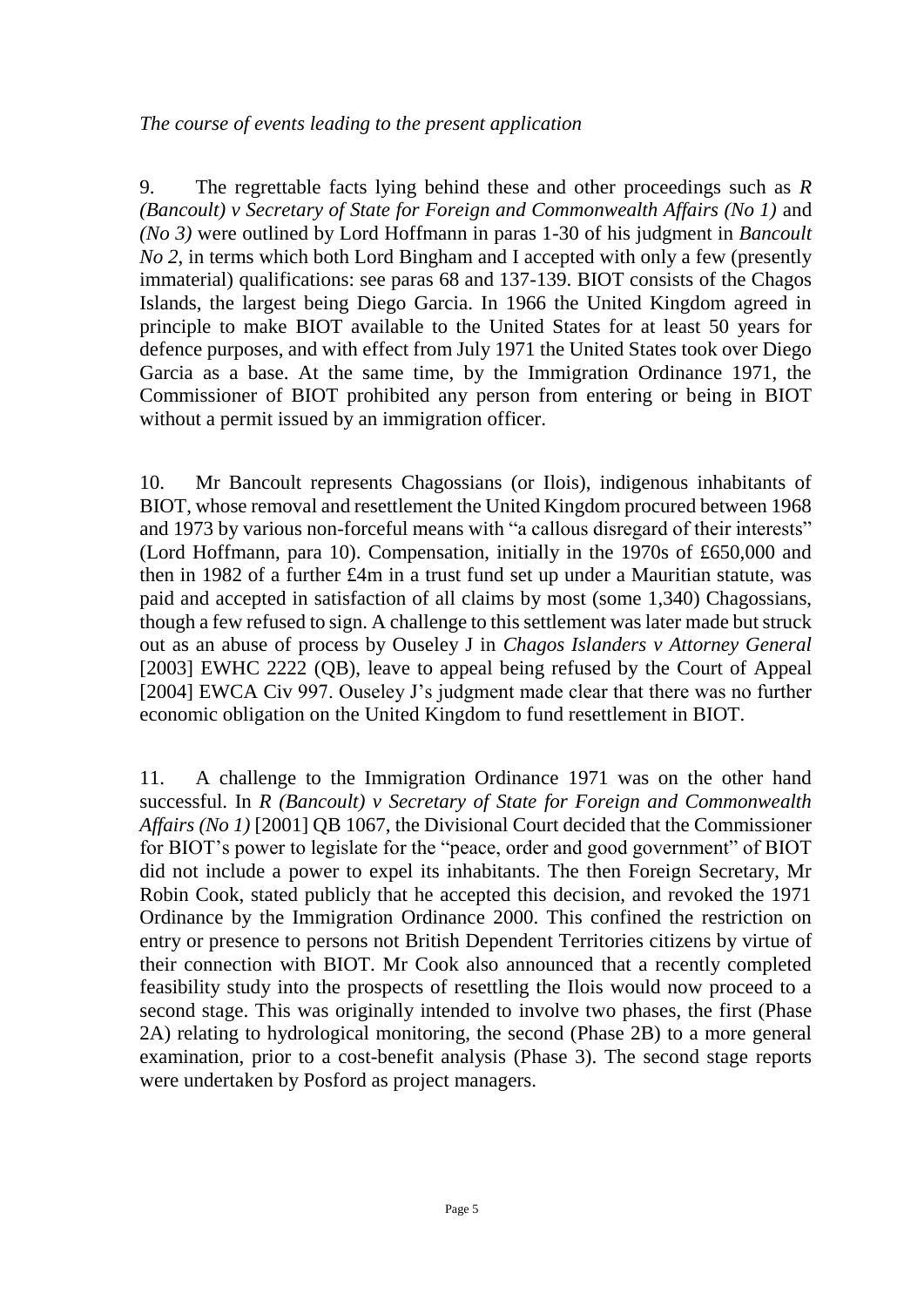9. The regrettable facts lying behind these and other proceedings such as *R (Bancoult) v Secretary of State for Foreign and Commonwealth Affairs (No 1)* and *(No 3)* were outlined by Lord Hoffmann in paras 1-30 of his judgment in *Bancoult No 2*, in terms which both Lord Bingham and I accepted with only a few (presently immaterial) qualifications: see paras 68 and 137-139. BIOT consists of the Chagos Islands, the largest being Diego Garcia. In 1966 the United Kingdom agreed in principle to make BIOT available to the United States for at least 50 years for defence purposes, and with effect from July 1971 the United States took over Diego Garcia as a base. At the same time, by the Immigration Ordinance 1971, the Commissioner of BIOT prohibited any person from entering or being in BIOT without a permit issued by an immigration officer.

10. Mr Bancoult represents Chagossians (or Ilois), indigenous inhabitants of BIOT, whose removal and resettlement the United Kingdom procured between 1968 and 1973 by various non-forceful means with "a callous disregard of their interests" (Lord Hoffmann, para 10). Compensation, initially in the 1970s of £650,000 and then in 1982 of a further £4m in a trust fund set up under a Mauritian statute, was paid and accepted in satisfaction of all claims by most (some 1,340) Chagossians, though a few refused to sign. A challenge to this settlement was later made but struck out as an abuse of process by Ouseley J in *Chagos Islanders v Attorney General*  [2003] EWHC 2222 (QB), leave to appeal being refused by the Court of Appeal [2004] EWCA Civ 997. Ouseley J's judgment made clear that there was no further economic obligation on the United Kingdom to fund resettlement in BIOT.

11. A challenge to the Immigration Ordinance 1971 was on the other hand successful. In *R (Bancoult) v Secretary of State for Foreign and Commonwealth Affairs (No 1)* [2001] OB 1067, the Divisional Court decided that the Commissioner for BIOT's power to legislate for the "peace, order and good government" of BIOT did not include a power to expel its inhabitants. The then Foreign Secretary, Mr Robin Cook, stated publicly that he accepted this decision, and revoked the 1971 Ordinance by the Immigration Ordinance 2000. This confined the restriction on entry or presence to persons not British Dependent Territories citizens by virtue of their connection with BIOT. Mr Cook also announced that a recently completed feasibility study into the prospects of resettling the Ilois would now proceed to a second stage. This was originally intended to involve two phases, the first (Phase 2A) relating to hydrological monitoring, the second (Phase 2B) to a more general examination, prior to a cost-benefit analysis (Phase 3). The second stage reports were undertaken by Posford as project managers.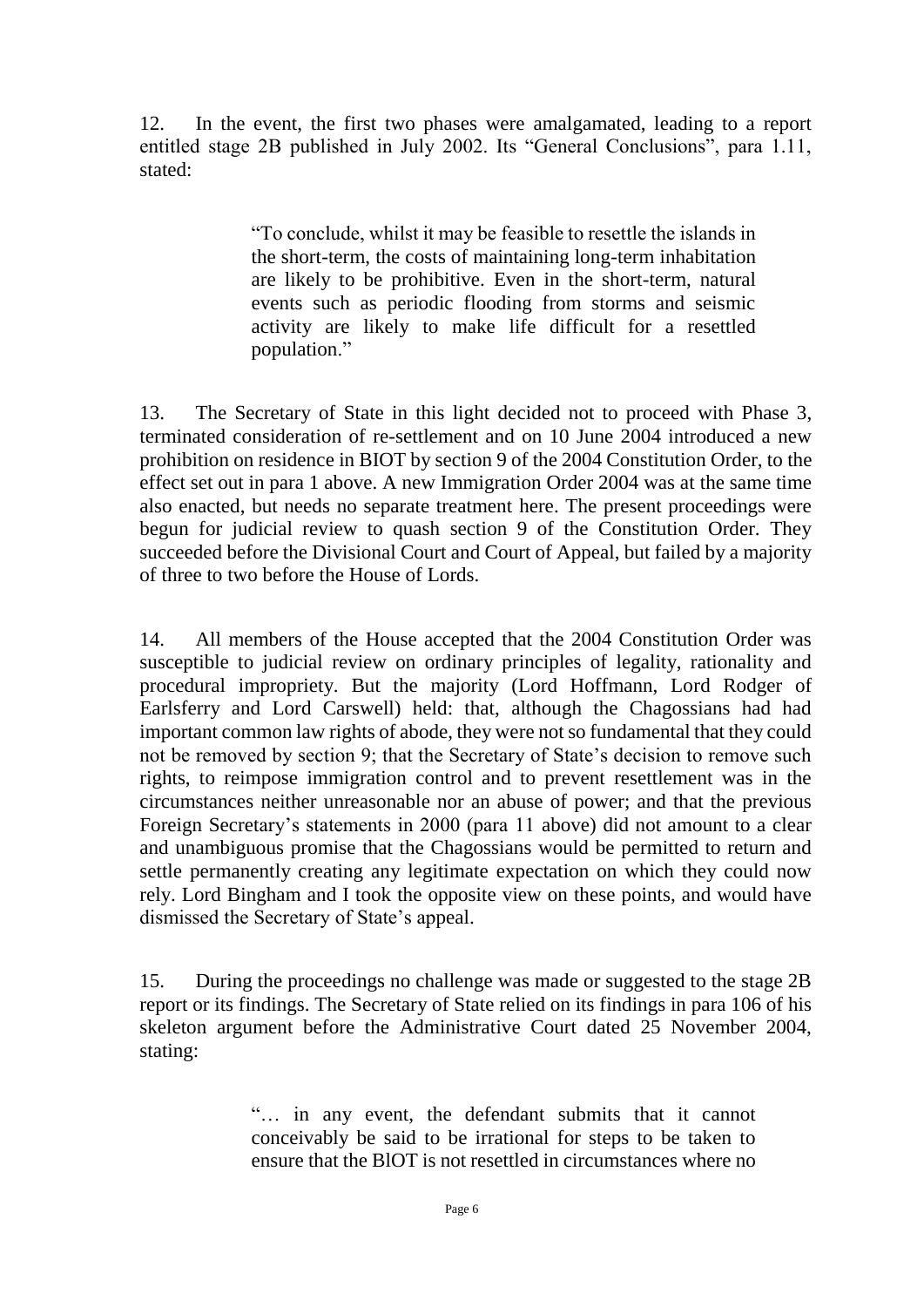12. In the event, the first two phases were amalgamated, leading to a report entitled stage 2B published in July 2002. Its "General Conclusions", para 1.11, stated:

> "To conclude, whilst it may be feasible to resettle the islands in the short-term, the costs of maintaining long-term inhabitation are likely to be prohibitive. Even in the short-term, natural events such as periodic flooding from storms and seismic activity are likely to make life difficult for a resettled population."

13. The Secretary of State in this light decided not to proceed with Phase 3, terminated consideration of re-settlement and on 10 June 2004 introduced a new prohibition on residence in BIOT by section 9 of the 2004 Constitution Order, to the effect set out in para 1 above. A new Immigration Order 2004 was at the same time also enacted, but needs no separate treatment here. The present proceedings were begun for judicial review to quash section 9 of the Constitution Order. They succeeded before the Divisional Court and Court of Appeal, but failed by a majority of three to two before the House of Lords.

14. All members of the House accepted that the 2004 Constitution Order was susceptible to judicial review on ordinary principles of legality, rationality and procedural impropriety. But the majority (Lord Hoffmann, Lord Rodger of Earlsferry and Lord Carswell) held: that, although the Chagossians had had important common law rights of abode, they were not so fundamental that they could not be removed by section 9; that the Secretary of State's decision to remove such rights, to reimpose immigration control and to prevent resettlement was in the circumstances neither unreasonable nor an abuse of power; and that the previous Foreign Secretary's statements in 2000 (para 11 above) did not amount to a clear and unambiguous promise that the Chagossians would be permitted to return and settle permanently creating any legitimate expectation on which they could now rely. Lord Bingham and I took the opposite view on these points, and would have dismissed the Secretary of State's appeal.

15. During the proceedings no challenge was made or suggested to the stage 2B report or its findings. The Secretary of State relied on its findings in para 106 of his skeleton argument before the Administrative Court dated 25 November 2004, stating:

> "… in any event, the defendant submits that it cannot conceivably be said to be irrational for steps to be taken to ensure that the BlOT is not resettled in circumstances where no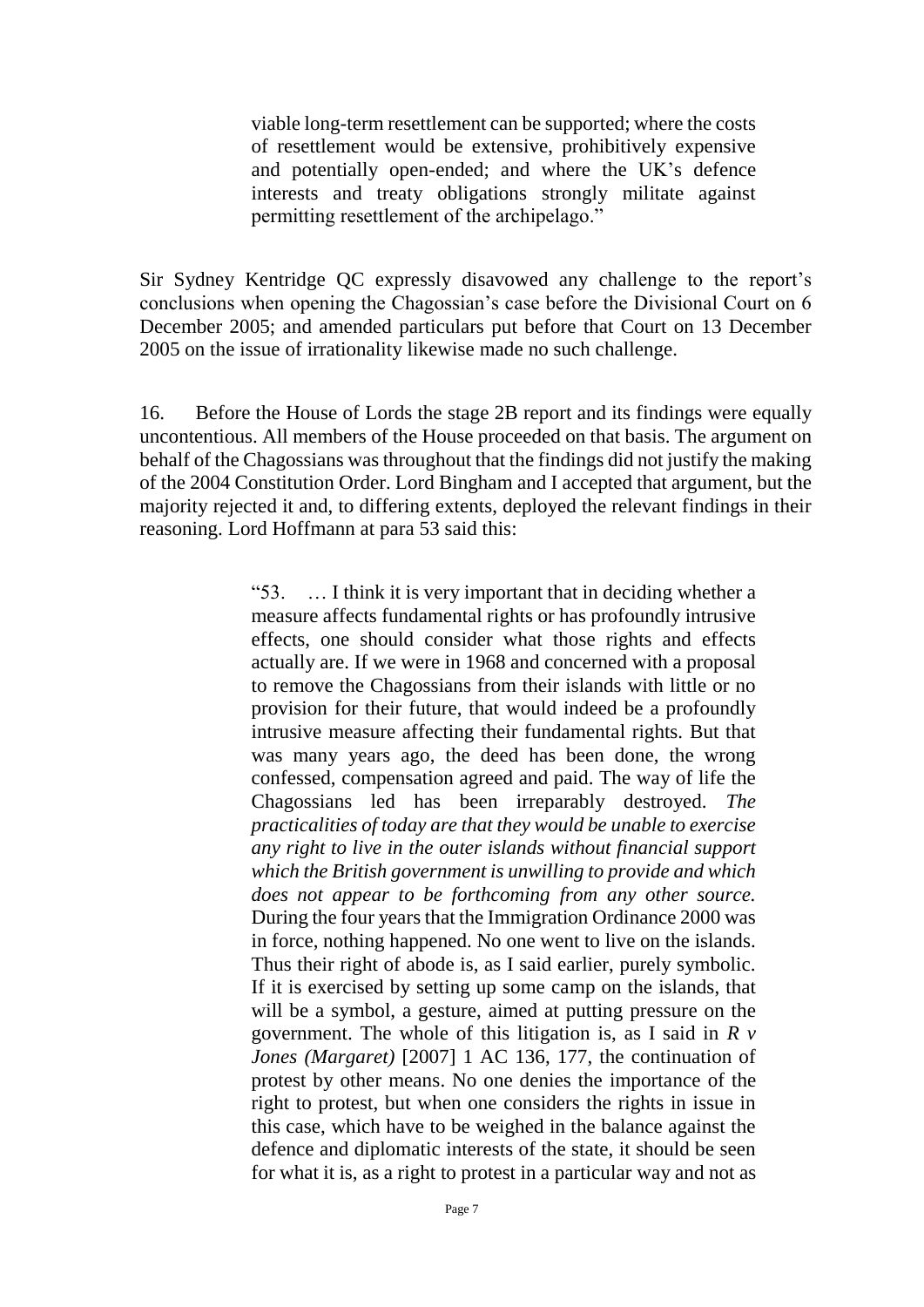viable long-term resettlement can be supported; where the costs of resettlement would be extensive, prohibitively expensive and potentially open-ended; and where the UK's defence interests and treaty obligations strongly militate against permitting resettlement of the archipelago."

Sir Sydney Kentridge QC expressly disavowed any challenge to the report's conclusions when opening the Chagossian's case before the Divisional Court on 6 December 2005; and amended particulars put before that Court on 13 December 2005 on the issue of irrationality likewise made no such challenge.

16. Before the House of Lords the stage 2B report and its findings were equally uncontentious. All members of the House proceeded on that basis. The argument on behalf of the Chagossians was throughout that the findings did not justify the making of the 2004 Constitution Order. Lord Bingham and I accepted that argument, but the majority rejected it and, to differing extents, deployed the relevant findings in their reasoning. Lord Hoffmann at para 53 said this:

> "53. … I think it is very important that in deciding whether a measure affects fundamental rights or has profoundly intrusive effects, one should consider what those rights and effects actually are. If we were in 1968 and concerned with a proposal to remove the Chagossians from their islands with little or no provision for their future, that would indeed be a profoundly intrusive measure affecting their fundamental rights. But that was many years ago, the deed has been done, the wrong confessed, compensation agreed and paid. The way of life the Chagossians led has been irreparably destroyed. *The practicalities of today are that they would be unable to exercise any right to live in the outer islands without financial support which the British government is unwilling to provide and which does not appear to be forthcoming from any other source.* During the four years that the Immigration Ordinance 2000 was in force, nothing happened. No one went to live on the islands. Thus their right of abode is, as I said earlier, purely symbolic. If it is exercised by setting up some camp on the islands, that will be a symbol, a gesture, aimed at putting pressure on the government. The whole of this litigation is, as I said in *R v Jones (Margaret)* [2007] 1 AC 136, 177, the continuation of protest by other means. No one denies the importance of the right to protest, but when one considers the rights in issue in this case, which have to be weighed in the balance against the defence and diplomatic interests of the state, it should be seen for what it is, as a right to protest in a particular way and not as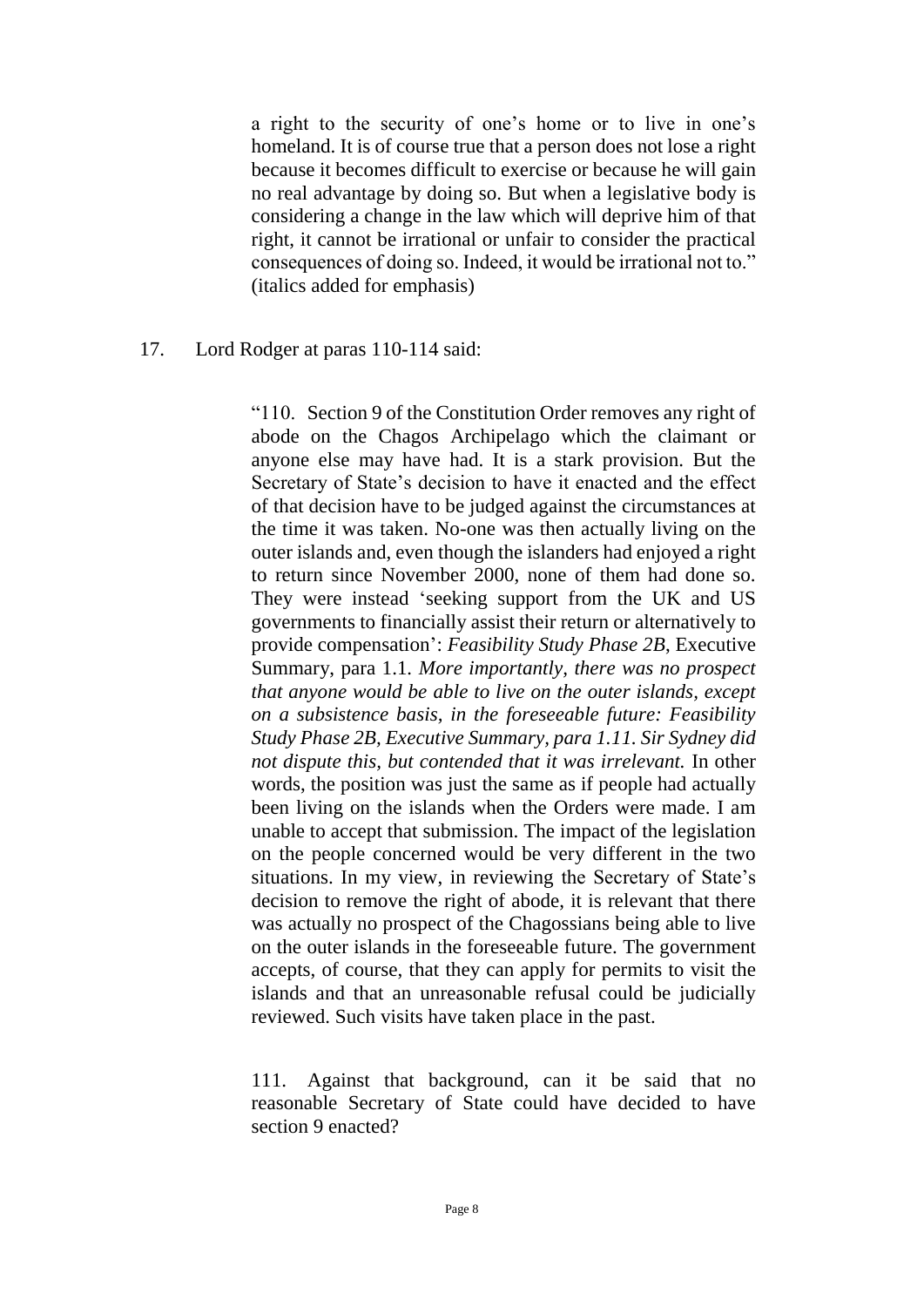a right to the security of one's home or to live in one's homeland. It is of course true that a person does not lose a right because it becomes difficult to exercise or because he will gain no real advantage by doing so. But when a legislative body is considering a change in the law which will deprive him of that right, it cannot be irrational or unfair to consider the practical consequences of doing so. Indeed, it would be irrational not to." (italics added for emphasis)

#### 17. Lord Rodger at paras 110-114 said:

"110. Section 9 of the Constitution Order removes any right of abode on the Chagos Archipelago which the claimant or anyone else may have had. It is a stark provision. But the Secretary of State's decision to have it enacted and the effect of that decision have to be judged against the circumstances at the time it was taken. No-one was then actually living on the outer islands and, even though the islanders had enjoyed a right to return since November 2000, none of them had done so. They were instead 'seeking support from the UK and US governments to financially assist their return or alternatively to provide compensation': *Feasibility Study Phase 2B*, Executive Summary, para 1.1*. More importantly, there was no prospect that anyone would be able to live on the outer islands, except on a subsistence basis, in the foreseeable future: Feasibility Study Phase 2B, Executive Summary, para 1.11. Sir Sydney did not dispute this, but contended that it was irrelevant.* In other words, the position was just the same as if people had actually been living on the islands when the Orders were made. I am unable to accept that submission. The impact of the legislation on the people concerned would be very different in the two situations. In my view, in reviewing the Secretary of State's decision to remove the right of abode, it is relevant that there was actually no prospect of the Chagossians being able to live on the outer islands in the foreseeable future. The government accepts, of course, that they can apply for permits to visit the islands and that an unreasonable refusal could be judicially reviewed. Such visits have taken place in the past.

111. Against that background, can it be said that no reasonable Secretary of State could have decided to have section 9 enacted?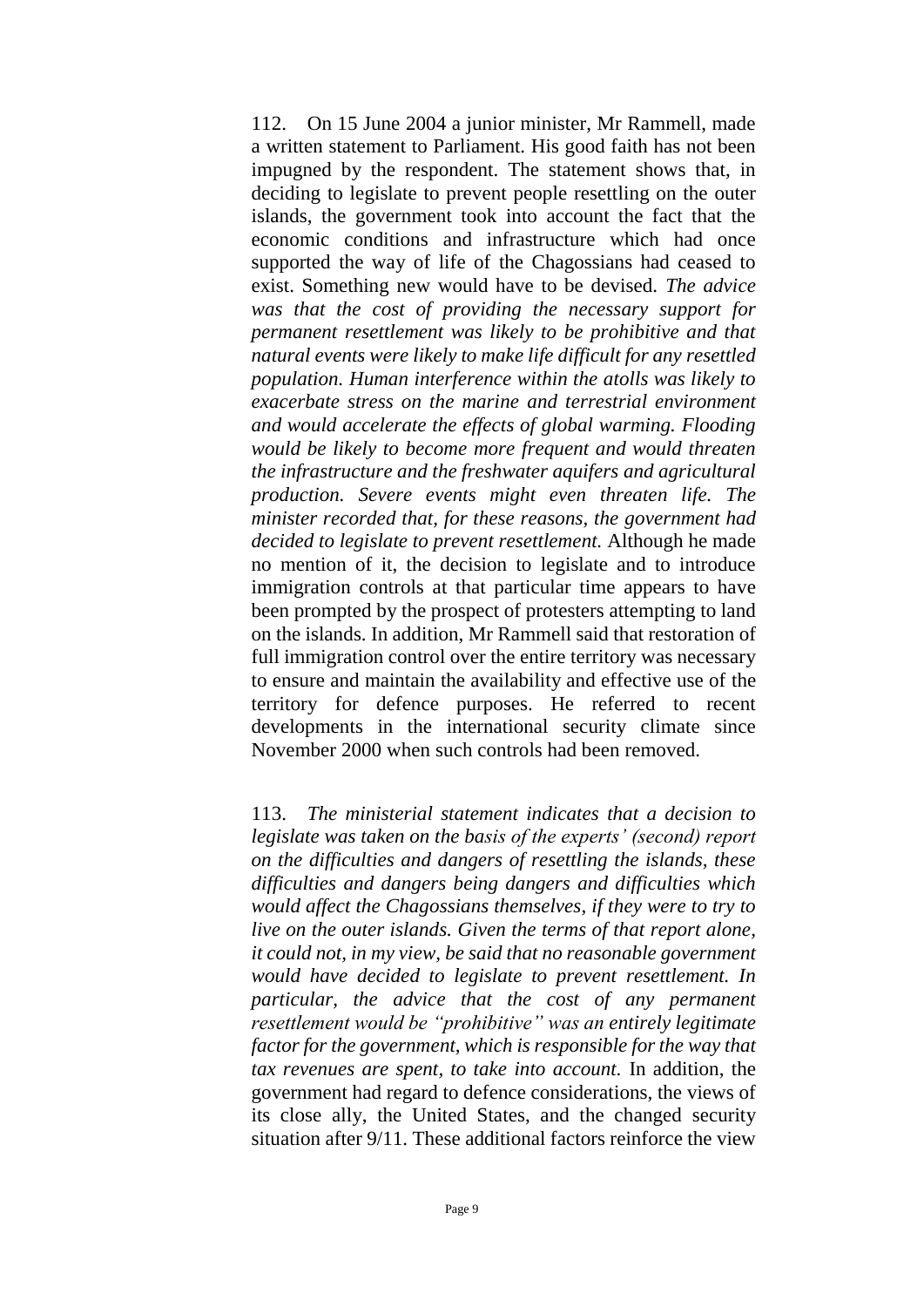112. On 15 June 2004 a junior minister, Mr Rammell, made a written statement to Parliament. His good faith has not been impugned by the respondent. The statement shows that, in deciding to legislate to prevent people resettling on the outer islands, the government took into account the fact that the economic conditions and infrastructure which had once supported the way of life of the Chagossians had ceased to exist. Something new would have to be devised. *The advice was that the cost of providing the necessary support for permanent resettlement was likely to be prohibitive and that natural events were likely to make life difficult for any resettled population. Human interference within the atolls was likely to exacerbate stress on the marine and terrestrial environment and would accelerate the effects of global warming. Flooding would be likely to become more frequent and would threaten the infrastructure and the freshwater aquifers and agricultural production. Severe events might even threaten life. The minister recorded that, for these reasons, the government had decided to legislate to prevent resettlement.* Although he made no mention of it, the decision to legislate and to introduce immigration controls at that particular time appears to have been prompted by the prospect of protesters attempting to land on the islands. In addition, Mr Rammell said that restoration of full immigration control over the entire territory was necessary to ensure and maintain the availability and effective use of the territory for defence purposes. He referred to recent developments in the international security climate since November 2000 when such controls had been removed.

113. *The ministerial statement indicates that a decision to legislate was taken on the basis of the experts' (second) report on the difficulties and dangers of resettling the islands, these difficulties and dangers being dangers and difficulties which would affect the Chagossians themselves, if they were to try to live on the outer islands. Given the terms of that report alone, it could not, in my view, be said that no reasonable government would have decided to legislate to prevent resettlement. In particular, the advice that the cost of any permanent resettlement would be "prohibitive" was an entirely legitimate factor for the government, which is responsible for the way that tax revenues are spent, to take into account.* In addition, the government had regard to defence considerations, the views of its close ally, the United States, and the changed security situation after 9/11. These additional factors reinforce the view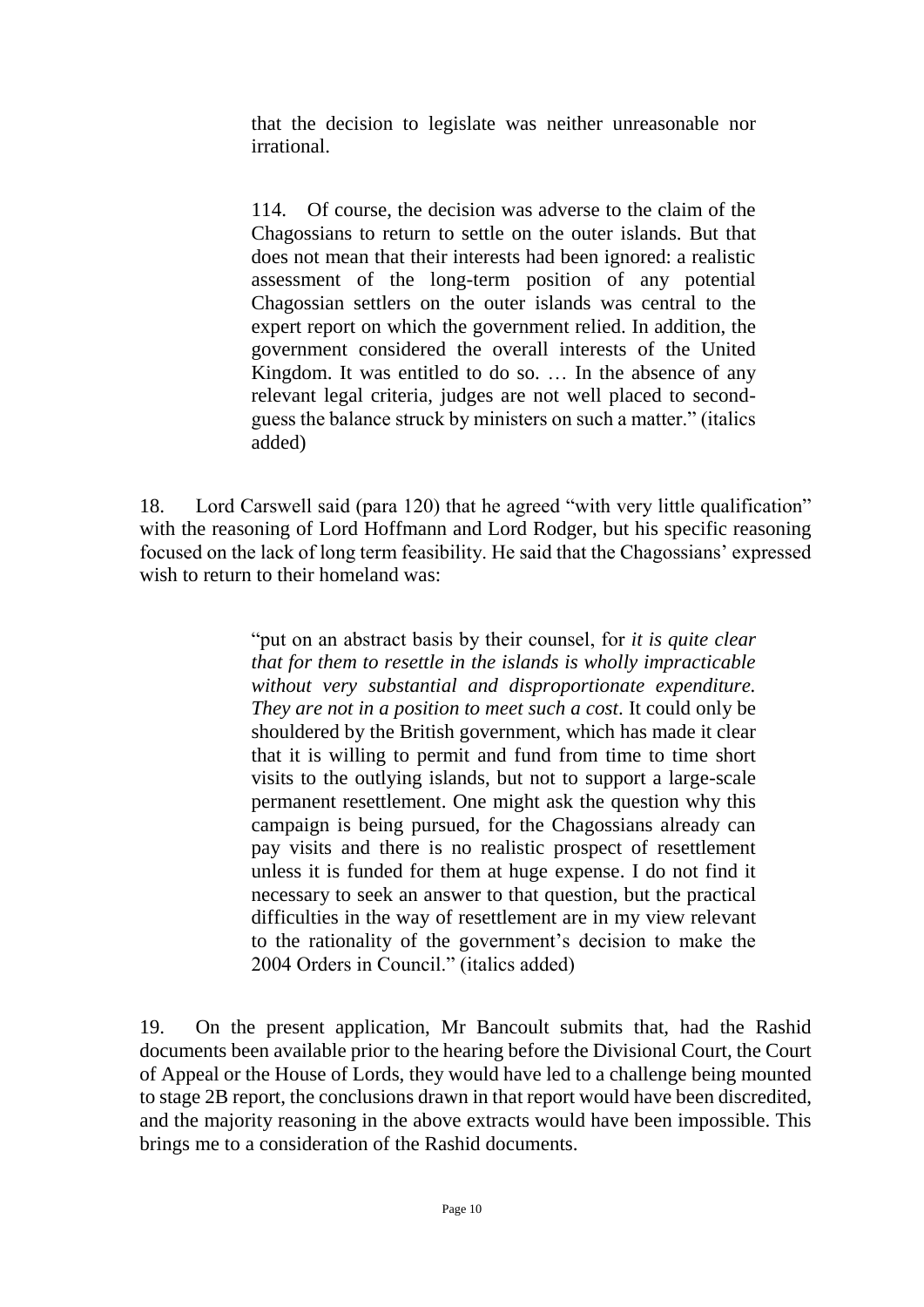that the decision to legislate was neither unreasonable nor irrational.

114. Of course, the decision was adverse to the claim of the Chagossians to return to settle on the outer islands. But that does not mean that their interests had been ignored: a realistic assessment of the long-term position of any potential Chagossian settlers on the outer islands was central to the expert report on which the government relied. In addition, the government considered the overall interests of the United Kingdom. It was entitled to do so. … In the absence of any relevant legal criteria, judges are not well placed to secondguess the balance struck by ministers on such a matter." (italics added)

18. Lord Carswell said (para 120) that he agreed "with very little qualification" with the reasoning of Lord Hoffmann and Lord Rodger, but his specific reasoning focused on the lack of long term feasibility. He said that the Chagossians' expressed wish to return to their homeland was:

> "put on an abstract basis by their counsel, for *it is quite clear that for them to resettle in the islands is wholly impracticable without very substantial and disproportionate expenditure. They are not in a position to meet such a cost*. It could only be shouldered by the British government, which has made it clear that it is willing to permit and fund from time to time short visits to the outlying islands, but not to support a large-scale permanent resettlement. One might ask the question why this campaign is being pursued, for the Chagossians already can pay visits and there is no realistic prospect of resettlement unless it is funded for them at huge expense. I do not find it necessary to seek an answer to that question, but the practical difficulties in the way of resettlement are in my view relevant to the rationality of the government's decision to make the 2004 Orders in Council." (italics added)

19. On the present application, Mr Bancoult submits that, had the Rashid documents been available prior to the hearing before the Divisional Court, the Court of Appeal or the House of Lords, they would have led to a challenge being mounted to stage 2B report, the conclusions drawn in that report would have been discredited, and the majority reasoning in the above extracts would have been impossible. This brings me to a consideration of the Rashid documents.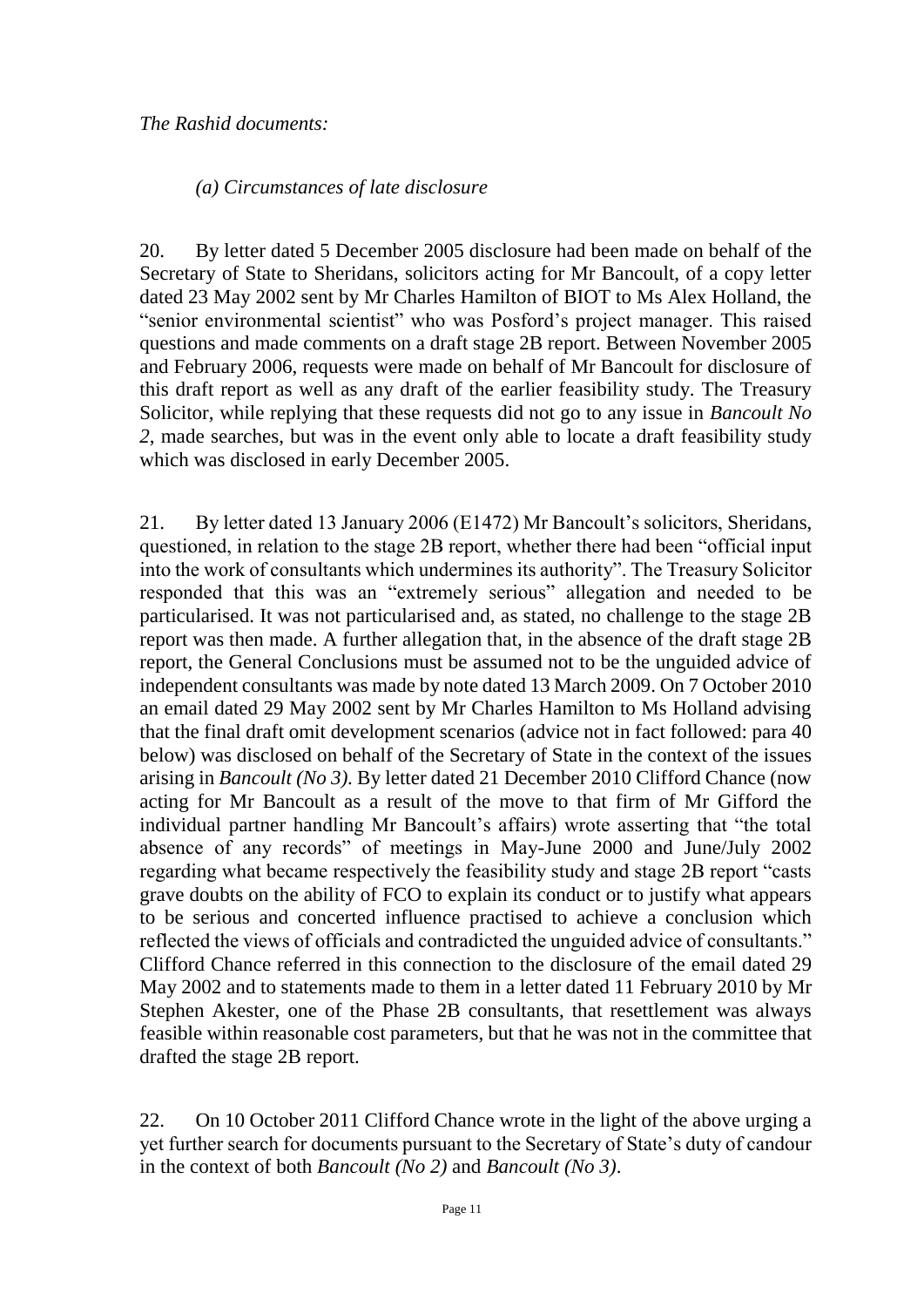## *(a) Circumstances of late disclosure*

20. By letter dated 5 December 2005 disclosure had been made on behalf of the Secretary of State to Sheridans, solicitors acting for Mr Bancoult, of a copy letter dated 23 May 2002 sent by Mr Charles Hamilton of BIOT to Ms Alex Holland, the "senior environmental scientist" who was Posford's project manager. This raised questions and made comments on a draft stage 2B report. Between November 2005 and February 2006, requests were made on behalf of Mr Bancoult for disclosure of this draft report as well as any draft of the earlier feasibility study. The Treasury Solicitor, while replying that these requests did not go to any issue in *Bancoult No 2*, made searches, but was in the event only able to locate a draft feasibility study which was disclosed in early December 2005.

21. By letter dated 13 January 2006 (E1472) Mr Bancoult's solicitors, Sheridans, questioned, in relation to the stage 2B report, whether there had been "official input into the work of consultants which undermines its authority". The Treasury Solicitor responded that this was an "extremely serious" allegation and needed to be particularised. It was not particularised and, as stated, no challenge to the stage 2B report was then made. A further allegation that, in the absence of the draft stage 2B report, the General Conclusions must be assumed not to be the unguided advice of independent consultants was made by note dated 13 March 2009. On 7 October 2010 an email dated 29 May 2002 sent by Mr Charles Hamilton to Ms Holland advising that the final draft omit development scenarios (advice not in fact followed: para 40 below) was disclosed on behalf of the Secretary of State in the context of the issues arising in *Bancoult (No 3)*. By letter dated 21 December 2010 Clifford Chance (now acting for Mr Bancoult as a result of the move to that firm of Mr Gifford the individual partner handling Mr Bancoult's affairs) wrote asserting that "the total absence of any records" of meetings in May-June 2000 and June/July 2002 regarding what became respectively the feasibility study and stage 2B report "casts grave doubts on the ability of FCO to explain its conduct or to justify what appears to be serious and concerted influence practised to achieve a conclusion which reflected the views of officials and contradicted the unguided advice of consultants." Clifford Chance referred in this connection to the disclosure of the email dated 29 May 2002 and to statements made to them in a letter dated 11 February 2010 by Mr Stephen Akester, one of the Phase 2B consultants, that resettlement was always feasible within reasonable cost parameters, but that he was not in the committee that drafted the stage 2B report.

22. On 10 October 2011 Clifford Chance wrote in the light of the above urging a yet further search for documents pursuant to the Secretary of State's duty of candour in the context of both *Bancoult (No 2)* and *Bancoult (No 3)*.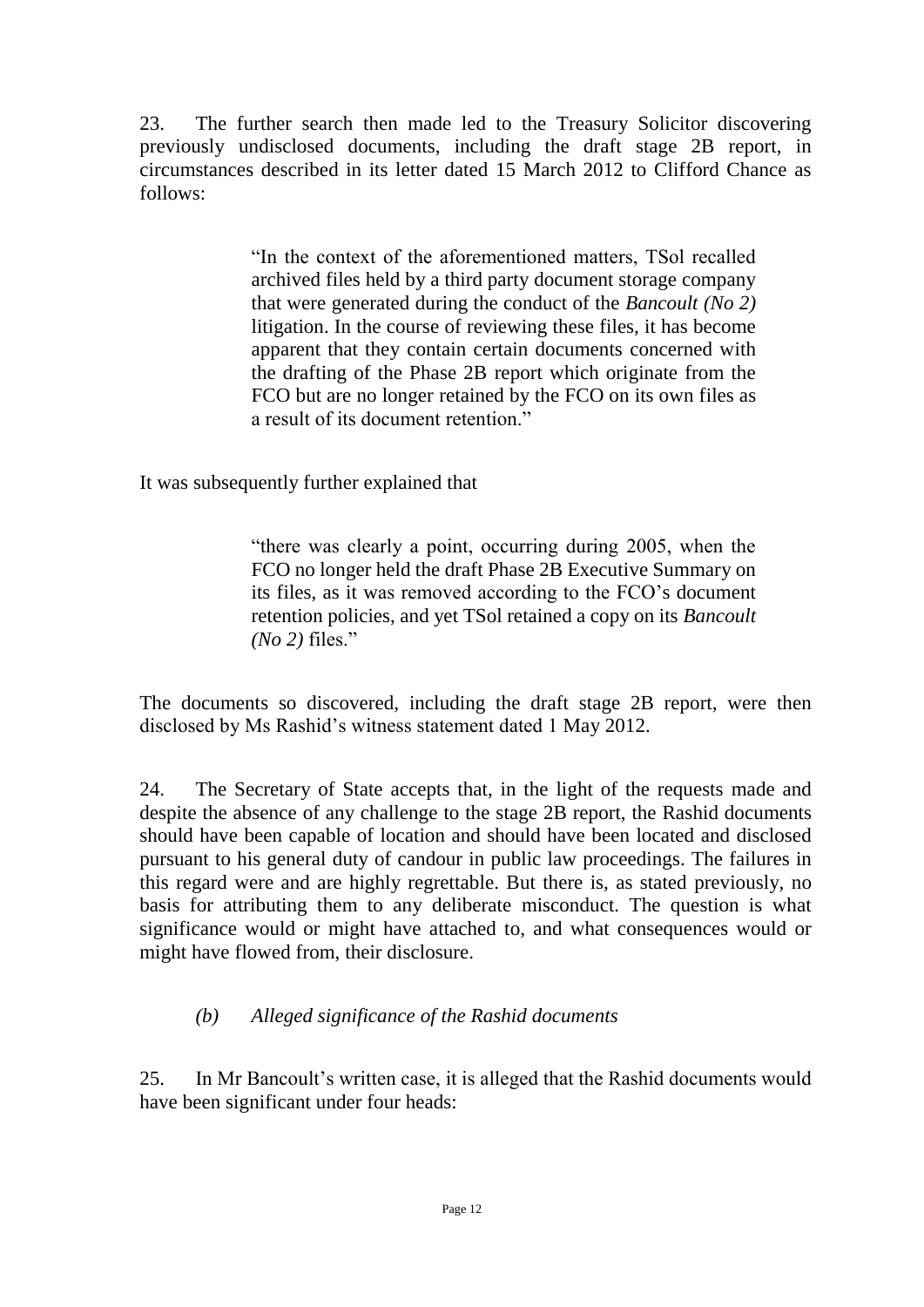23. The further search then made led to the Treasury Solicitor discovering previously undisclosed documents, including the draft stage 2B report, in circumstances described in its letter dated 15 March 2012 to Clifford Chance as follows:

> "In the context of the aforementioned matters, TSol recalled archived files held by a third party document storage company that were generated during the conduct of the *Bancoult (No 2)*  litigation. In the course of reviewing these files, it has become apparent that they contain certain documents concerned with the drafting of the Phase 2B report which originate from the FCO but are no longer retained by the FCO on its own files as a result of its document retention."

It was subsequently further explained that

"there was clearly a point, occurring during 2005, when the FCO no longer held the draft Phase 2B Executive Summary on its files, as it was removed according to the FCO's document retention policies, and yet TSol retained a copy on its *Bancoult (No 2)* files."

The documents so discovered, including the draft stage 2B report, were then disclosed by Ms Rashid's witness statement dated 1 May 2012.

24. The Secretary of State accepts that, in the light of the requests made and despite the absence of any challenge to the stage 2B report, the Rashid documents should have been capable of location and should have been located and disclosed pursuant to his general duty of candour in public law proceedings. The failures in this regard were and are highly regrettable. But there is, as stated previously, no basis for attributing them to any deliberate misconduct. The question is what significance would or might have attached to, and what consequences would or might have flowed from, their disclosure.

## *(b) Alleged significance of the Rashid documents*

25. In Mr Bancoult's written case, it is alleged that the Rashid documents would have been significant under four heads: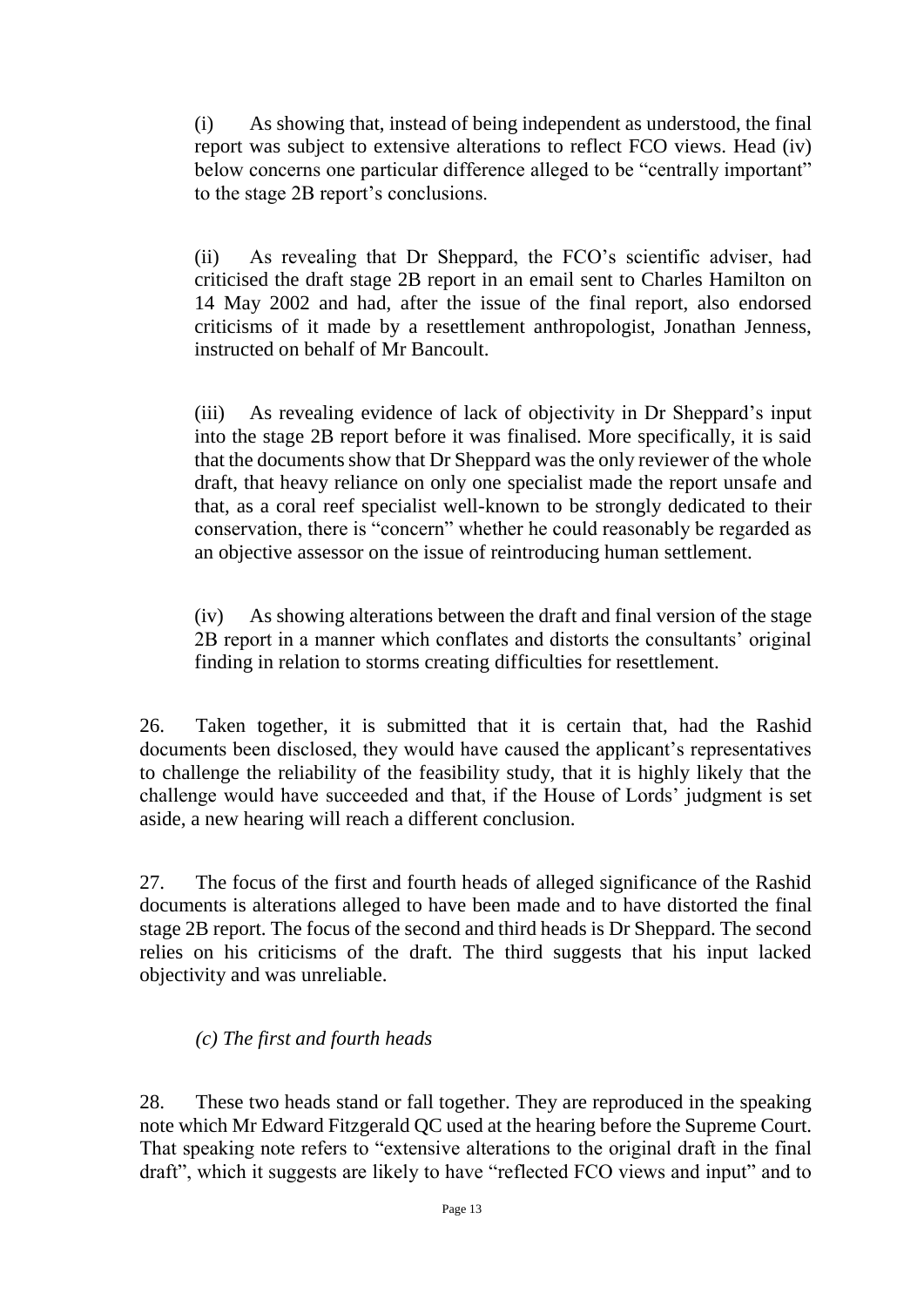(i) As showing that, instead of being independent as understood, the final report was subject to extensive alterations to reflect FCO views. Head (iv) below concerns one particular difference alleged to be "centrally important" to the stage 2B report's conclusions.

(ii) As revealing that Dr Sheppard, the FCO's scientific adviser, had criticised the draft stage 2B report in an email sent to Charles Hamilton on 14 May 2002 and had, after the issue of the final report, also endorsed criticisms of it made by a resettlement anthropologist, Jonathan Jenness, instructed on behalf of Mr Bancoult.

(iii) As revealing evidence of lack of objectivity in Dr Sheppard's input into the stage 2B report before it was finalised. More specifically, it is said that the documents show that Dr Sheppard was the only reviewer of the whole draft, that heavy reliance on only one specialist made the report unsafe and that, as a coral reef specialist well-known to be strongly dedicated to their conservation, there is "concern" whether he could reasonably be regarded as an objective assessor on the issue of reintroducing human settlement.

(iv) As showing alterations between the draft and final version of the stage 2B report in a manner which conflates and distorts the consultants' original finding in relation to storms creating difficulties for resettlement.

26. Taken together, it is submitted that it is certain that, had the Rashid documents been disclosed, they would have caused the applicant's representatives to challenge the reliability of the feasibility study, that it is highly likely that the challenge would have succeeded and that, if the House of Lords' judgment is set aside, a new hearing will reach a different conclusion.

27. The focus of the first and fourth heads of alleged significance of the Rashid documents is alterations alleged to have been made and to have distorted the final stage 2B report. The focus of the second and third heads is Dr Sheppard. The second relies on his criticisms of the draft. The third suggests that his input lacked objectivity and was unreliable.

*(c) The first and fourth heads*

28. These two heads stand or fall together. They are reproduced in the speaking note which Mr Edward Fitzgerald QC used at the hearing before the Supreme Court. That speaking note refers to "extensive alterations to the original draft in the final draft", which it suggests are likely to have "reflected FCO views and input" and to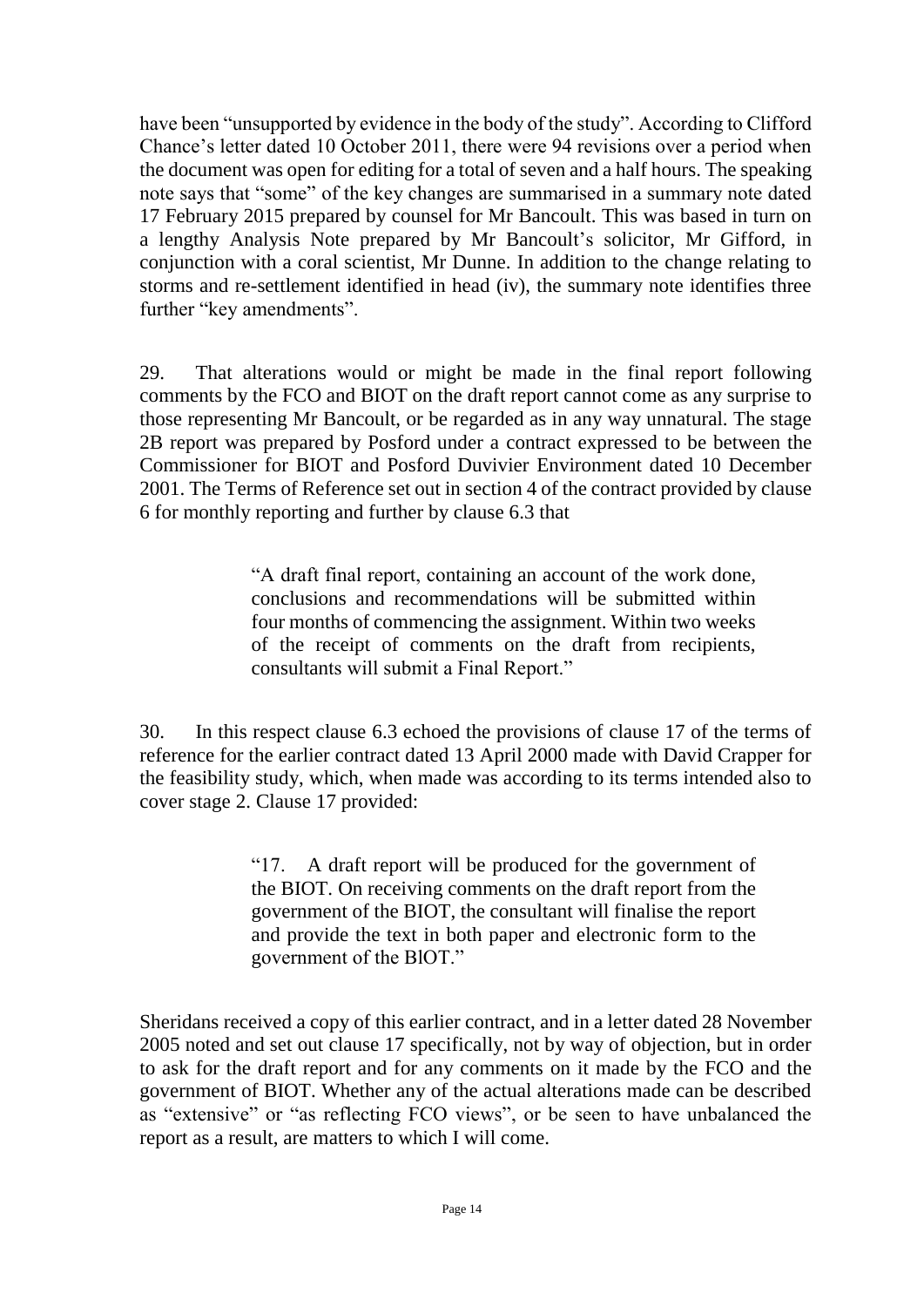have been "unsupported by evidence in the body of the study". According to Clifford Chance's letter dated 10 October 2011, there were 94 revisions over a period when the document was open for editing for a total of seven and a half hours. The speaking note says that "some" of the key changes are summarised in a summary note dated 17 February 2015 prepared by counsel for Mr Bancoult. This was based in turn on a lengthy Analysis Note prepared by Mr Bancoult's solicitor, Mr Gifford, in conjunction with a coral scientist, Mr Dunne. In addition to the change relating to storms and re-settlement identified in head (iv), the summary note identifies three further "key amendments".

29. That alterations would or might be made in the final report following comments by the FCO and BIOT on the draft report cannot come as any surprise to those representing Mr Bancoult, or be regarded as in any way unnatural. The stage 2B report was prepared by Posford under a contract expressed to be between the Commissioner for BIOT and Posford Duvivier Environment dated 10 December 2001. The Terms of Reference set out in section 4 of the contract provided by clause 6 for monthly reporting and further by clause 6.3 that

> "A draft final report, containing an account of the work done, conclusions and recommendations will be submitted within four months of commencing the assignment. Within two weeks of the receipt of comments on the draft from recipients, consultants will submit a Final Report."

30. In this respect clause 6.3 echoed the provisions of clause 17 of the terms of reference for the earlier contract dated 13 April 2000 made with David Crapper for the feasibility study, which, when made was according to its terms intended also to cover stage 2. Clause 17 provided:

> "17. A draft report will be produced for the government of the BIOT. On receiving comments on the draft report from the government of the BIOT, the consultant will finalise the report and provide the text in both paper and electronic form to the government of the BlOT."

Sheridans received a copy of this earlier contract, and in a letter dated 28 November 2005 noted and set out clause 17 specifically, not by way of objection, but in order to ask for the draft report and for any comments on it made by the FCO and the government of BIOT. Whether any of the actual alterations made can be described as "extensive" or "as reflecting FCO views", or be seen to have unbalanced the report as a result, are matters to which I will come.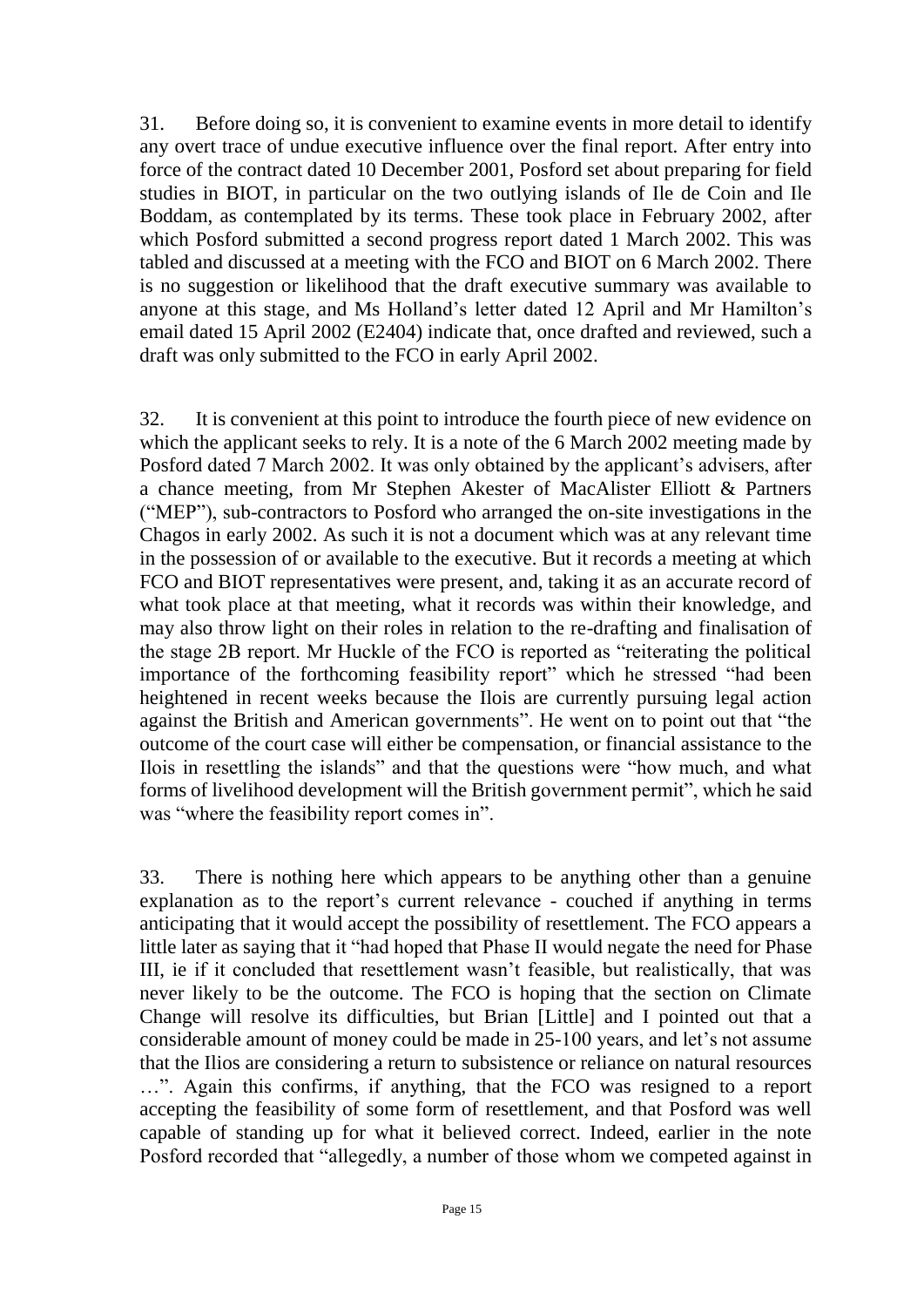31. Before doing so, it is convenient to examine events in more detail to identify any overt trace of undue executive influence over the final report. After entry into force of the contract dated 10 December 2001, Posford set about preparing for field studies in BIOT, in particular on the two outlying islands of Ile de Coin and Ile Boddam, as contemplated by its terms. These took place in February 2002, after which Posford submitted a second progress report dated 1 March 2002. This was tabled and discussed at a meeting with the FCO and BIOT on 6 March 2002. There is no suggestion or likelihood that the draft executive summary was available to anyone at this stage, and Ms Holland's letter dated 12 April and Mr Hamilton's email dated 15 April 2002 (E2404) indicate that, once drafted and reviewed, such a draft was only submitted to the FCO in early April 2002.

32. It is convenient at this point to introduce the fourth piece of new evidence on which the applicant seeks to rely. It is a note of the 6 March 2002 meeting made by Posford dated 7 March 2002. It was only obtained by the applicant's advisers, after a chance meeting, from Mr Stephen Akester of MacAlister Elliott & Partners ("MEP"), sub-contractors to Posford who arranged the on-site investigations in the Chagos in early 2002. As such it is not a document which was at any relevant time in the possession of or available to the executive. But it records a meeting at which FCO and BIOT representatives were present, and, taking it as an accurate record of what took place at that meeting, what it records was within their knowledge, and may also throw light on their roles in relation to the re-drafting and finalisation of the stage 2B report. Mr Huckle of the FCO is reported as "reiterating the political importance of the forthcoming feasibility report" which he stressed "had been heightened in recent weeks because the Ilois are currently pursuing legal action against the British and American governments". He went on to point out that "the outcome of the court case will either be compensation, or financial assistance to the Ilois in resettling the islands" and that the questions were "how much, and what forms of livelihood development will the British government permit", which he said was "where the feasibility report comes in".

33. There is nothing here which appears to be anything other than a genuine explanation as to the report's current relevance - couched if anything in terms anticipating that it would accept the possibility of resettlement. The FCO appears a little later as saying that it "had hoped that Phase II would negate the need for Phase III, ie if it concluded that resettlement wasn't feasible, but realistically, that was never likely to be the outcome. The FCO is hoping that the section on Climate Change will resolve its difficulties, but Brian [Little] and I pointed out that a considerable amount of money could be made in 25-100 years, and let's not assume that the Ilios are considering a return to subsistence or reliance on natural resources …". Again this confirms, if anything, that the FCO was resigned to a report accepting the feasibility of some form of resettlement, and that Posford was well capable of standing up for what it believed correct. Indeed, earlier in the note Posford recorded that "allegedly, a number of those whom we competed against in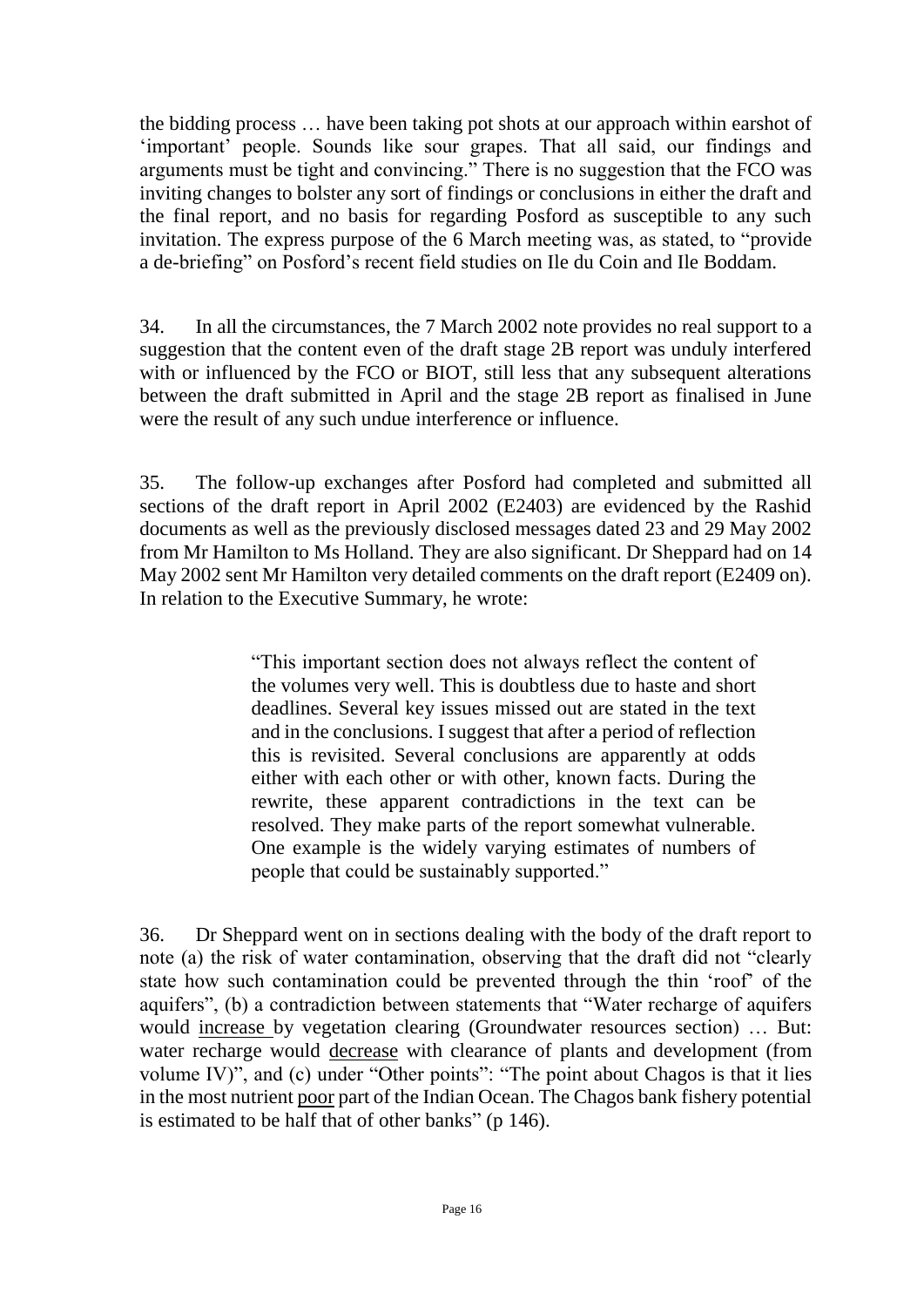the bidding process … have been taking pot shots at our approach within earshot of 'important' people. Sounds like sour grapes. That all said, our findings and arguments must be tight and convincing." There is no suggestion that the FCO was inviting changes to bolster any sort of findings or conclusions in either the draft and the final report, and no basis for regarding Posford as susceptible to any such invitation. The express purpose of the 6 March meeting was, as stated, to "provide a de-briefing" on Posford's recent field studies on Ile du Coin and Ile Boddam.

34. In all the circumstances, the 7 March 2002 note provides no real support to a suggestion that the content even of the draft stage 2B report was unduly interfered with or influenced by the FCO or BIOT, still less that any subsequent alterations between the draft submitted in April and the stage 2B report as finalised in June were the result of any such undue interference or influence.

35. The follow-up exchanges after Posford had completed and submitted all sections of the draft report in April 2002 (E2403) are evidenced by the Rashid documents as well as the previously disclosed messages dated 23 and 29 May 2002 from Mr Hamilton to Ms Holland. They are also significant. Dr Sheppard had on 14 May 2002 sent Mr Hamilton very detailed comments on the draft report (E2409 on). In relation to the Executive Summary, he wrote:

> "This important section does not always reflect the content of the volumes very well. This is doubtless due to haste and short deadlines. Several key issues missed out are stated in the text and in the conclusions. I suggest that after a period of reflection this is revisited. Several conclusions are apparently at odds either with each other or with other, known facts. During the rewrite, these apparent contradictions in the text can be resolved. They make parts of the report somewhat vulnerable. One example is the widely varying estimates of numbers of people that could be sustainably supported."

36. Dr Sheppard went on in sections dealing with the body of the draft report to note (a) the risk of water contamination, observing that the draft did not "clearly state how such contamination could be prevented through the thin 'roof' of the aquifers", (b) a contradiction between statements that "Water recharge of aquifers would increase by vegetation clearing (Groundwater resources section) … But: water recharge would decrease with clearance of plants and development (from volume IV)", and (c) under "Other points": "The point about Chagos is that it lies in the most nutrient poor part of the Indian Ocean. The Chagos bank fishery potential is estimated to be half that of other banks" (p 146).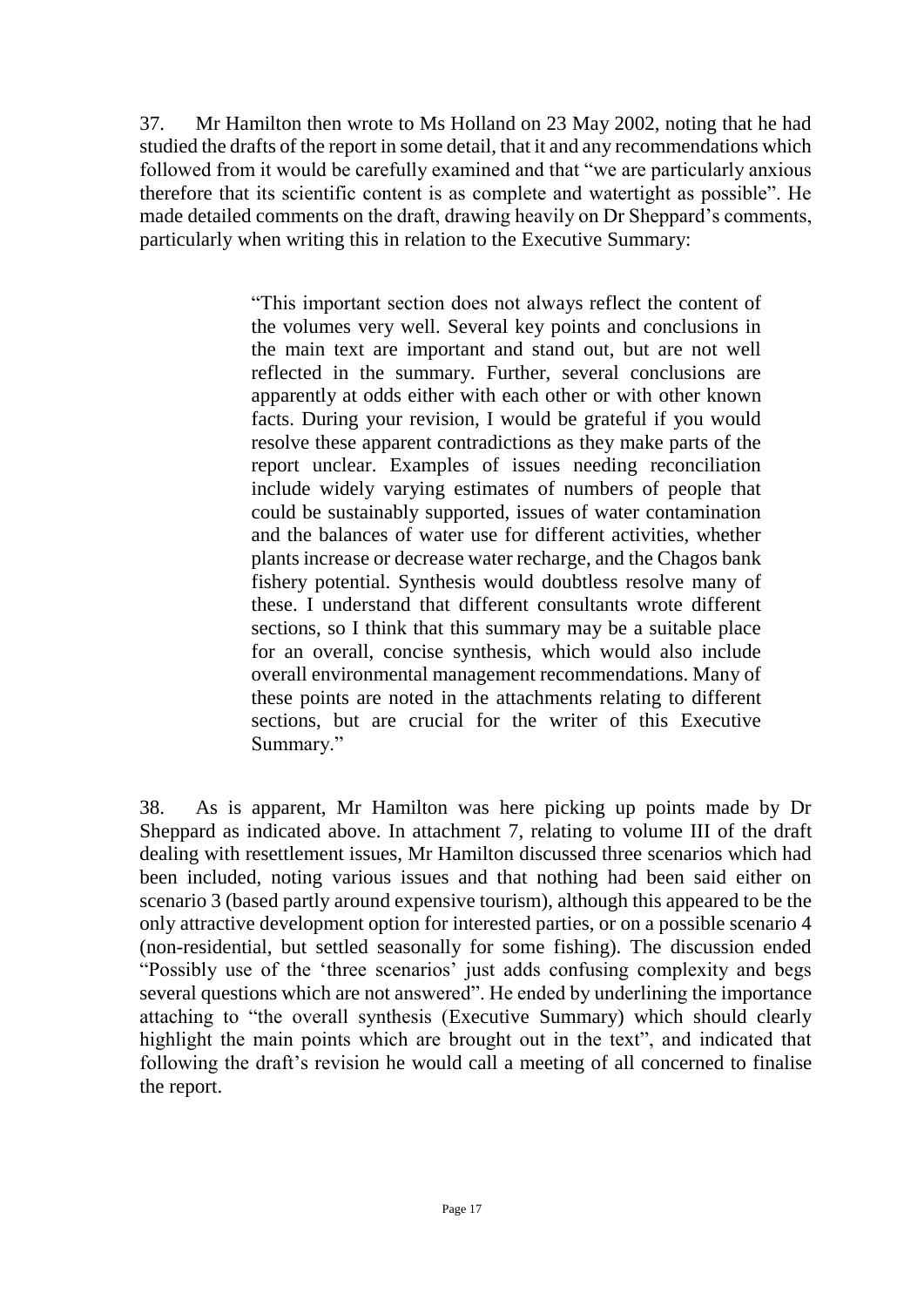37. Mr Hamilton then wrote to Ms Holland on 23 May 2002, noting that he had studied the drafts of the report in some detail, that it and any recommendations which followed from it would be carefully examined and that "we are particularly anxious therefore that its scientific content is as complete and watertight as possible". He made detailed comments on the draft, drawing heavily on Dr Sheppard's comments, particularly when writing this in relation to the Executive Summary:

> "This important section does not always reflect the content of the volumes very well. Several key points and conclusions in the main text are important and stand out, but are not well reflected in the summary. Further, several conclusions are apparently at odds either with each other or with other known facts. During your revision, I would be grateful if you would resolve these apparent contradictions as they make parts of the report unclear. Examples of issues needing reconciliation include widely varying estimates of numbers of people that could be sustainably supported, issues of water contamination and the balances of water use for different activities, whether plants increase or decrease water recharge, and the Chagos bank fishery potential. Synthesis would doubtless resolve many of these. I understand that different consultants wrote different sections, so I think that this summary may be a suitable place for an overall, concise synthesis, which would also include overall environmental management recommendations. Many of these points are noted in the attachments relating to different sections, but are crucial for the writer of this Executive Summary."

38. As is apparent, Mr Hamilton was here picking up points made by Dr Sheppard as indicated above. In attachment 7, relating to volume III of the draft dealing with resettlement issues, Mr Hamilton discussed three scenarios which had been included, noting various issues and that nothing had been said either on scenario 3 (based partly around expensive tourism), although this appeared to be the only attractive development option for interested parties, or on a possible scenario 4 (non-residential, but settled seasonally for some fishing). The discussion ended "Possibly use of the 'three scenarios' just adds confusing complexity and begs several questions which are not answered". He ended by underlining the importance attaching to "the overall synthesis (Executive Summary) which should clearly highlight the main points which are brought out in the text", and indicated that following the draft's revision he would call a meeting of all concerned to finalise the report.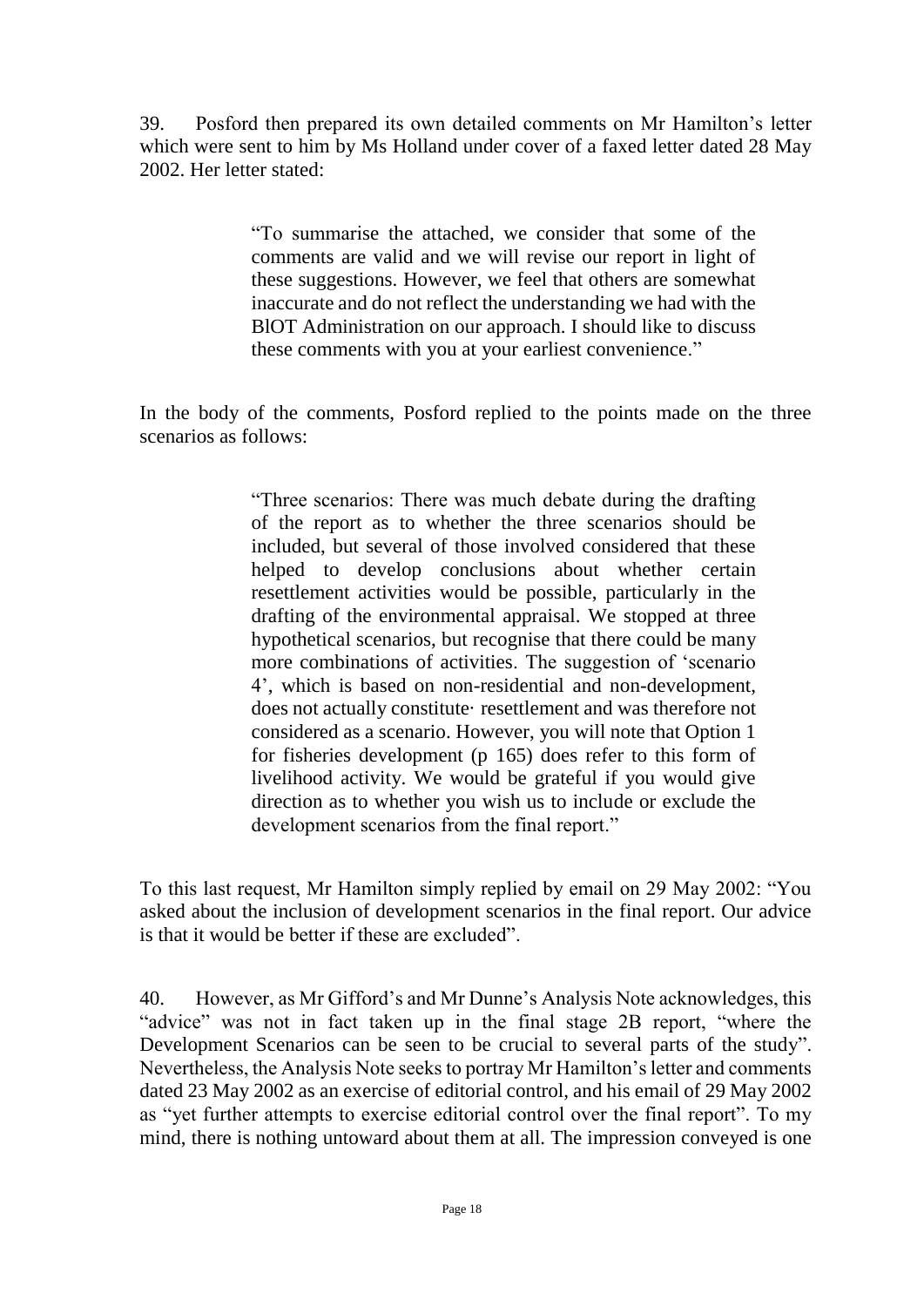39. Posford then prepared its own detailed comments on Mr Hamilton's letter which were sent to him by Ms Holland under cover of a faxed letter dated 28 May 2002. Her letter stated:

> "To summarise the attached, we consider that some of the comments are valid and we will revise our report in light of these suggestions. However, we feel that others are somewhat inaccurate and do not reflect the understanding we had with the BlOT Administration on our approach. I should like to discuss these comments with you at your earliest convenience."

In the body of the comments, Posford replied to the points made on the three scenarios as follows:

> "Three scenarios: There was much debate during the drafting of the report as to whether the three scenarios should be included, but several of those involved considered that these helped to develop conclusions about whether certain resettlement activities would be possible, particularly in the drafting of the environmental appraisal. We stopped at three hypothetical scenarios, but recognise that there could be many more combinations of activities. The suggestion of 'scenario 4', which is based on non-residential and non-development, does not actually constitute· resettlement and was therefore not considered as a scenario. However, you will note that Option 1 for fisheries development (p 165) does refer to this form of livelihood activity. We would be grateful if you would give direction as to whether you wish us to include or exclude the development scenarios from the final report."

To this last request, Mr Hamilton simply replied by email on 29 May 2002: "You asked about the inclusion of development scenarios in the final report. Our advice is that it would be better if these are excluded".

40. However, as Mr Gifford's and Mr Dunne's Analysis Note acknowledges, this "advice" was not in fact taken up in the final stage 2B report, "where the Development Scenarios can be seen to be crucial to several parts of the study". Nevertheless, the Analysis Note seeks to portray Mr Hamilton's letter and comments dated 23 May 2002 as an exercise of editorial control, and his email of 29 May 2002 as "yet further attempts to exercise editorial control over the final report". To my mind, there is nothing untoward about them at all. The impression conveyed is one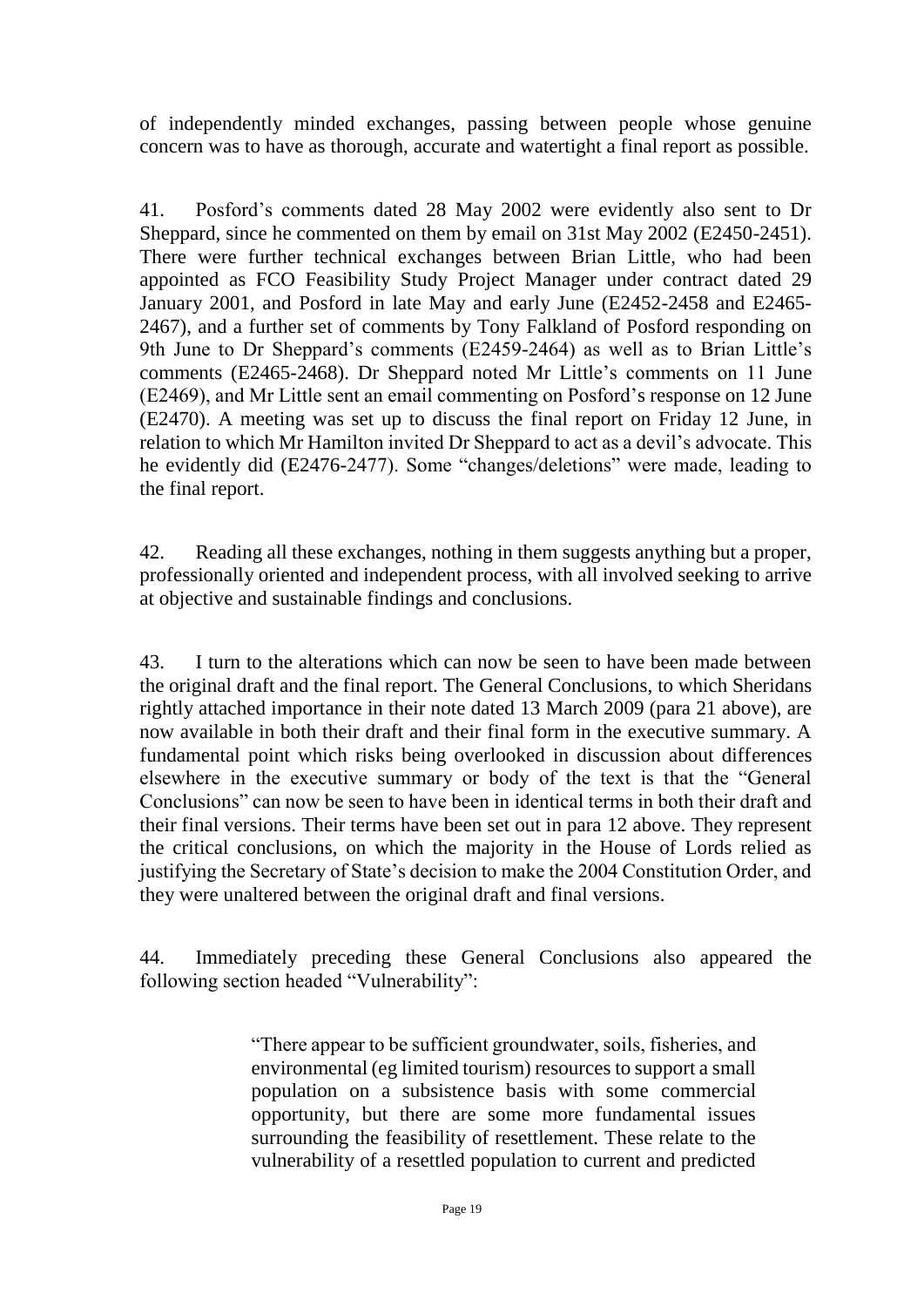of independently minded exchanges, passing between people whose genuine concern was to have as thorough, accurate and watertight a final report as possible.

41. Posford's comments dated 28 May 2002 were evidently also sent to Dr Sheppard, since he commented on them by email on 31st May 2002 (E2450-2451). There were further technical exchanges between Brian Little, who had been appointed as FCO Feasibility Study Project Manager under contract dated 29 January 2001, and Posford in late May and early June (E2452-2458 and E2465- 2467), and a further set of comments by Tony Falkland of Posford responding on 9th June to Dr Sheppard's comments (E2459-2464) as well as to Brian Little's comments (E2465-2468). Dr Sheppard noted Mr Little's comments on 11 June (E2469), and Mr Little sent an email commenting on Posford's response on 12 June (E2470). A meeting was set up to discuss the final report on Friday 12 June, in relation to which Mr Hamilton invited Dr Sheppard to act as a devil's advocate. This he evidently did (E2476-2477). Some "changes/deletions" were made, leading to the final report.

42. Reading all these exchanges, nothing in them suggests anything but a proper, professionally oriented and independent process, with all involved seeking to arrive at objective and sustainable findings and conclusions.

43. I turn to the alterations which can now be seen to have been made between the original draft and the final report. The General Conclusions, to which Sheridans rightly attached importance in their note dated 13 March 2009 (para 21 above), are now available in both their draft and their final form in the executive summary. A fundamental point which risks being overlooked in discussion about differences elsewhere in the executive summary or body of the text is that the "General Conclusions" can now be seen to have been in identical terms in both their draft and their final versions. Their terms have been set out in para 12 above. They represent the critical conclusions, on which the majority in the House of Lords relied as justifying the Secretary of State's decision to make the 2004 Constitution Order, and they were unaltered between the original draft and final versions.

44. Immediately preceding these General Conclusions also appeared the following section headed "Vulnerability":

> "There appear to be sufficient groundwater, soils, fisheries, and environmental (eg limited tourism) resources to support a small population on a subsistence basis with some commercial opportunity, but there are some more fundamental issues surrounding the feasibility of resettlement. These relate to the vulnerability of a resettled population to current and predicted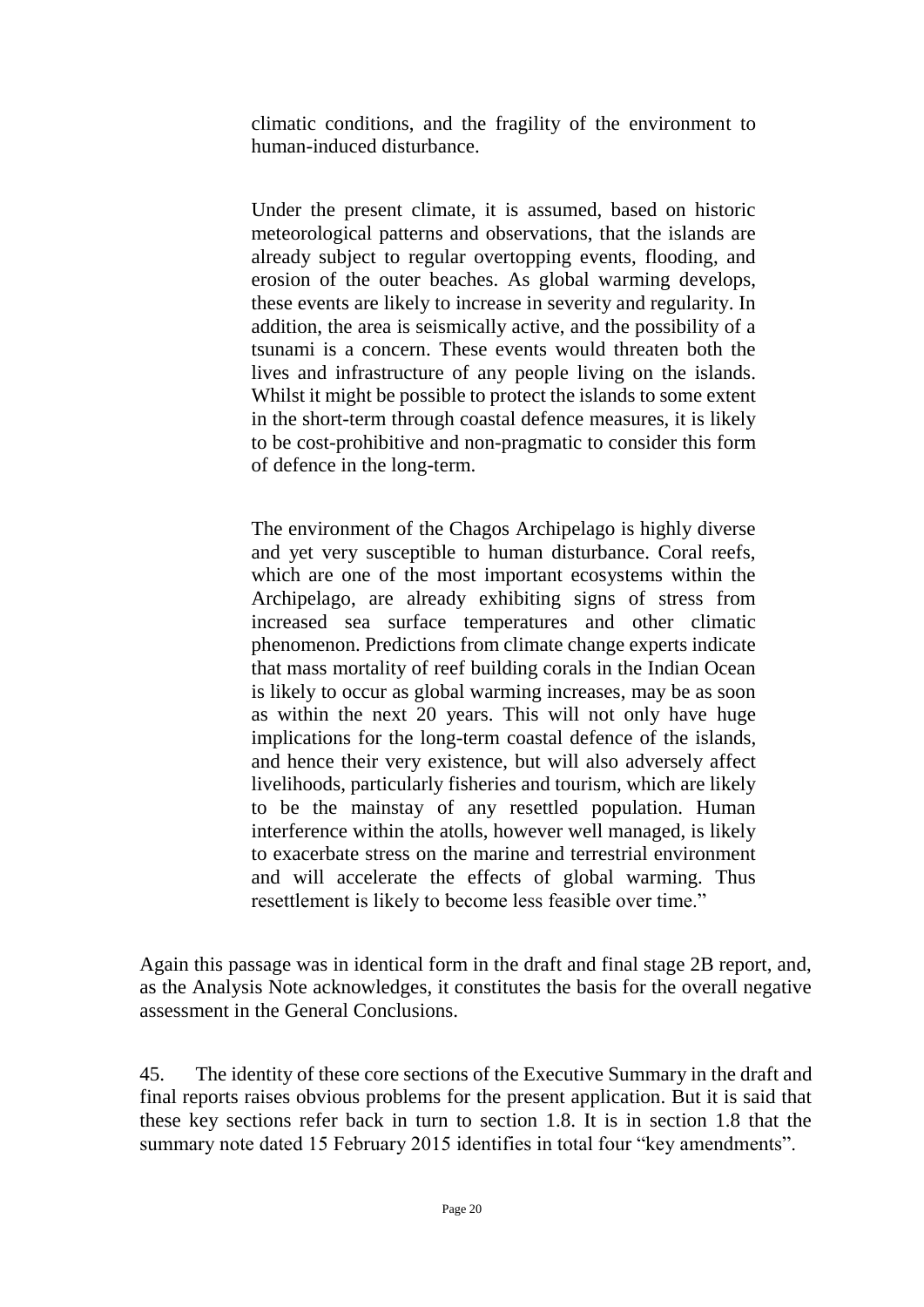climatic conditions, and the fragility of the environment to human-induced disturbance.

Under the present climate, it is assumed, based on historic meteorological patterns and observations, that the islands are already subject to regular overtopping events, flooding, and erosion of the outer beaches. As global warming develops, these events are likely to increase in severity and regularity. In addition, the area is seismically active, and the possibility of a tsunami is a concern. These events would threaten both the lives and infrastructure of any people living on the islands. Whilst it might be possible to protect the islands to some extent in the short-term through coastal defence measures, it is likely to be cost-prohibitive and non-pragmatic to consider this form of defence in the long-term.

The environment of the Chagos Archipelago is highly diverse and yet very susceptible to human disturbance. Coral reefs, which are one of the most important ecosystems within the Archipelago, are already exhibiting signs of stress from increased sea surface temperatures and other climatic phenomenon. Predictions from climate change experts indicate that mass mortality of reef building corals in the Indian Ocean is likely to occur as global warming increases, may be as soon as within the next 20 years. This will not only have huge implications for the long-term coastal defence of the islands, and hence their very existence, but will also adversely affect livelihoods, particularly fisheries and tourism, which are likely to be the mainstay of any resettled population. Human interference within the atolls, however well managed, is likely to exacerbate stress on the marine and terrestrial environment and will accelerate the effects of global warming. Thus resettlement is likely to become less feasible over time."

Again this passage was in identical form in the draft and final stage 2B report, and, as the Analysis Note acknowledges, it constitutes the basis for the overall negative assessment in the General Conclusions.

45. The identity of these core sections of the Executive Summary in the draft and final reports raises obvious problems for the present application. But it is said that these key sections refer back in turn to section 1.8. It is in section 1.8 that the summary note dated 15 February 2015 identifies in total four "key amendments".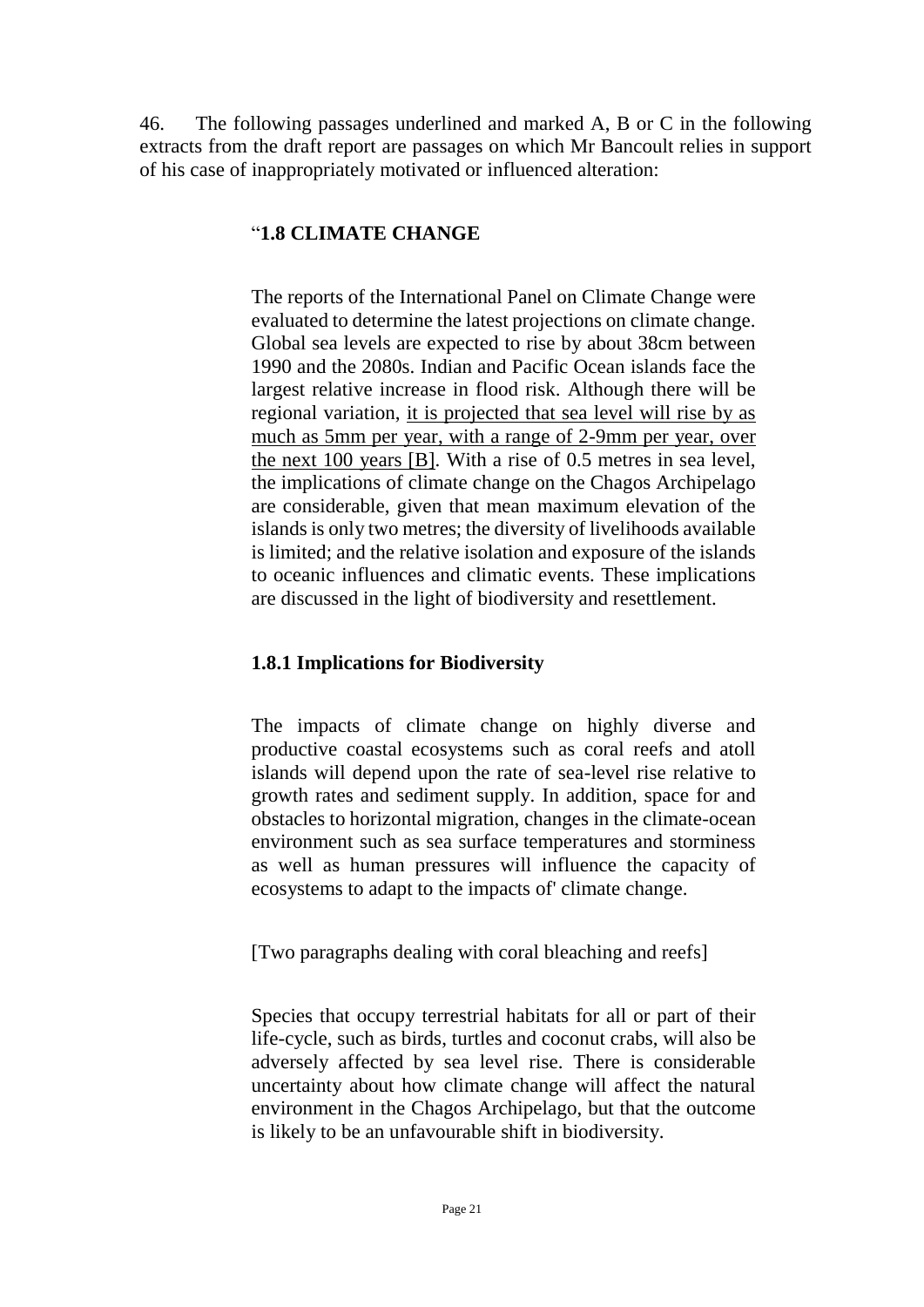46. The following passages underlined and marked A, B or C in the following extracts from the draft report are passages on which Mr Bancoult relies in support of his case of inappropriately motivated or influenced alteration:

## "**1.8 CLIMATE CHANGE**

The reports of the International Panel on Climate Change were evaluated to determine the latest projections on climate change. Global sea levels are expected to rise by about 38cm between 1990 and the 2080s. Indian and Pacific Ocean islands face the largest relative increase in flood risk. Although there will be regional variation, it is projected that sea level will rise by as much as 5mm per year, with a range of 2-9mm per year, over the next 100 years [B]. With a rise of 0.5 metres in sea level, the implications of climate change on the Chagos Archipelago are considerable, given that mean maximum elevation of the islands is only two metres; the diversity of livelihoods available is limited; and the relative isolation and exposure of the islands to oceanic influences and climatic events. These implications are discussed in the light of biodiversity and resettlement.

### **1.8.1 Implications for Biodiversity**

The impacts of climate change on highly diverse and productive coastal ecosystems such as coral reefs and atoll islands will depend upon the rate of sea-level rise relative to growth rates and sediment supply. In addition, space for and obstacles to horizontal migration, changes in the climate-ocean environment such as sea surface temperatures and storminess as well as human pressures will influence the capacity of ecosystems to adapt to the impacts of' climate change.

[Two paragraphs dealing with coral bleaching and reefs]

Species that occupy terrestrial habitats for all or part of their life-cycle, such as birds, turtles and coconut crabs, will also be adversely affected by sea level rise. There is considerable uncertainty about how climate change will affect the natural environment in the Chagos Archipelago, but that the outcome is likely to be an unfavourable shift in biodiversity.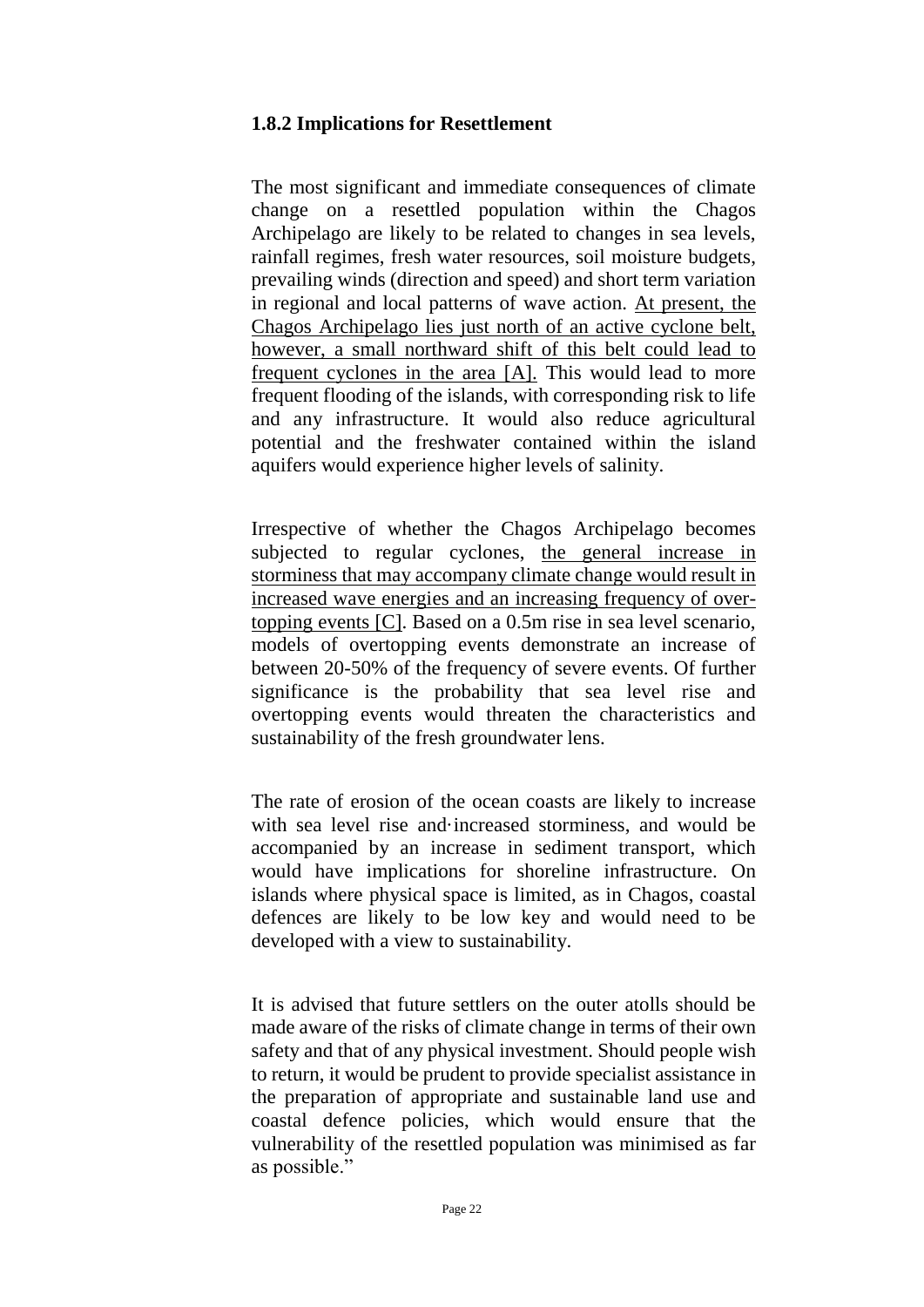#### **1.8.2 Implications for Resettlement**

The most significant and immediate consequences of climate change on a resettled population within the Chagos Archipelago are likely to be related to changes in sea levels, rainfall regimes, fresh water resources, soil moisture budgets, prevailing winds (direction and speed) and short term variation in regional and local patterns of wave action. At present, the Chagos Archipelago lies just north of an active cyclone belt, however, a small northward shift of this belt could lead to frequent cyclones in the area [A]. This would lead to more frequent flooding of the islands, with corresponding risk to life and any infrastructure. It would also reduce agricultural potential and the freshwater contained within the island aquifers would experience higher levels of salinity.

Irrespective of whether the Chagos Archipelago becomes subjected to regular cyclones, the general increase in storminess that may accompany climate change would result in increased wave energies and an increasing frequency of overtopping events [C]. Based on a 0.5m rise in sea level scenario, models of overtopping events demonstrate an increase of between 20-50% of the frequency of severe events. Of further significance is the probability that sea level rise and overtopping events would threaten the characteristics and sustainability of the fresh groundwater lens.

The rate of erosion of the ocean coasts are likely to increase with sea level rise and·increased storminess, and would be accompanied by an increase in sediment transport, which would have implications for shoreline infrastructure. On islands where physical space is limited, as in Chagos, coastal defences are likely to be low key and would need to be developed with a view to sustainability.

It is advised that future settlers on the outer atolls should be made aware of the risks of climate change in terms of their own safety and that of any physical investment. Should people wish to return, it would be prudent to provide specialist assistance in the preparation of appropriate and sustainable land use and coastal defence policies, which would ensure that the vulnerability of the resettled population was minimised as far as possible."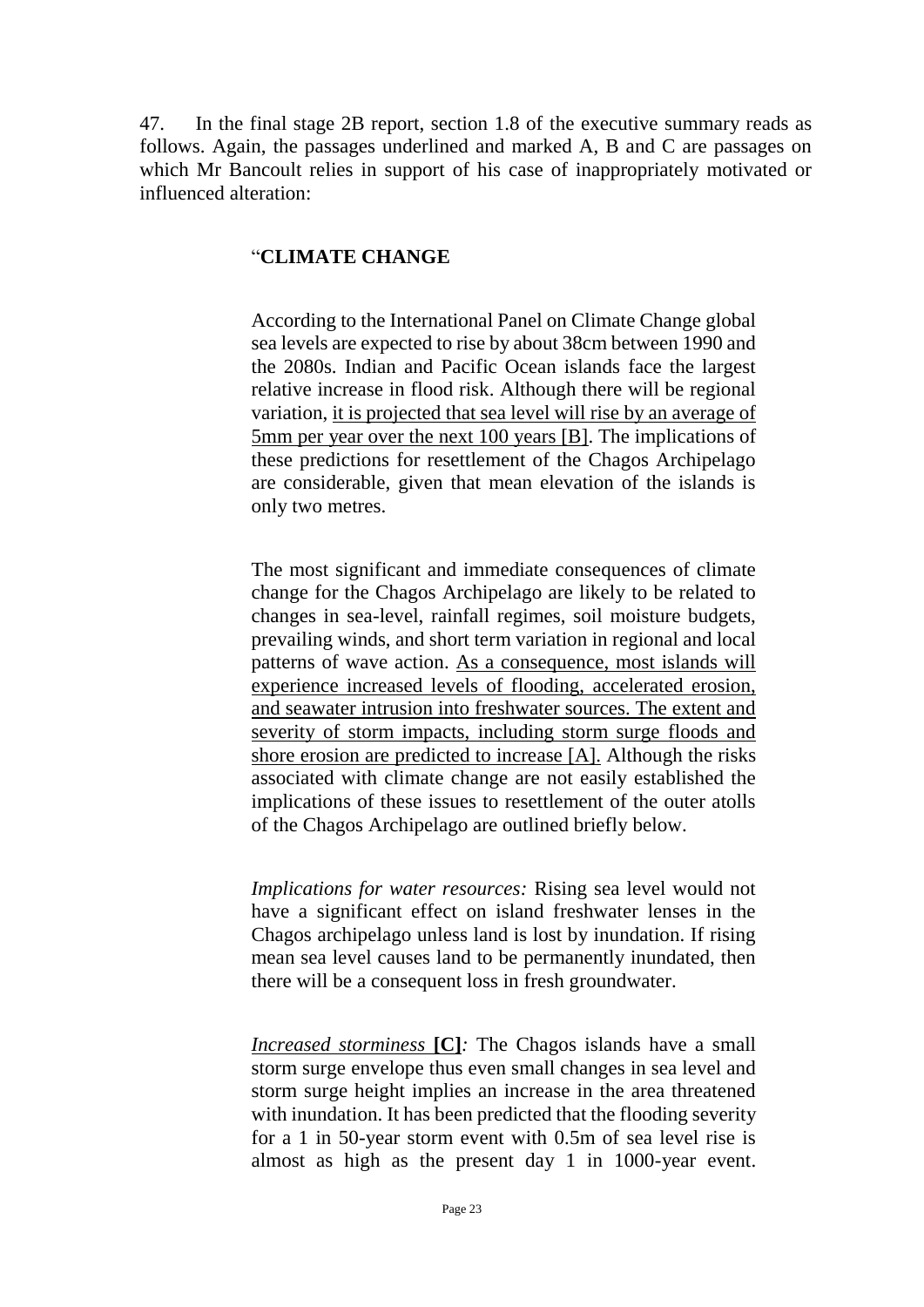47. In the final stage 2B report, section 1.8 of the executive summary reads as follows. Again, the passages underlined and marked A, B and C are passages on which Mr Bancoult relies in support of his case of inappropriately motivated or influenced alteration:

## "**CLIMATE CHANGE**

According to the International Panel on Climate Change global sea levels are expected to rise by about 38cm between 1990 and the 2080s. Indian and Pacific Ocean islands face the largest relative increase in flood risk. Although there will be regional variation, it is projected that sea level will rise by an average of 5mm per year over the next 100 years [B]. The implications of these predictions for resettlement of the Chagos Archipelago are considerable, given that mean elevation of the islands is only two metres.

The most significant and immediate consequences of climate change for the Chagos Archipelago are likely to be related to changes in sea-level, rainfall regimes, soil moisture budgets, prevailing winds, and short term variation in regional and local patterns of wave action. As a consequence, most islands will experience increased levels of flooding, accelerated erosion, and seawater intrusion into freshwater sources. The extent and severity of storm impacts, including storm surge floods and shore erosion are predicted to increase [A]. Although the risks associated with climate change are not easily established the implications of these issues to resettlement of the outer atolls of the Chagos Archipelago are outlined briefly below.

*Implications for water resources:* Rising sea level would not have a significant effect on island freshwater lenses in the Chagos archipelago unless land is lost by inundation. If rising mean sea level causes land to be permanently inundated, then there will be a consequent loss in fresh groundwater.

*Increased storminess* **[C]***:* The Chagos islands have a small storm surge envelope thus even small changes in sea level and storm surge height implies an increase in the area threatened with inundation. It has been predicted that the flooding severity for a 1 in 50-year storm event with 0.5m of sea level rise is almost as high as the present day 1 in 1000-year event.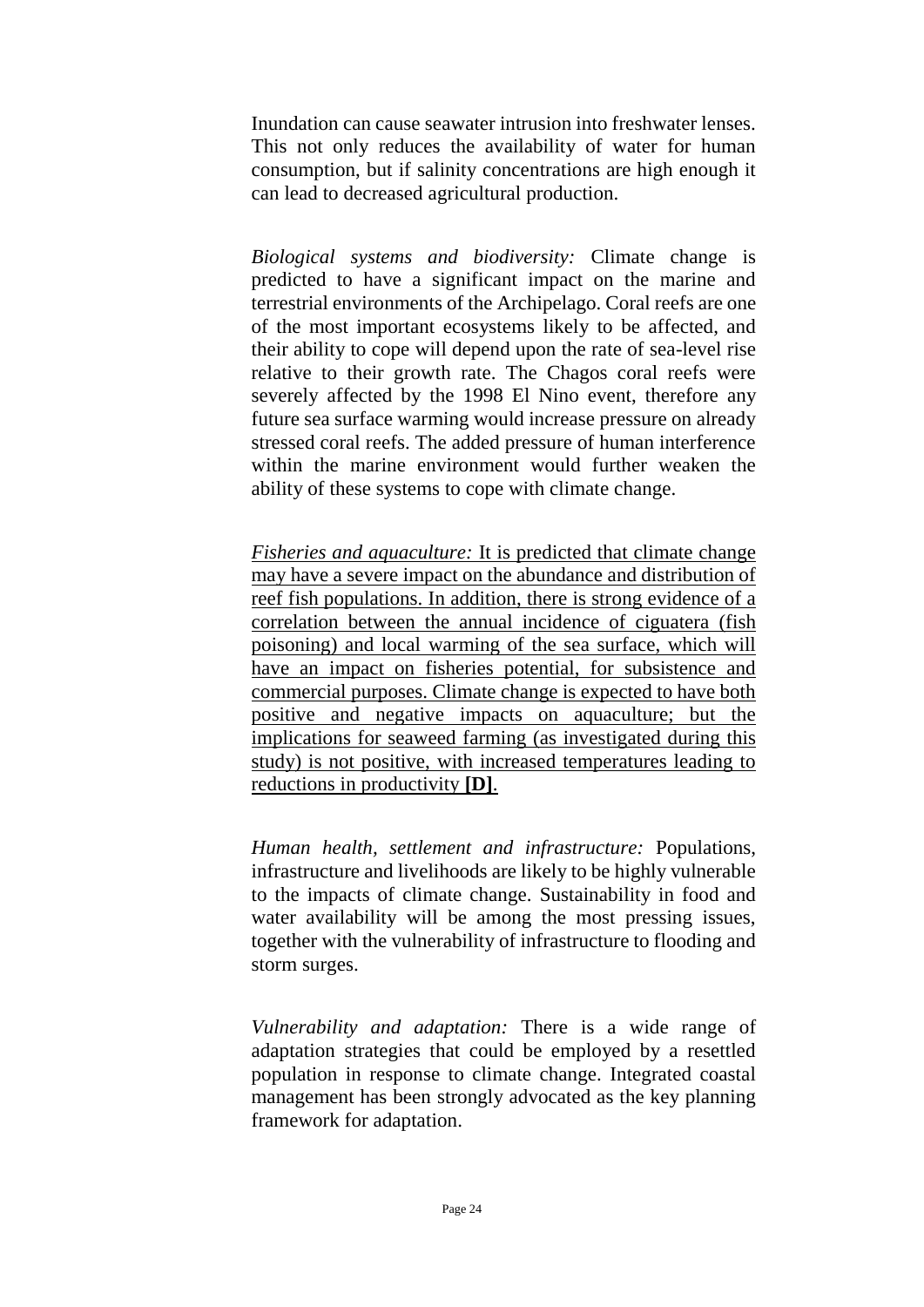Inundation can cause seawater intrusion into freshwater lenses. This not only reduces the availability of water for human consumption, but if salinity concentrations are high enough it can lead to decreased agricultural production.

*Biological systems and biodiversity:* Climate change is predicted to have a significant impact on the marine and terrestrial environments of the Archipelago. Coral reefs are one of the most important ecosystems likely to be affected, and their ability to cope will depend upon the rate of sea-level rise relative to their growth rate. The Chagos coral reefs were severely affected by the 1998 El Nino event, therefore any future sea surface warming would increase pressure on already stressed coral reefs. The added pressure of human interference within the marine environment would further weaken the ability of these systems to cope with climate change.

*Fisheries and aquaculture:* It is predicted that climate change may have a severe impact on the abundance and distribution of reef fish populations. In addition, there is strong evidence of a correlation between the annual incidence of ciguatera (fish poisoning) and local warming of the sea surface, which will have an impact on fisheries potential, for subsistence and commercial purposes. Climate change is expected to have both positive and negative impacts on aquaculture; but the implications for seaweed farming (as investigated during this study) is not positive, with increased temperatures leading to reductions in productivity **[D]**.

*Human health, settlement and infrastructure:* Populations, infrastructure and livelihoods are likely to be highly vulnerable to the impacts of climate change. Sustainability in food and water availability will be among the most pressing issues, together with the vulnerability of infrastructure to flooding and storm surges.

*Vulnerability and adaptation:* There is a wide range of adaptation strategies that could be employed by a resettled population in response to climate change. Integrated coastal management has been strongly advocated as the key planning framework for adaptation.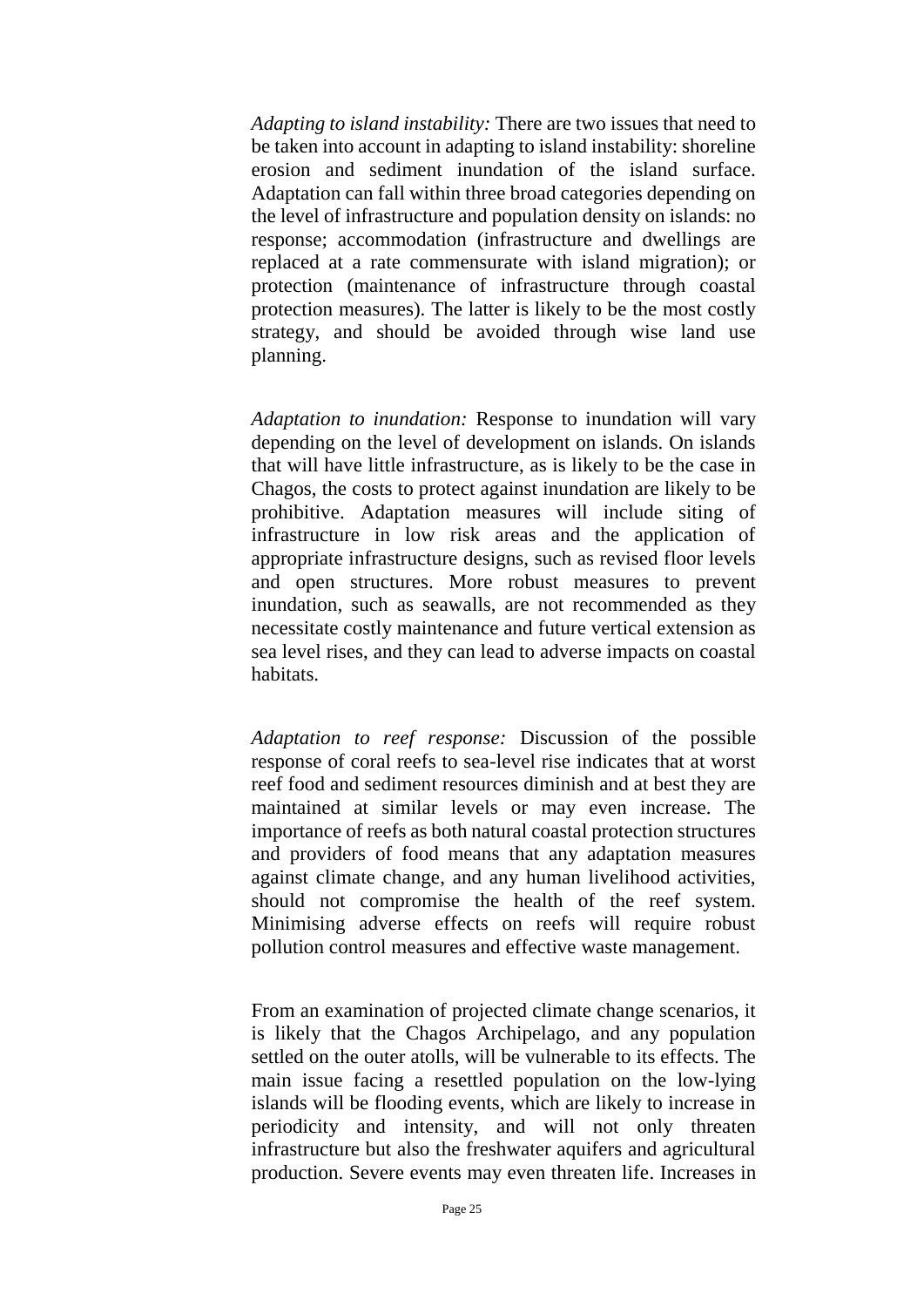*Adapting to island instability:* There are two issues that need to be taken into account in adapting to island instability: shoreline erosion and sediment inundation of the island surface. Adaptation can fall within three broad categories depending on the level of infrastructure and population density on islands: no response; accommodation (infrastructure and dwellings are replaced at a rate commensurate with island migration); or protection (maintenance of infrastructure through coastal protection measures). The latter is likely to be the most costly strategy, and should be avoided through wise land use planning.

*Adaptation to inundation:* Response to inundation will vary depending on the level of development on islands. On islands that will have little infrastructure, as is likely to be the case in Chagos, the costs to protect against inundation are likely to be prohibitive. Adaptation measures will include siting of infrastructure in low risk areas and the application of appropriate infrastructure designs, such as revised floor levels and open structures. More robust measures to prevent inundation, such as seawalls, are not recommended as they necessitate costly maintenance and future vertical extension as sea level rises, and they can lead to adverse impacts on coastal habitats.

*Adaptation to reef response:* Discussion of the possible response of coral reefs to sea-level rise indicates that at worst reef food and sediment resources diminish and at best they are maintained at similar levels or may even increase. The importance of reefs as both natural coastal protection structures and providers of food means that any adaptation measures against climate change, and any human livelihood activities, should not compromise the health of the reef system. Minimising adverse effects on reefs will require robust pollution control measures and effective waste management.

From an examination of projected climate change scenarios, it is likely that the Chagos Archipelago, and any population settled on the outer atolls, will be vulnerable to its effects. The main issue facing a resettled population on the low-lying islands will be flooding events, which are likely to increase in periodicity and intensity, and will not only threaten infrastructure but also the freshwater aquifers and agricultural production. Severe events may even threaten life. Increases in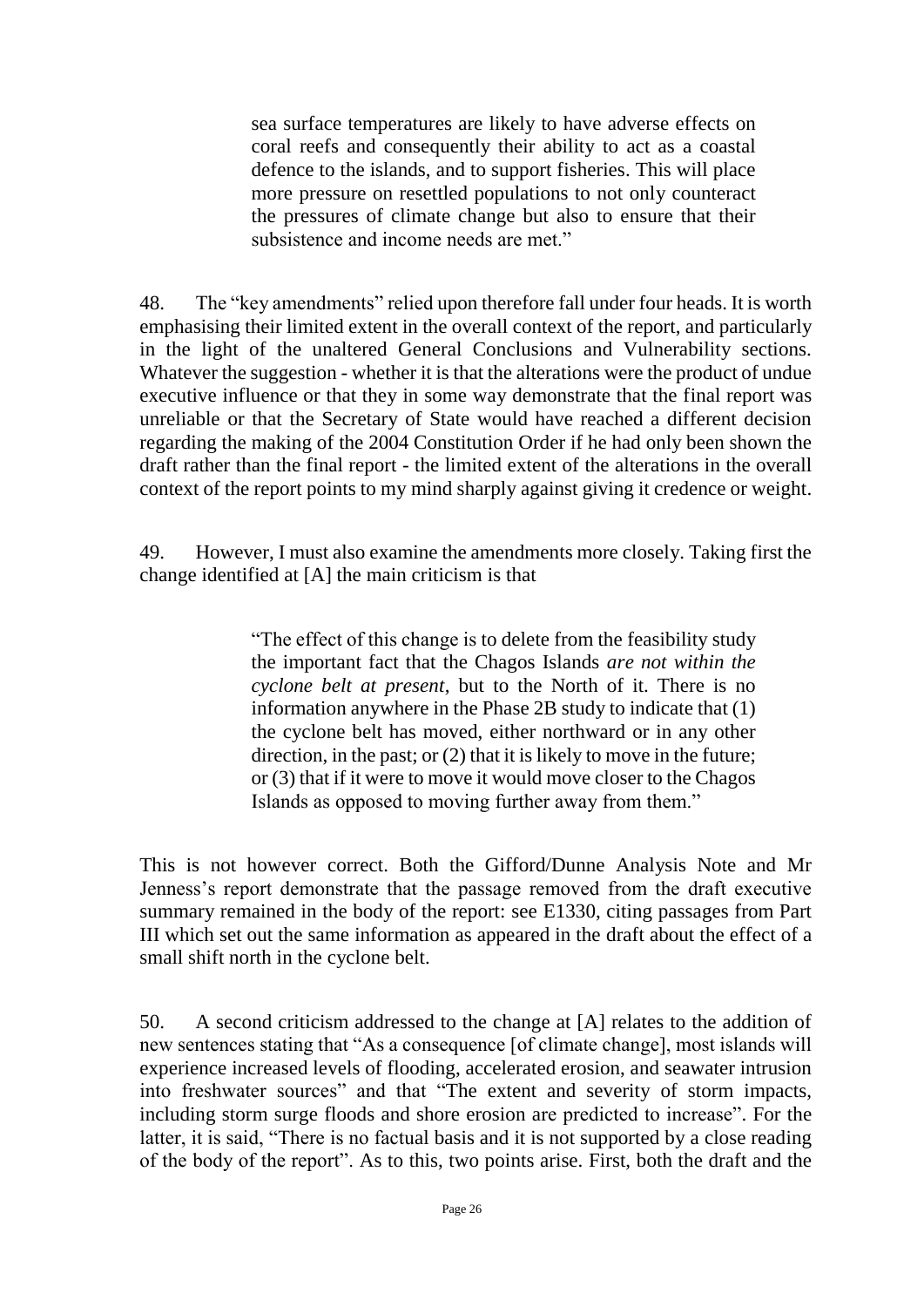sea surface temperatures are likely to have adverse effects on coral reefs and consequently their ability to act as a coastal defence to the islands, and to support fisheries. This will place more pressure on resettled populations to not only counteract the pressures of climate change but also to ensure that their subsistence and income needs are met."

48. The "key amendments" relied upon therefore fall under four heads. It is worth emphasising their limited extent in the overall context of the report, and particularly in the light of the unaltered General Conclusions and Vulnerability sections. Whatever the suggestion - whether it is that the alterations were the product of undue executive influence or that they in some way demonstrate that the final report was unreliable or that the Secretary of State would have reached a different decision regarding the making of the 2004 Constitution Order if he had only been shown the draft rather than the final report - the limited extent of the alterations in the overall context of the report points to my mind sharply against giving it credence or weight.

49. However, I must also examine the amendments more closely. Taking first the change identified at [A] the main criticism is that

> "The effect of this change is to delete from the feasibility study the important fact that the Chagos Islands *are not within the cyclone belt at present*, but to the North of it. There is no information anywhere in the Phase 2B study to indicate that (1) the cyclone belt has moved, either northward or in any other direction, in the past; or (2) that it is likely to move in the future; or (3) that if it were to move it would move closer to the Chagos Islands as opposed to moving further away from them."

This is not however correct. Both the Gifford/Dunne Analysis Note and Mr Jenness's report demonstrate that the passage removed from the draft executive summary remained in the body of the report: see E1330, citing passages from Part III which set out the same information as appeared in the draft about the effect of a small shift north in the cyclone belt.

50. A second criticism addressed to the change at [A] relates to the addition of new sentences stating that "As a consequence [of climate change], most islands will experience increased levels of flooding, accelerated erosion, and seawater intrusion into freshwater sources" and that "The extent and severity of storm impacts, including storm surge floods and shore erosion are predicted to increase". For the latter, it is said, "There is no factual basis and it is not supported by a close reading of the body of the report". As to this, two points arise. First, both the draft and the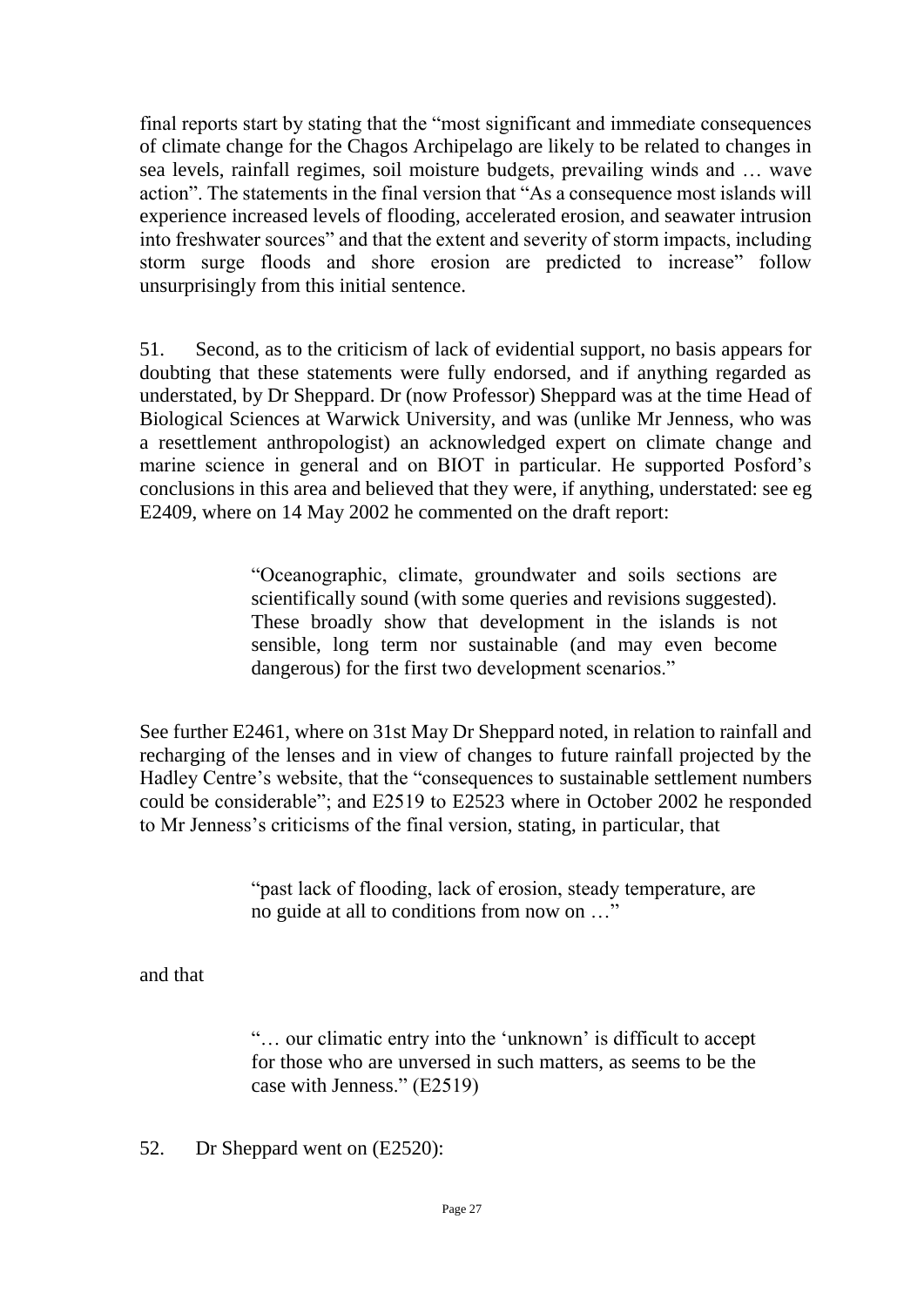final reports start by stating that the "most significant and immediate consequences of climate change for the Chagos Archipelago are likely to be related to changes in sea levels, rainfall regimes, soil moisture budgets, prevailing winds and … wave action". The statements in the final version that "As a consequence most islands will experience increased levels of flooding, accelerated erosion, and seawater intrusion into freshwater sources" and that the extent and severity of storm impacts, including storm surge floods and shore erosion are predicted to increase" follow unsurprisingly from this initial sentence.

51. Second, as to the criticism of lack of evidential support, no basis appears for doubting that these statements were fully endorsed, and if anything regarded as understated, by Dr Sheppard. Dr (now Professor) Sheppard was at the time Head of Biological Sciences at Warwick University, and was (unlike Mr Jenness, who was a resettlement anthropologist) an acknowledged expert on climate change and marine science in general and on BIOT in particular. He supported Posford's conclusions in this area and believed that they were, if anything, understated: see eg E2409, where on 14 May 2002 he commented on the draft report:

> "Oceanographic, climate, groundwater and soils sections are scientifically sound (with some queries and revisions suggested). These broadly show that development in the islands is not sensible, long term nor sustainable (and may even become dangerous) for the first two development scenarios."

See further E2461, where on 31st May Dr Sheppard noted, in relation to rainfall and recharging of the lenses and in view of changes to future rainfall projected by the Hadley Centre's website, that the "consequences to sustainable settlement numbers could be considerable"; and E2519 to E2523 where in October 2002 he responded to Mr Jenness's criticisms of the final version, stating, in particular, that

> "past lack of flooding, lack of erosion, steady temperature, are no guide at all to conditions from now on …"

and that

"… our climatic entry into the 'unknown' is difficult to accept for those who are unversed in such matters, as seems to be the case with Jenness." (E2519)

52. Dr Sheppard went on (E2520):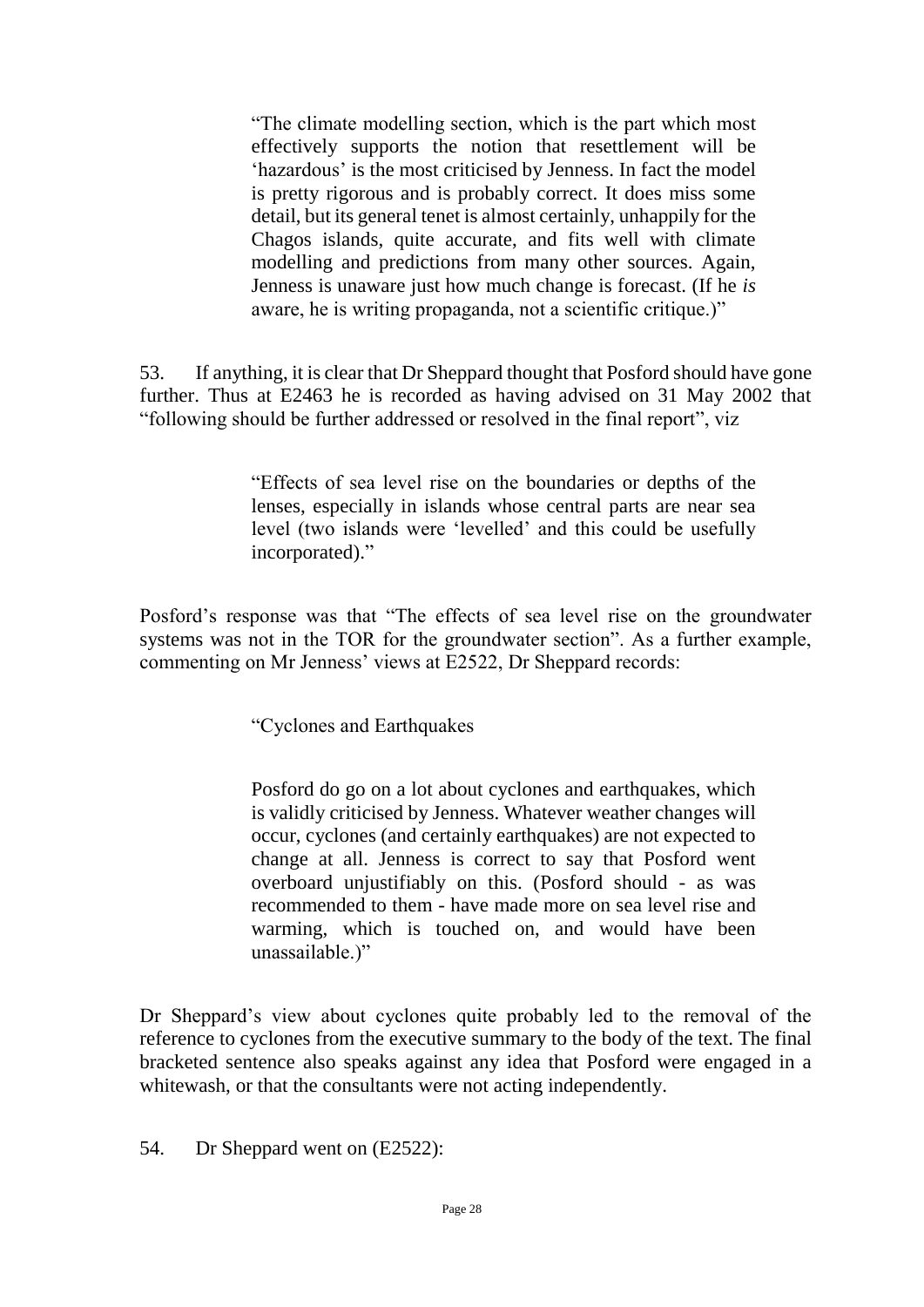"The climate modelling section, which is the part which most effectively supports the notion that resettlement will be 'hazardous' is the most criticised by Jenness. In fact the model is pretty rigorous and is probably correct. It does miss some detail, but its general tenet is almost certainly, unhappily for the Chagos islands, quite accurate, and fits well with climate modelling and predictions from many other sources. Again, Jenness is unaware just how much change is forecast. (If he *is* aware, he is writing propaganda, not a scientific critique.)"

53. If anything, it is clear that Dr Sheppard thought that Posford should have gone further. Thus at E2463 he is recorded as having advised on 31 May 2002 that "following should be further addressed or resolved in the final report", viz

> "Effects of sea level rise on the boundaries or depths of the lenses, especially in islands whose central parts are near sea level (two islands were 'levelled' and this could be usefully incorporated)."

Posford's response was that "The effects of sea level rise on the groundwater systems was not in the TOR for the groundwater section". As a further example, commenting on Mr Jenness' views at E2522, Dr Sheppard records:

"Cyclones and Earthquakes

Posford do go on a lot about cyclones and earthquakes, which is validly criticised by Jenness. Whatever weather changes will occur, cyclones (and certainly earthquakes) are not expected to change at all. Jenness is correct to say that Posford went overboard unjustifiably on this. (Posford should - as was recommended to them - have made more on sea level rise and warming, which is touched on, and would have been unassailable.)"

Dr Sheppard's view about cyclones quite probably led to the removal of the reference to cyclones from the executive summary to the body of the text. The final bracketed sentence also speaks against any idea that Posford were engaged in a whitewash, or that the consultants were not acting independently.

54. Dr Sheppard went on (E2522):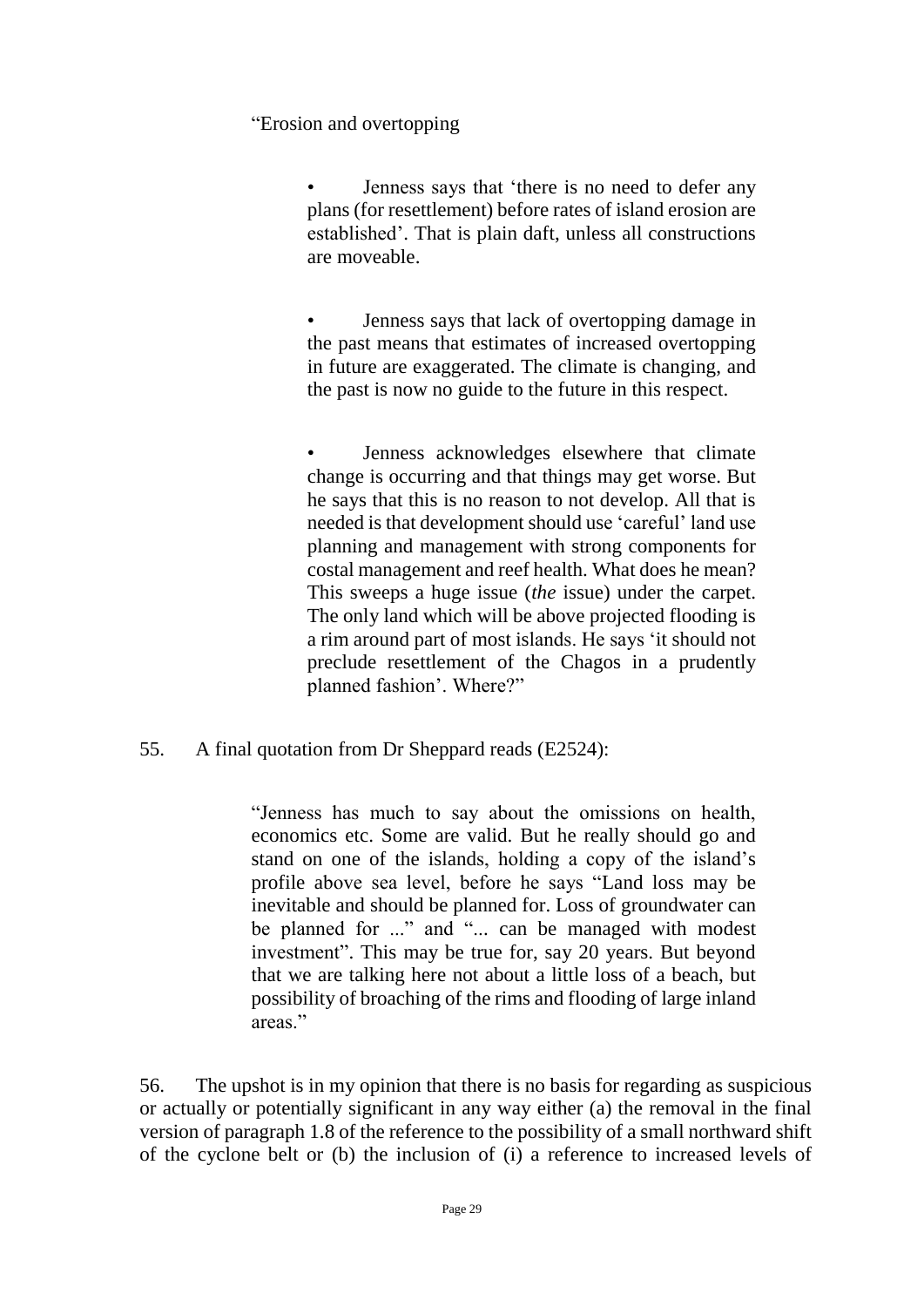"Erosion and overtopping

• Jenness says that 'there is no need to defer any plans (for resettlement) before rates of island erosion are established'. That is plain daft, unless all constructions are moveable.

• Jenness says that lack of overtopping damage in the past means that estimates of increased overtopping in future are exaggerated. The climate is changing, and the past is now no guide to the future in this respect.

• Jenness acknowledges elsewhere that climate change is occurring and that things may get worse. But he says that this is no reason to not develop. All that is needed is that development should use 'careful' land use planning and management with strong components for costal management and reef health. What does he mean? This sweeps a huge issue (*the* issue) under the carpet. The only land which will be above projected flooding is a rim around part of most islands. He says 'it should not preclude resettlement of the Chagos in a prudently planned fashion'. Where?"

55. A final quotation from Dr Sheppard reads (E2524):

"Jenness has much to say about the omissions on health, economics etc. Some are valid. But he really should go and stand on one of the islands, holding a copy of the island's profile above sea level, before he says "Land loss may be inevitable and should be planned for. Loss of groundwater can be planned for ..." and "... can be managed with modest investment". This may be true for, say 20 years. But beyond that we are talking here not about a little loss of a beach, but possibility of broaching of the rims and flooding of large inland areas."

56. The upshot is in my opinion that there is no basis for regarding as suspicious or actually or potentially significant in any way either (a) the removal in the final version of paragraph 1.8 of the reference to the possibility of a small northward shift of the cyclone belt or (b) the inclusion of (i) a reference to increased levels of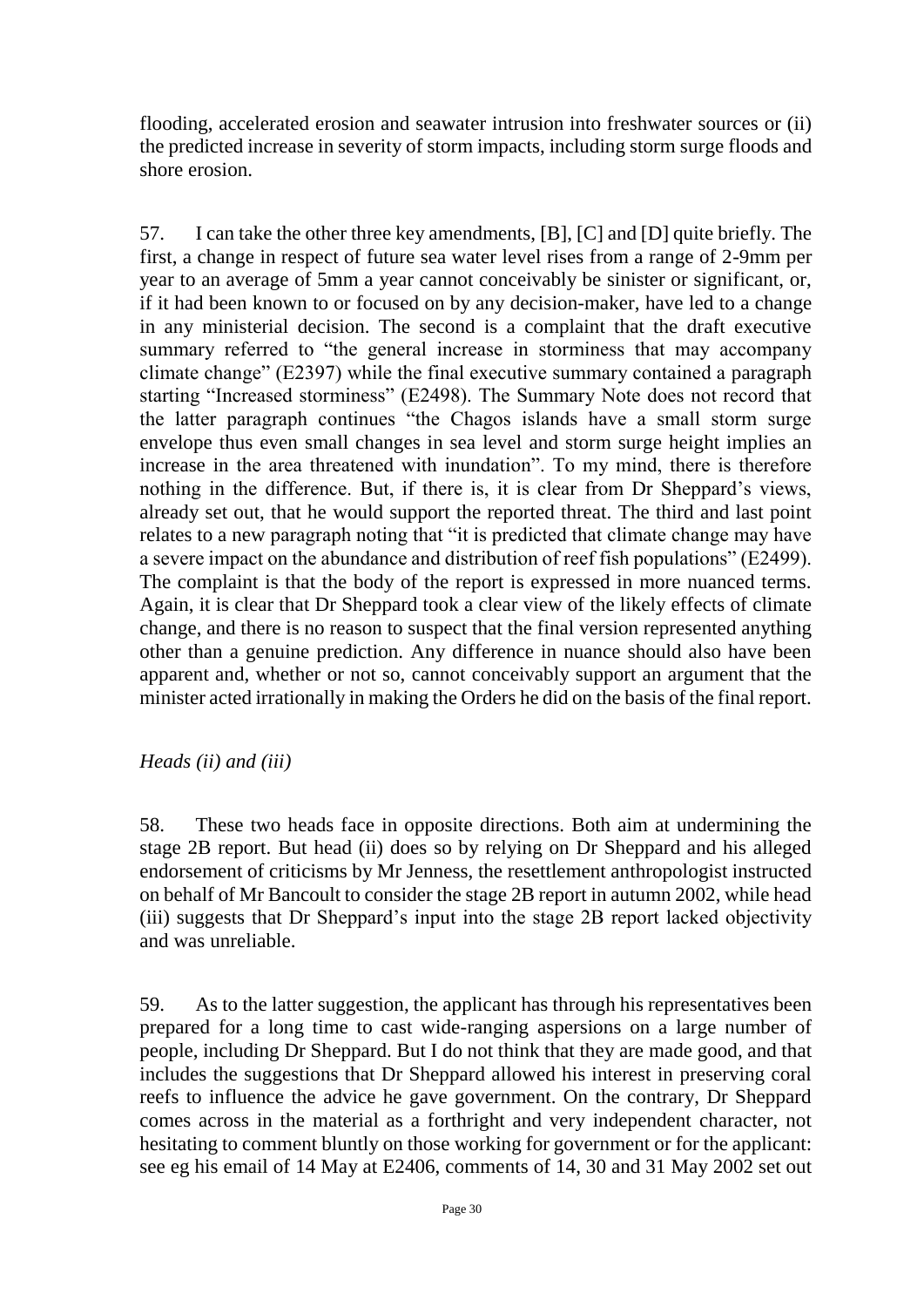flooding, accelerated erosion and seawater intrusion into freshwater sources or (ii) the predicted increase in severity of storm impacts, including storm surge floods and shore erosion.

57. I can take the other three key amendments, [B], [C] and [D] quite briefly. The first, a change in respect of future sea water level rises from a range of 2-9mm per year to an average of 5mm a year cannot conceivably be sinister or significant, or, if it had been known to or focused on by any decision-maker, have led to a change in any ministerial decision. The second is a complaint that the draft executive summary referred to "the general increase in storminess that may accompany climate change" (E2397) while the final executive summary contained a paragraph starting "Increased storminess" (E2498). The Summary Note does not record that the latter paragraph continues "the Chagos islands have a small storm surge envelope thus even small changes in sea level and storm surge height implies an increase in the area threatened with inundation". To my mind, there is therefore nothing in the difference. But, if there is, it is clear from Dr Sheppard's views, already set out, that he would support the reported threat. The third and last point relates to a new paragraph noting that "it is predicted that climate change may have a severe impact on the abundance and distribution of reef fish populations" (E2499). The complaint is that the body of the report is expressed in more nuanced terms. Again, it is clear that Dr Sheppard took a clear view of the likely effects of climate change, and there is no reason to suspect that the final version represented anything other than a genuine prediction. Any difference in nuance should also have been apparent and, whether or not so, cannot conceivably support an argument that the minister acted irrationally in making the Orders he did on the basis of the final report.

### *Heads (ii) and (iii)*

58. These two heads face in opposite directions. Both aim at undermining the stage 2B report. But head (ii) does so by relying on Dr Sheppard and his alleged endorsement of criticisms by Mr Jenness, the resettlement anthropologist instructed on behalf of Mr Bancoult to consider the stage 2B report in autumn 2002, while head (iii) suggests that Dr Sheppard's input into the stage 2B report lacked objectivity and was unreliable.

59. As to the latter suggestion, the applicant has through his representatives been prepared for a long time to cast wide-ranging aspersions on a large number of people, including Dr Sheppard. But I do not think that they are made good, and that includes the suggestions that Dr Sheppard allowed his interest in preserving coral reefs to influence the advice he gave government. On the contrary, Dr Sheppard comes across in the material as a forthright and very independent character, not hesitating to comment bluntly on those working for government or for the applicant: see eg his email of 14 May at E2406, comments of 14, 30 and 31 May 2002 set out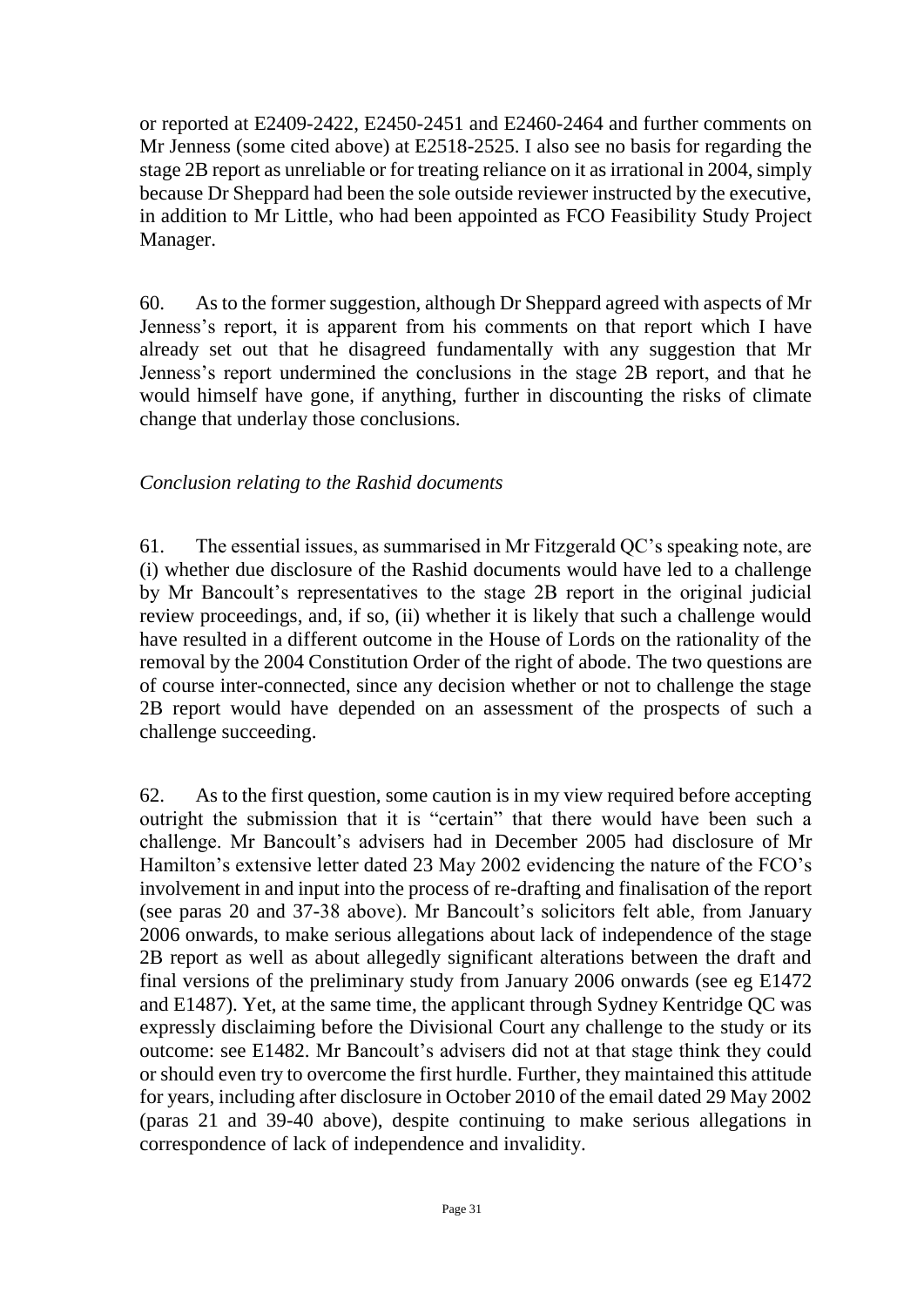or reported at E2409-2422, E2450-2451 and E2460-2464 and further comments on Mr Jenness (some cited above) at E2518-2525. I also see no basis for regarding the stage 2B report as unreliable or for treating reliance on it as irrational in 2004, simply because Dr Sheppard had been the sole outside reviewer instructed by the executive, in addition to Mr Little, who had been appointed as FCO Feasibility Study Project Manager.

60. As to the former suggestion, although Dr Sheppard agreed with aspects of Mr Jenness's report, it is apparent from his comments on that report which I have already set out that he disagreed fundamentally with any suggestion that Mr Jenness's report undermined the conclusions in the stage 2B report, and that he would himself have gone, if anything, further in discounting the risks of climate change that underlay those conclusions.

## *Conclusion relating to the Rashid documents*

61. The essential issues, as summarised in Mr Fitzgerald QC's speaking note, are (i) whether due disclosure of the Rashid documents would have led to a challenge by Mr Bancoult's representatives to the stage 2B report in the original judicial review proceedings, and, if so, (ii) whether it is likely that such a challenge would have resulted in a different outcome in the House of Lords on the rationality of the removal by the 2004 Constitution Order of the right of abode. The two questions are of course inter-connected, since any decision whether or not to challenge the stage 2B report would have depended on an assessment of the prospects of such a challenge succeeding.

62. As to the first question, some caution is in my view required before accepting outright the submission that it is "certain" that there would have been such a challenge. Mr Bancoult's advisers had in December 2005 had disclosure of Mr Hamilton's extensive letter dated 23 May 2002 evidencing the nature of the FCO's involvement in and input into the process of re-drafting and finalisation of the report (see paras 20 and 37-38 above). Mr Bancoult's solicitors felt able, from January 2006 onwards, to make serious allegations about lack of independence of the stage 2B report as well as about allegedly significant alterations between the draft and final versions of the preliminary study from January 2006 onwards (see eg E1472 and E1487). Yet, at the same time, the applicant through Sydney Kentridge QC was expressly disclaiming before the Divisional Court any challenge to the study or its outcome: see E1482. Mr Bancoult's advisers did not at that stage think they could or should even try to overcome the first hurdle. Further, they maintained this attitude for years, including after disclosure in October 2010 of the email dated 29 May 2002 (paras 21 and 39-40 above), despite continuing to make serious allegations in correspondence of lack of independence and invalidity.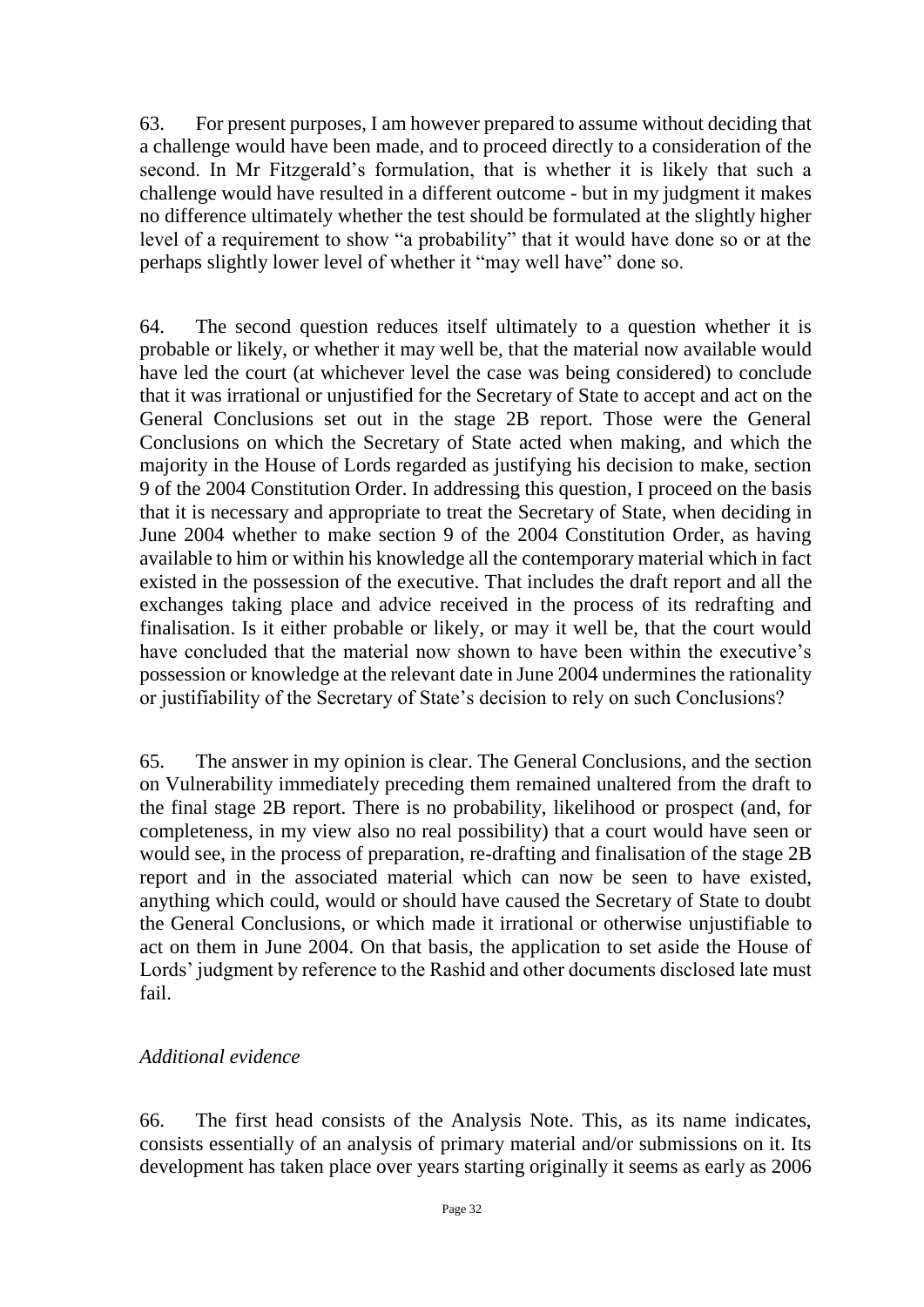63. For present purposes, I am however prepared to assume without deciding that a challenge would have been made, and to proceed directly to a consideration of the second. In Mr Fitzgerald's formulation, that is whether it is likely that such a challenge would have resulted in a different outcome - but in my judgment it makes no difference ultimately whether the test should be formulated at the slightly higher level of a requirement to show "a probability" that it would have done so or at the perhaps slightly lower level of whether it "may well have" done so.

64. The second question reduces itself ultimately to a question whether it is probable or likely, or whether it may well be, that the material now available would have led the court (at whichever level the case was being considered) to conclude that it was irrational or unjustified for the Secretary of State to accept and act on the General Conclusions set out in the stage 2B report. Those were the General Conclusions on which the Secretary of State acted when making, and which the majority in the House of Lords regarded as justifying his decision to make, section 9 of the 2004 Constitution Order. In addressing this question, I proceed on the basis that it is necessary and appropriate to treat the Secretary of State, when deciding in June 2004 whether to make section 9 of the 2004 Constitution Order, as having available to him or within his knowledge all the contemporary material which in fact existed in the possession of the executive. That includes the draft report and all the exchanges taking place and advice received in the process of its redrafting and finalisation. Is it either probable or likely, or may it well be, that the court would have concluded that the material now shown to have been within the executive's possession or knowledge at the relevant date in June 2004 undermines the rationality or justifiability of the Secretary of State's decision to rely on such Conclusions?

65. The answer in my opinion is clear. The General Conclusions, and the section on Vulnerability immediately preceding them remained unaltered from the draft to the final stage 2B report. There is no probability, likelihood or prospect (and, for completeness, in my view also no real possibility) that a court would have seen or would see, in the process of preparation, re-drafting and finalisation of the stage 2B report and in the associated material which can now be seen to have existed, anything which could, would or should have caused the Secretary of State to doubt the General Conclusions, or which made it irrational or otherwise unjustifiable to act on them in June 2004. On that basis, the application to set aside the House of Lords' judgment by reference to the Rashid and other documents disclosed late must fail.

### *Additional evidence*

66. The first head consists of the Analysis Note. This, as its name indicates, consists essentially of an analysis of primary material and/or submissions on it. Its development has taken place over years starting originally it seems as early as 2006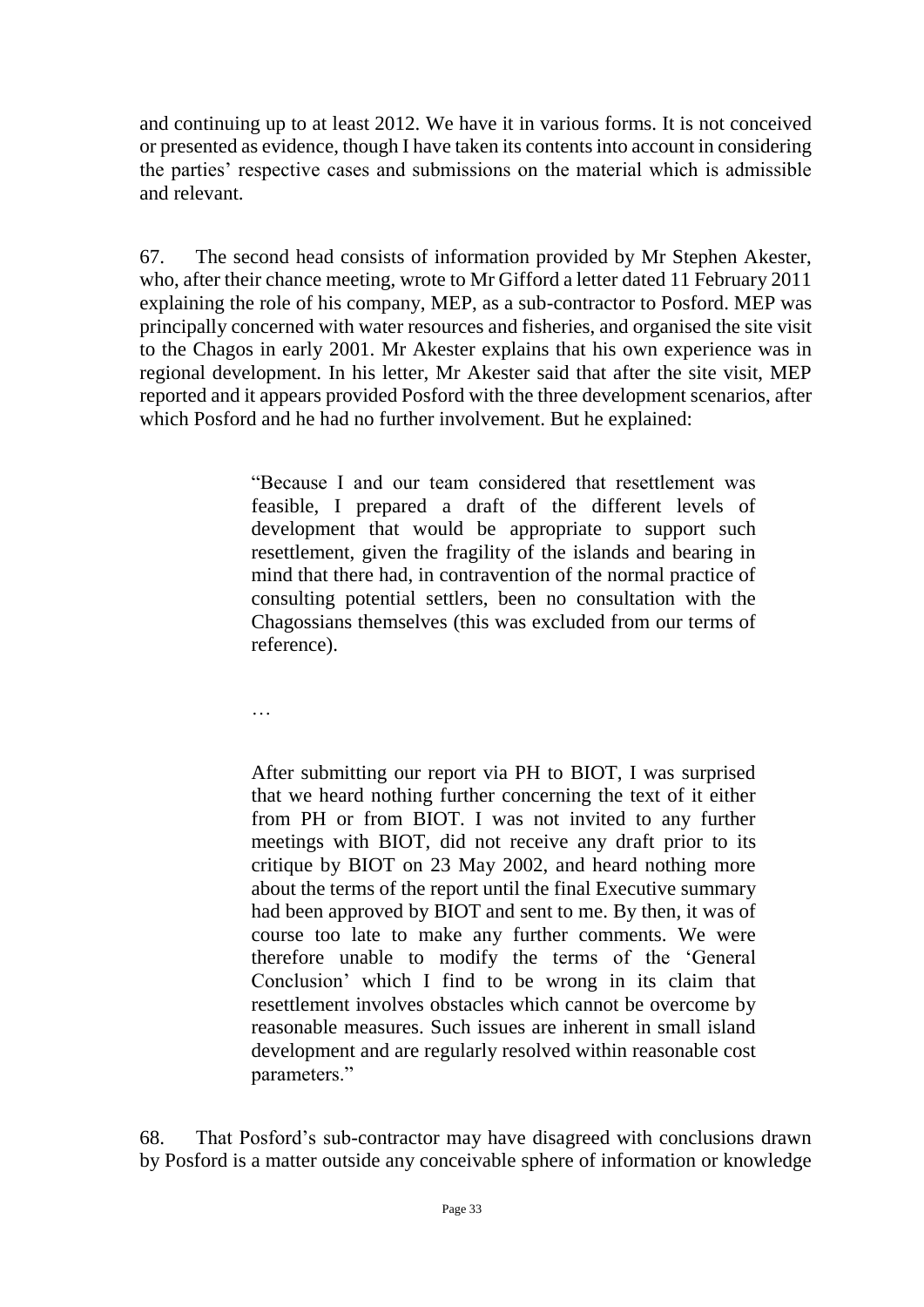and continuing up to at least 2012. We have it in various forms. It is not conceived or presented as evidence, though I have taken its contents into account in considering the parties' respective cases and submissions on the material which is admissible and relevant.

67. The second head consists of information provided by Mr Stephen Akester, who, after their chance meeting, wrote to Mr Gifford a letter dated 11 February 2011 explaining the role of his company, MEP, as a sub-contractor to Posford. MEP was principally concerned with water resources and fisheries, and organised the site visit to the Chagos in early 2001. Mr Akester explains that his own experience was in regional development. In his letter, Mr Akester said that after the site visit, MEP reported and it appears provided Posford with the three development scenarios, after which Posford and he had no further involvement. But he explained:

> "Because I and our team considered that resettlement was feasible, I prepared a draft of the different levels of development that would be appropriate to support such resettlement, given the fragility of the islands and bearing in mind that there had, in contravention of the normal practice of consulting potential settlers, been no consultation with the Chagossians themselves (this was excluded from our terms of reference).

…

After submitting our report via PH to BIOT, I was surprised that we heard nothing further concerning the text of it either from PH or from BIOT. I was not invited to any further meetings with BIOT, did not receive any draft prior to its critique by BIOT on 23 May 2002, and heard nothing more about the terms of the report until the final Executive summary had been approved by BIOT and sent to me. By then, it was of course too late to make any further comments. We were therefore unable to modify the terms of the 'General Conclusion' which I find to be wrong in its claim that resettlement involves obstacles which cannot be overcome by reasonable measures. Such issues are inherent in small island development and are regularly resolved within reasonable cost parameters."

68. That Posford's sub-contractor may have disagreed with conclusions drawn by Posford is a matter outside any conceivable sphere of information or knowledge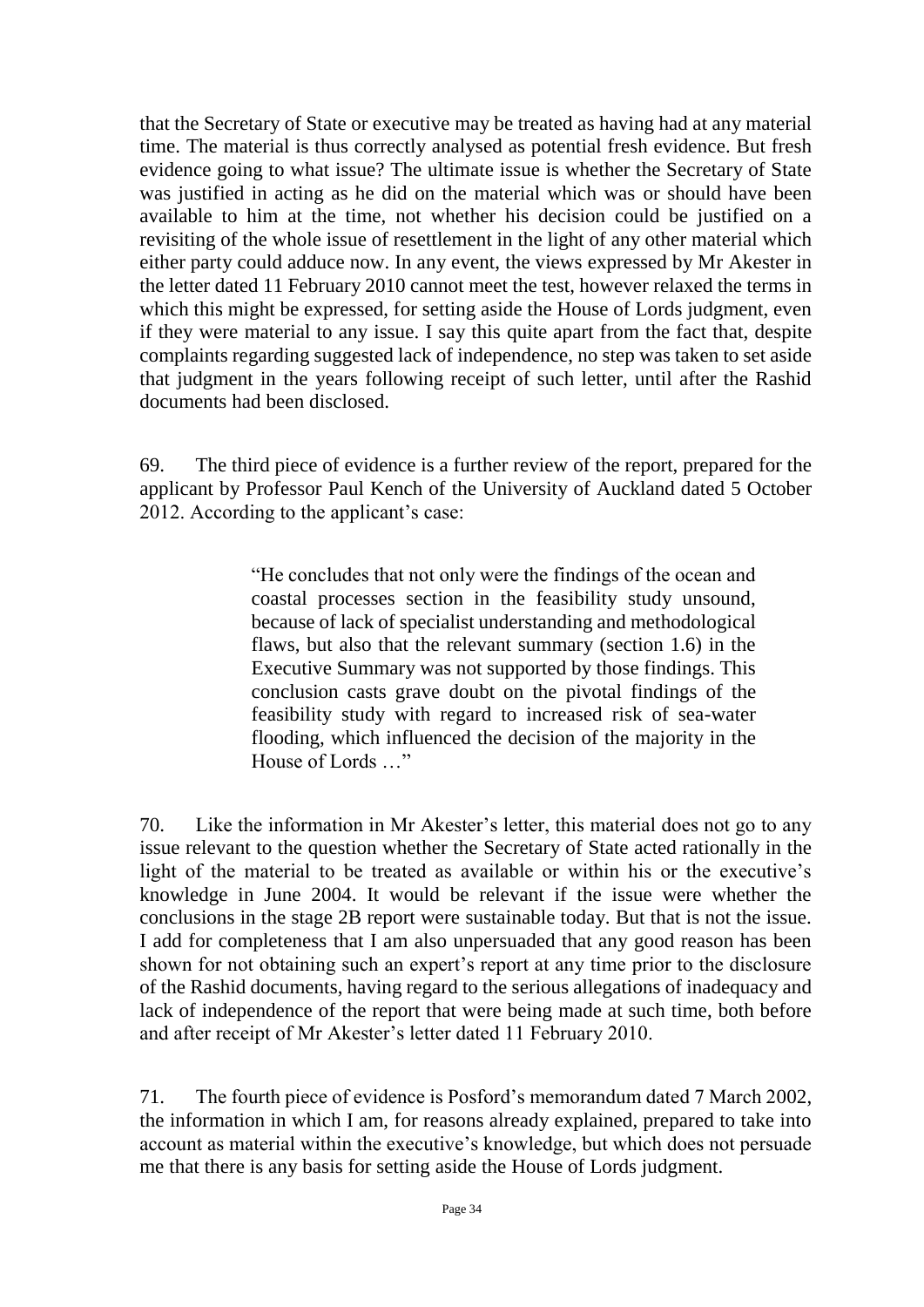that the Secretary of State or executive may be treated as having had at any material time. The material is thus correctly analysed as potential fresh evidence. But fresh evidence going to what issue? The ultimate issue is whether the Secretary of State was justified in acting as he did on the material which was or should have been available to him at the time, not whether his decision could be justified on a revisiting of the whole issue of resettlement in the light of any other material which either party could adduce now. In any event, the views expressed by Mr Akester in the letter dated 11 February 2010 cannot meet the test, however relaxed the terms in which this might be expressed, for setting aside the House of Lords judgment, even if they were material to any issue. I say this quite apart from the fact that, despite complaints regarding suggested lack of independence, no step was taken to set aside that judgment in the years following receipt of such letter, until after the Rashid documents had been disclosed.

69. The third piece of evidence is a further review of the report, prepared for the applicant by Professor Paul Kench of the University of Auckland dated 5 October 2012. According to the applicant's case:

> "He concludes that not only were the findings of the ocean and coastal processes section in the feasibility study unsound, because of lack of specialist understanding and methodological flaws, but also that the relevant summary (section 1.6) in the Executive Summary was not supported by those findings. This conclusion casts grave doubt on the pivotal findings of the feasibility study with regard to increased risk of sea-water flooding, which influenced the decision of the majority in the House of Lords …"

70. Like the information in Mr Akester's letter, this material does not go to any issue relevant to the question whether the Secretary of State acted rationally in the light of the material to be treated as available or within his or the executive's knowledge in June 2004. It would be relevant if the issue were whether the conclusions in the stage 2B report were sustainable today. But that is not the issue. I add for completeness that I am also unpersuaded that any good reason has been shown for not obtaining such an expert's report at any time prior to the disclosure of the Rashid documents, having regard to the serious allegations of inadequacy and lack of independence of the report that were being made at such time, both before and after receipt of Mr Akester's letter dated 11 February 2010.

71. The fourth piece of evidence is Posford's memorandum dated 7 March 2002, the information in which I am, for reasons already explained, prepared to take into account as material within the executive's knowledge, but which does not persuade me that there is any basis for setting aside the House of Lords judgment.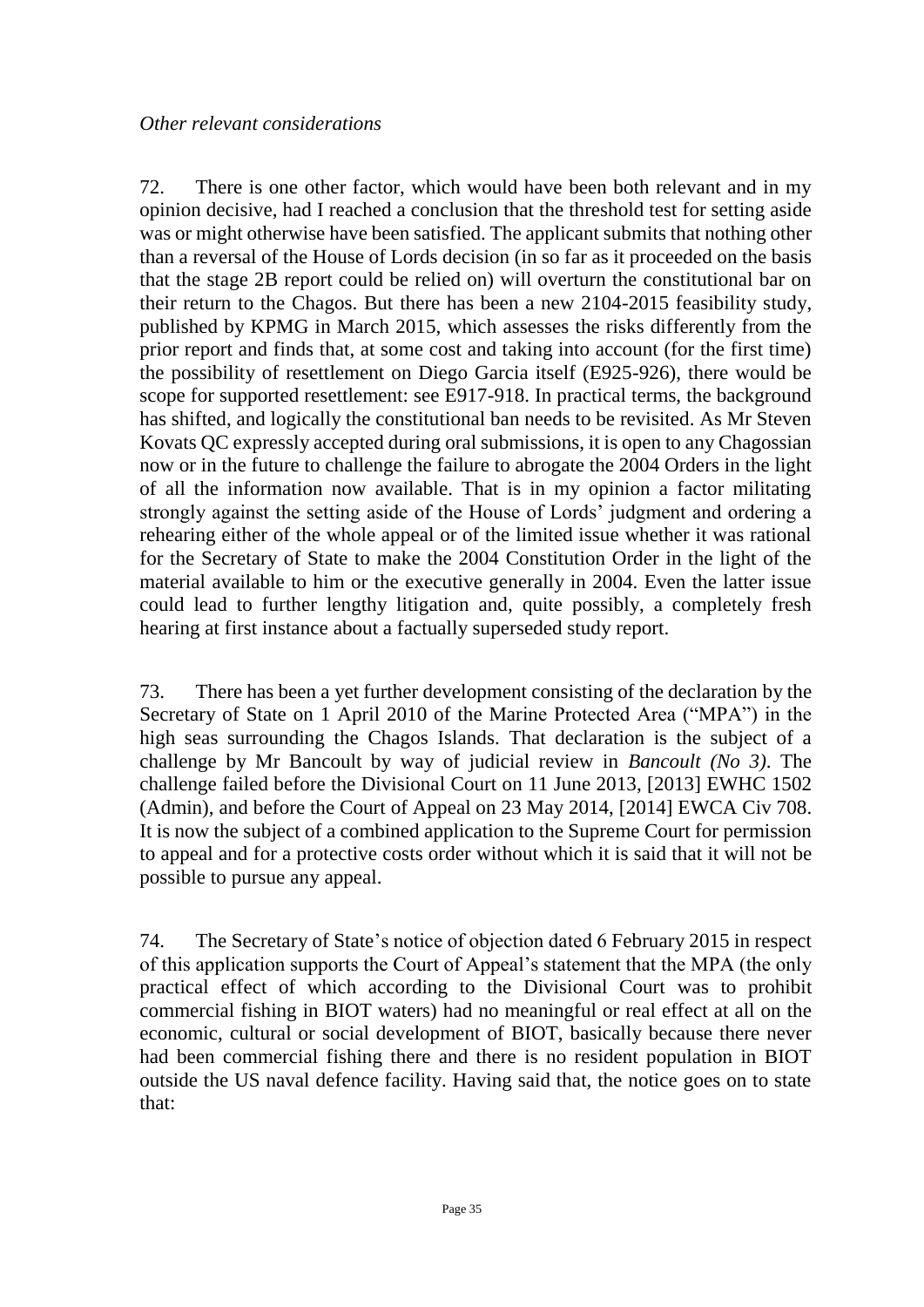72. There is one other factor, which would have been both relevant and in my opinion decisive, had I reached a conclusion that the threshold test for setting aside was or might otherwise have been satisfied. The applicant submits that nothing other than a reversal of the House of Lords decision (in so far as it proceeded on the basis that the stage 2B report could be relied on) will overturn the constitutional bar on their return to the Chagos. But there has been a new 2104-2015 feasibility study, published by KPMG in March 2015, which assesses the risks differently from the prior report and finds that, at some cost and taking into account (for the first time) the possibility of resettlement on Diego Garcia itself (E925-926), there would be scope for supported resettlement: see E917-918. In practical terms, the background has shifted, and logically the constitutional ban needs to be revisited. As Mr Steven Kovats QC expressly accepted during oral submissions, it is open to any Chagossian now or in the future to challenge the failure to abrogate the 2004 Orders in the light of all the information now available. That is in my opinion a factor militating strongly against the setting aside of the House of Lords' judgment and ordering a rehearing either of the whole appeal or of the limited issue whether it was rational for the Secretary of State to make the 2004 Constitution Order in the light of the material available to him or the executive generally in 2004. Even the latter issue could lead to further lengthy litigation and, quite possibly, a completely fresh hearing at first instance about a factually superseded study report.

73. There has been a yet further development consisting of the declaration by the Secretary of State on 1 April 2010 of the Marine Protected Area ("MPA") in the high seas surrounding the Chagos Islands. That declaration is the subject of a challenge by Mr Bancoult by way of judicial review in *Bancoult (No 3)*. The challenge failed before the Divisional Court on 11 June 2013, [2013] EWHC 1502 (Admin), and before the Court of Appeal on 23 May 2014, [2014] EWCA Civ 708. It is now the subject of a combined application to the Supreme Court for permission to appeal and for a protective costs order without which it is said that it will not be possible to pursue any appeal.

74. The Secretary of State's notice of objection dated 6 February 2015 in respect of this application supports the Court of Appeal's statement that the MPA (the only practical effect of which according to the Divisional Court was to prohibit commercial fishing in BIOT waters) had no meaningful or real effect at all on the economic, cultural or social development of BIOT, basically because there never had been commercial fishing there and there is no resident population in BIOT outside the US naval defence facility. Having said that, the notice goes on to state that: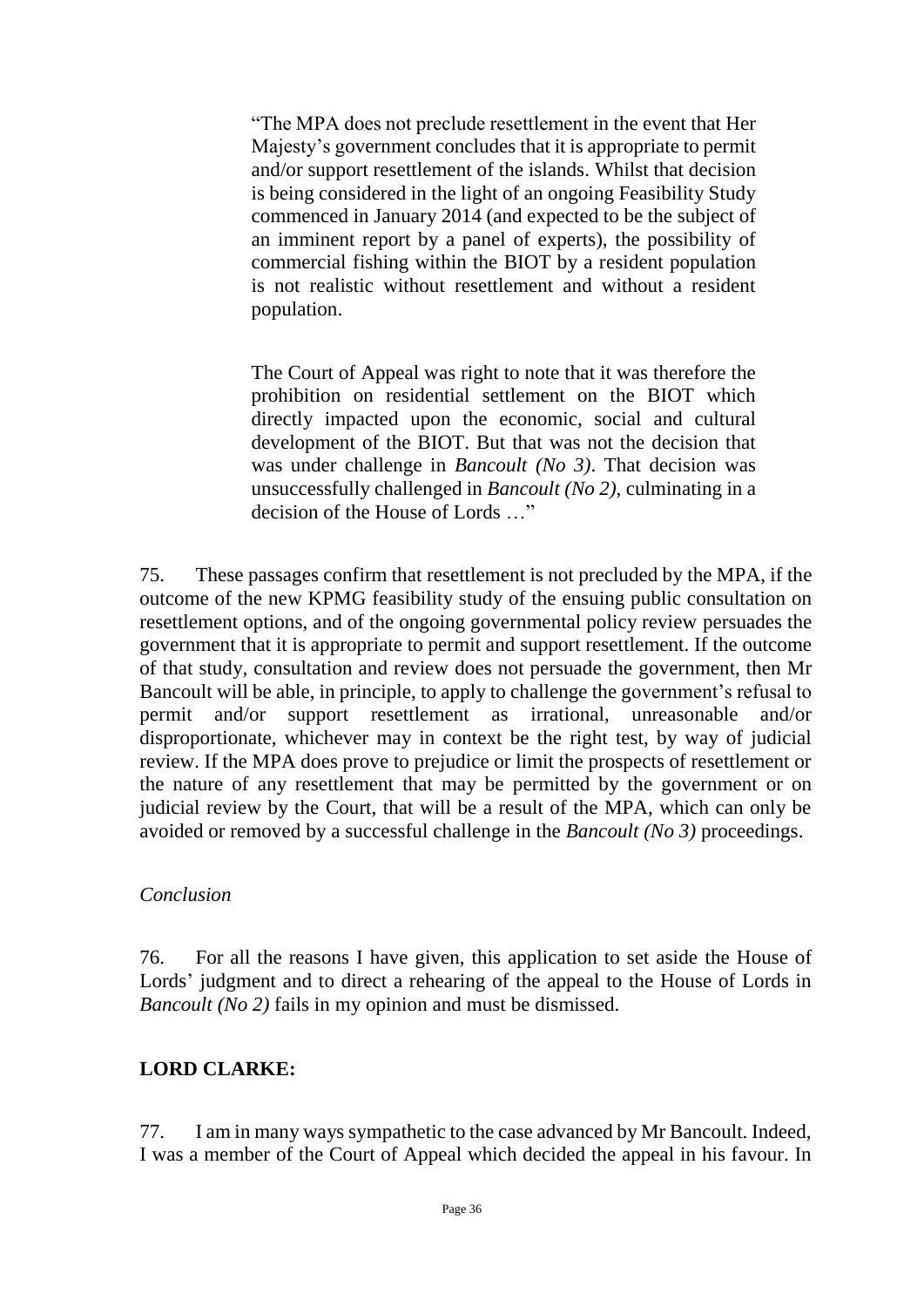"The MPA does not preclude resettlement in the event that Her Majesty's government concludes that it is appropriate to permit and/or support resettlement of the islands. Whilst that decision is being considered in the light of an ongoing Feasibility Study commenced in January 2014 (and expected to be the subject of an imminent report by a panel of experts), the possibility of commercial fishing within the BIOT by a resident population is not realistic without resettlement and without a resident population.

The Court of Appeal was right to note that it was therefore the prohibition on residential settlement on the BIOT which directly impacted upon the economic, social and cultural development of the BIOT. But that was not the decision that was under challenge in *Bancoult (No 3)*. That decision was unsuccessfully challenged in *Bancoult (No 2)*, culminating in a decision of the House of Lords …"

75. These passages confirm that resettlement is not precluded by the MPA, if the outcome of the new KPMG feasibility study of the ensuing public consultation on resettlement options, and of the ongoing governmental policy review persuades the government that it is appropriate to permit and support resettlement. If the outcome of that study, consultation and review does not persuade the government, then Mr Bancoult will be able, in principle, to apply to challenge the government's refusal to permit and/or support resettlement as irrational, unreasonable and/or disproportionate, whichever may in context be the right test, by way of judicial review. If the MPA does prove to prejudice or limit the prospects of resettlement or the nature of any resettlement that may be permitted by the government or on judicial review by the Court, that will be a result of the MPA, which can only be avoided or removed by a successful challenge in the *Bancoult (No 3)* proceedings.

#### *Conclusion*

76. For all the reasons I have given, this application to set aside the House of Lords' judgment and to direct a rehearing of the appeal to the House of Lords in *Bancoult (No 2)* fails in my opinion and must be dismissed.

#### **LORD CLARKE:**

77. I am in many ways sympathetic to the case advanced by Mr Bancoult. Indeed, I was a member of the Court of Appeal which decided the appeal in his favour. In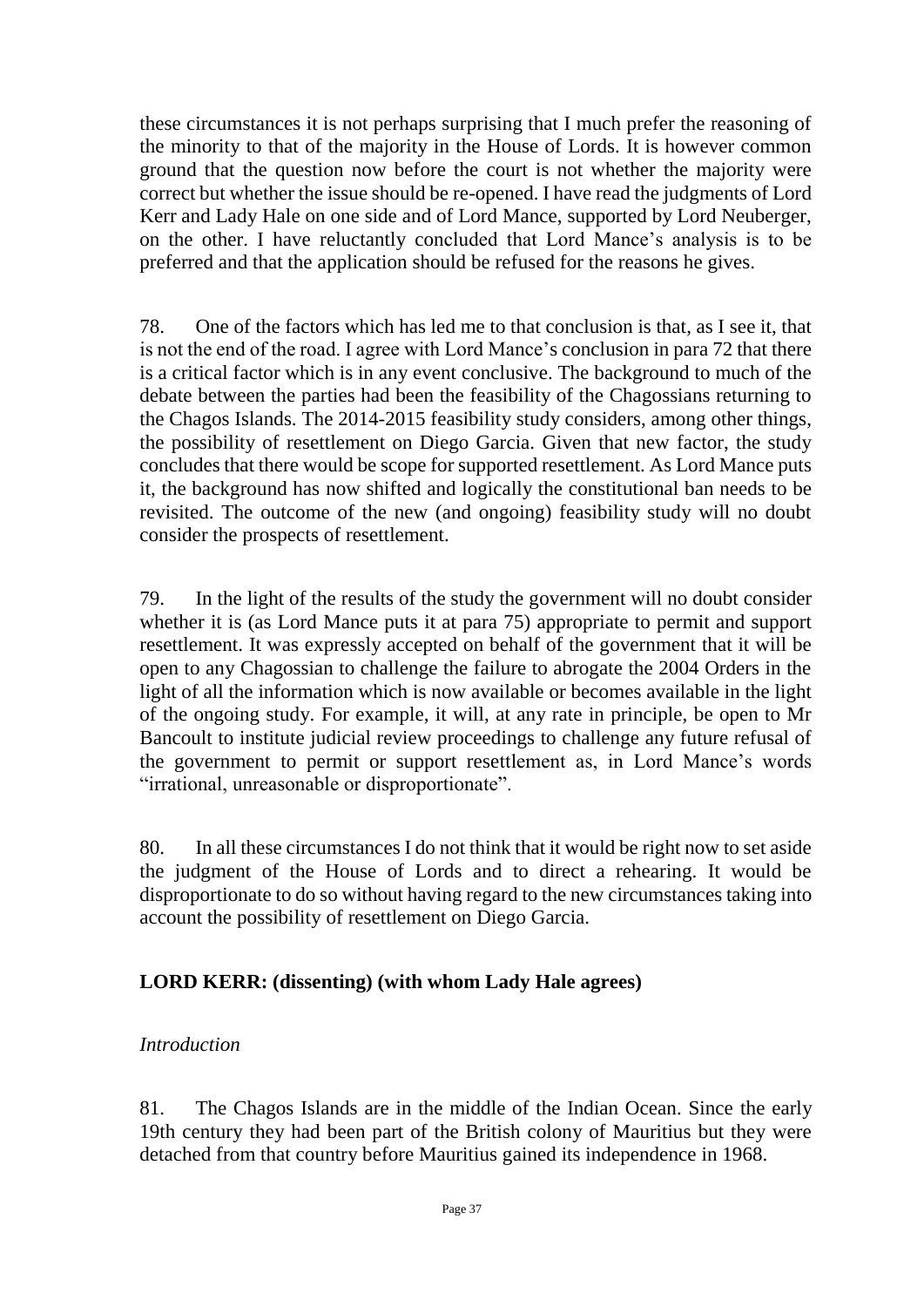these circumstances it is not perhaps surprising that I much prefer the reasoning of the minority to that of the majority in the House of Lords. It is however common ground that the question now before the court is not whether the majority were correct but whether the issue should be re-opened. I have read the judgments of Lord Kerr and Lady Hale on one side and of Lord Mance, supported by Lord Neuberger, on the other. I have reluctantly concluded that Lord Mance's analysis is to be preferred and that the application should be refused for the reasons he gives.

78. One of the factors which has led me to that conclusion is that, as I see it, that is not the end of the road. I agree with Lord Mance's conclusion in para 72 that there is a critical factor which is in any event conclusive. The background to much of the debate between the parties had been the feasibility of the Chagossians returning to the Chagos Islands. The 2014-2015 feasibility study considers, among other things, the possibility of resettlement on Diego Garcia. Given that new factor, the study concludes that there would be scope for supported resettlement. As Lord Mance puts it, the background has now shifted and logically the constitutional ban needs to be revisited. The outcome of the new (and ongoing) feasibility study will no doubt consider the prospects of resettlement.

79. In the light of the results of the study the government will no doubt consider whether it is (as Lord Mance puts it at para 75) appropriate to permit and support resettlement. It was expressly accepted on behalf of the government that it will be open to any Chagossian to challenge the failure to abrogate the 2004 Orders in the light of all the information which is now available or becomes available in the light of the ongoing study. For example, it will, at any rate in principle, be open to Mr Bancoult to institute judicial review proceedings to challenge any future refusal of the government to permit or support resettlement as, in Lord Mance's words "irrational, unreasonable or disproportionate".

80. In all these circumstances I do not think that it would be right now to set aside the judgment of the House of Lords and to direct a rehearing. It would be disproportionate to do so without having regard to the new circumstances taking into account the possibility of resettlement on Diego Garcia.

# **LORD KERR: (dissenting) (with whom Lady Hale agrees)**

# *Introduction*

81. The Chagos Islands are in the middle of the Indian Ocean. Since the early 19th century they had been part of the British colony of Mauritius but they were detached from that country before Mauritius gained its independence in 1968.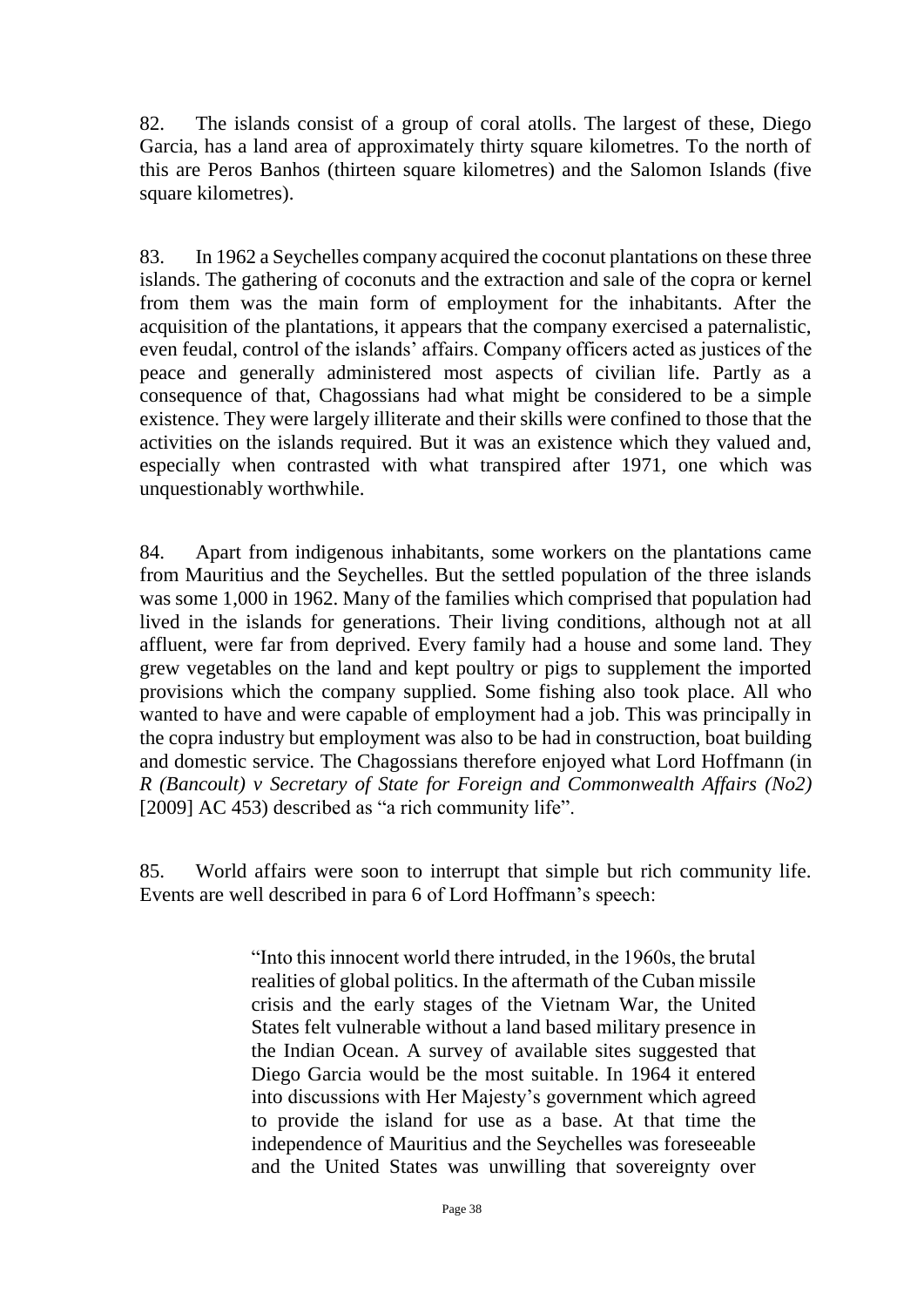82. The islands consist of a group of coral atolls. The largest of these, Diego Garcia, has a land area of approximately thirty square kilometres. To the north of this are Peros Banhos (thirteen square kilometres) and the Salomon Islands (five square kilometres).

83. In 1962 a Seychelles company acquired the coconut plantations on these three islands. The gathering of coconuts and the extraction and sale of the copra or kernel from them was the main form of employment for the inhabitants. After the acquisition of the plantations, it appears that the company exercised a paternalistic, even feudal, control of the islands' affairs. Company officers acted as justices of the peace and generally administered most aspects of civilian life. Partly as a consequence of that, Chagossians had what might be considered to be a simple existence. They were largely illiterate and their skills were confined to those that the activities on the islands required. But it was an existence which they valued and, especially when contrasted with what transpired after 1971, one which was unquestionably worthwhile.

84. Apart from indigenous inhabitants, some workers on the plantations came from Mauritius and the Seychelles. But the settled population of the three islands was some 1,000 in 1962. Many of the families which comprised that population had lived in the islands for generations. Their living conditions, although not at all affluent, were far from deprived. Every family had a house and some land. They grew vegetables on the land and kept poultry or pigs to supplement the imported provisions which the company supplied. Some fishing also took place. All who wanted to have and were capable of employment had a job. This was principally in the copra industry but employment was also to be had in construction, boat building and domestic service. The Chagossians therefore enjoyed what Lord Hoffmann (in *R (Bancoult) v Secretary of State for Foreign and Commonwealth Affairs (No2)* [2009] AC 453) described as "a rich community life".

85. World affairs were soon to interrupt that simple but rich community life. Events are well described in para 6 of Lord Hoffmann's speech:

> "Into this innocent world there intruded, in the 1960s, the brutal realities of global politics. In the aftermath of the Cuban missile crisis and the early stages of the Vietnam War, the United States felt vulnerable without a land based military presence in the Indian Ocean. A survey of available sites suggested that Diego Garcia would be the most suitable. In 1964 it entered into discussions with Her Majesty's government which agreed to provide the island for use as a base. At that time the independence of Mauritius and the Seychelles was foreseeable and the United States was unwilling that sovereignty over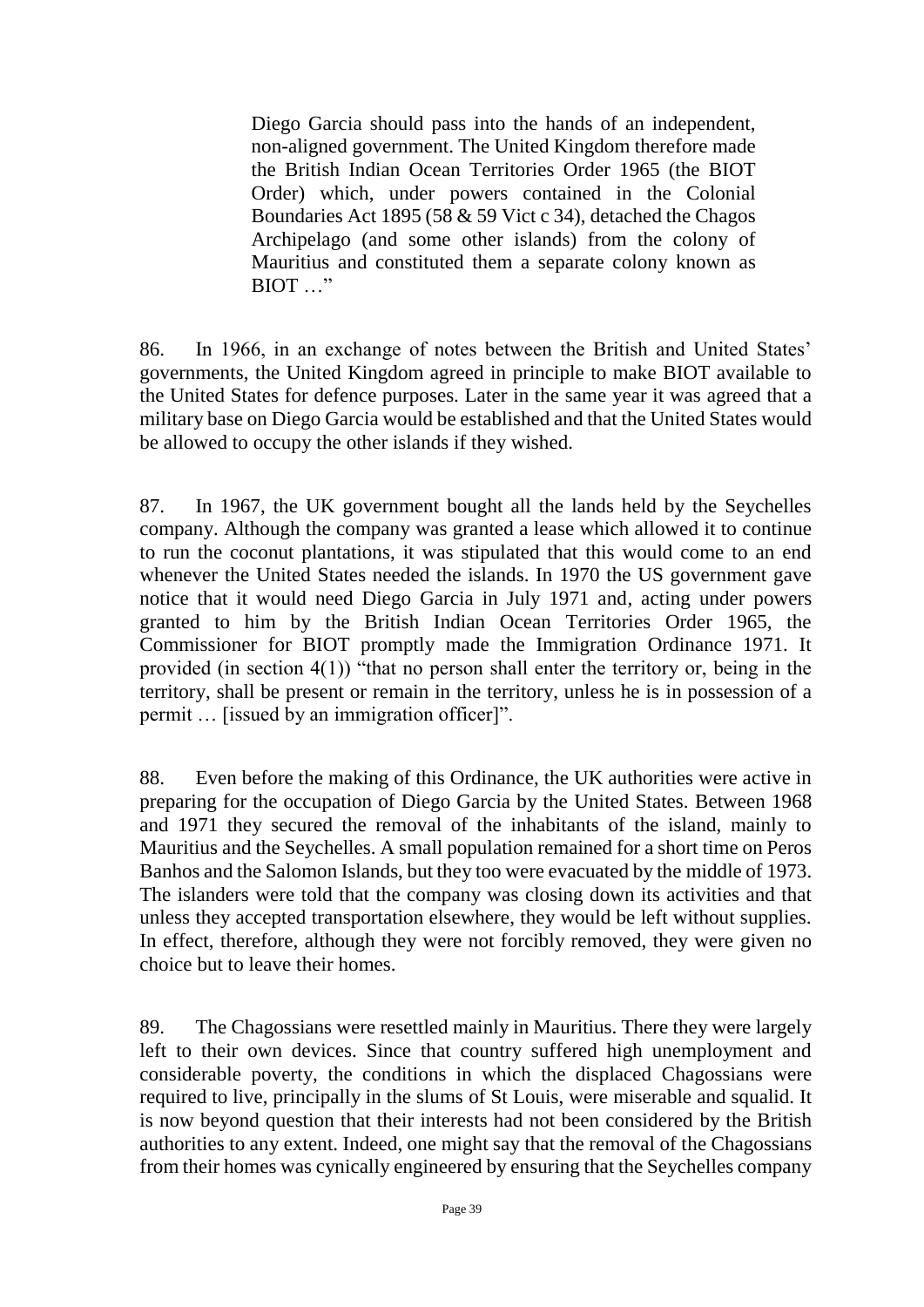Diego Garcia should pass into the hands of an independent, non-aligned government. The United Kingdom therefore made the British Indian Ocean Territories Order 1965 (the BIOT Order) which, under powers contained in the Colonial Boundaries Act 1895 (58 & 59 Vict c 34), detached the Chagos Archipelago (and some other islands) from the colony of Mauritius and constituted them a separate colony known as BIOT …"

86. In 1966, in an exchange of notes between the British and United States' governments, the United Kingdom agreed in principle to make BIOT available to the United States for defence purposes. Later in the same year it was agreed that a military base on Diego Garcia would be established and that the United States would be allowed to occupy the other islands if they wished.

87. In 1967, the UK government bought all the lands held by the Seychelles company. Although the company was granted a lease which allowed it to continue to run the coconut plantations, it was stipulated that this would come to an end whenever the United States needed the islands. In 1970 the US government gave notice that it would need Diego Garcia in July 1971 and, acting under powers granted to him by the British Indian Ocean Territories Order 1965, the Commissioner for BIOT promptly made the Immigration Ordinance 1971. It provided (in section  $4(1)$ ) "that no person shall enter the territory or, being in the territory, shall be present or remain in the territory, unless he is in possession of a permit … [issued by an immigration officer]".

88. Even before the making of this Ordinance, the UK authorities were active in preparing for the occupation of Diego Garcia by the United States. Between 1968 and 1971 they secured the removal of the inhabitants of the island, mainly to Mauritius and the Seychelles. A small population remained for a short time on Peros Banhos and the Salomon Islands, but they too were evacuated by the middle of 1973. The islanders were told that the company was closing down its activities and that unless they accepted transportation elsewhere, they would be left without supplies. In effect, therefore, although they were not forcibly removed, they were given no choice but to leave their homes.

89. The Chagossians were resettled mainly in Mauritius. There they were largely left to their own devices. Since that country suffered high unemployment and considerable poverty, the conditions in which the displaced Chagossians were required to live, principally in the slums of St Louis, were miserable and squalid. It is now beyond question that their interests had not been considered by the British authorities to any extent. Indeed, one might say that the removal of the Chagossians from their homes was cynically engineered by ensuring that the Seychelles company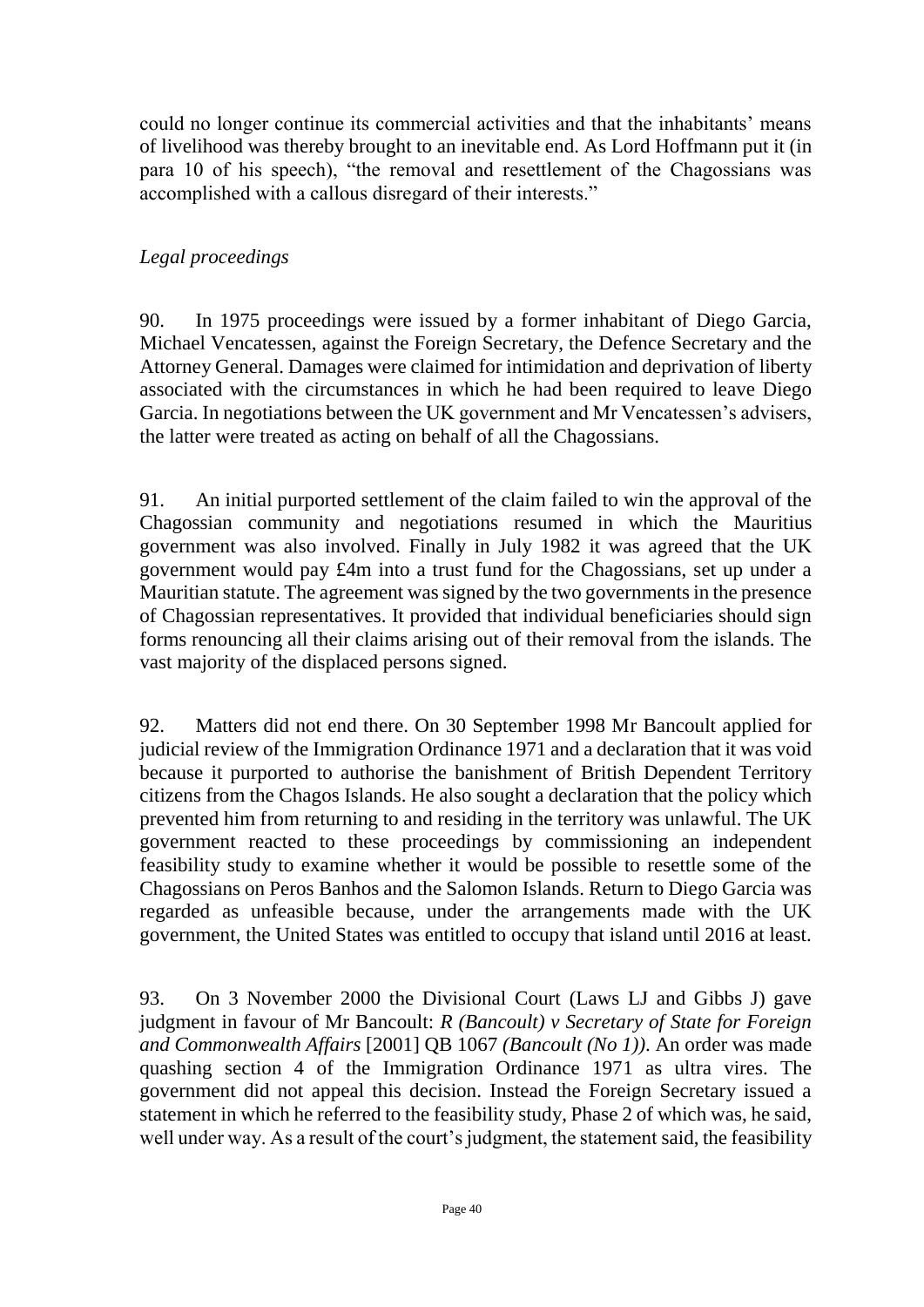could no longer continue its commercial activities and that the inhabitants' means of livelihood was thereby brought to an inevitable end. As Lord Hoffmann put it (in para 10 of his speech), "the removal and resettlement of the Chagossians was accomplished with a callous disregard of their interests."

## *Legal proceedings*

90. In 1975 proceedings were issued by a former inhabitant of Diego Garcia, Michael Vencatessen, against the Foreign Secretary, the Defence Secretary and the Attorney General. Damages were claimed for intimidation and deprivation of liberty associated with the circumstances in which he had been required to leave Diego Garcia. In negotiations between the UK government and Mr Vencatessen's advisers, the latter were treated as acting on behalf of all the Chagossians.

91. An initial purported settlement of the claim failed to win the approval of the Chagossian community and negotiations resumed in which the Mauritius government was also involved. Finally in July 1982 it was agreed that the UK government would pay £4m into a trust fund for the Chagossians, set up under a Mauritian statute. The agreement was signed by the two governments in the presence of Chagossian representatives. It provided that individual beneficiaries should sign forms renouncing all their claims arising out of their removal from the islands. The vast majority of the displaced persons signed.

92. Matters did not end there. On 30 September 1998 Mr Bancoult applied for judicial review of the Immigration Ordinance 1971 and a declaration that it was void because it purported to authorise the banishment of British Dependent Territory citizens from the Chagos Islands. He also sought a declaration that the policy which prevented him from returning to and residing in the territory was unlawful. The UK government reacted to these proceedings by commissioning an independent feasibility study to examine whether it would be possible to resettle some of the Chagossians on Peros Banhos and the Salomon Islands. Return to Diego Garcia was regarded as unfeasible because, under the arrangements made with the UK government, the United States was entitled to occupy that island until 2016 at least.

93. On 3 November 2000 the Divisional Court (Laws LJ and Gibbs J) gave judgment in favour of Mr Bancoult: *R (Bancoult) v Secretary of State for Foreign and Commonwealth Affairs* [2001] QB 1067 *(Bancoult (No 1))*. An order was made quashing section 4 of the Immigration Ordinance 1971 as ultra vires. The government did not appeal this decision. Instead the Foreign Secretary issued a statement in which he referred to the feasibility study, Phase 2 of which was, he said, well under way. As a result of the court's judgment, the statement said, the feasibility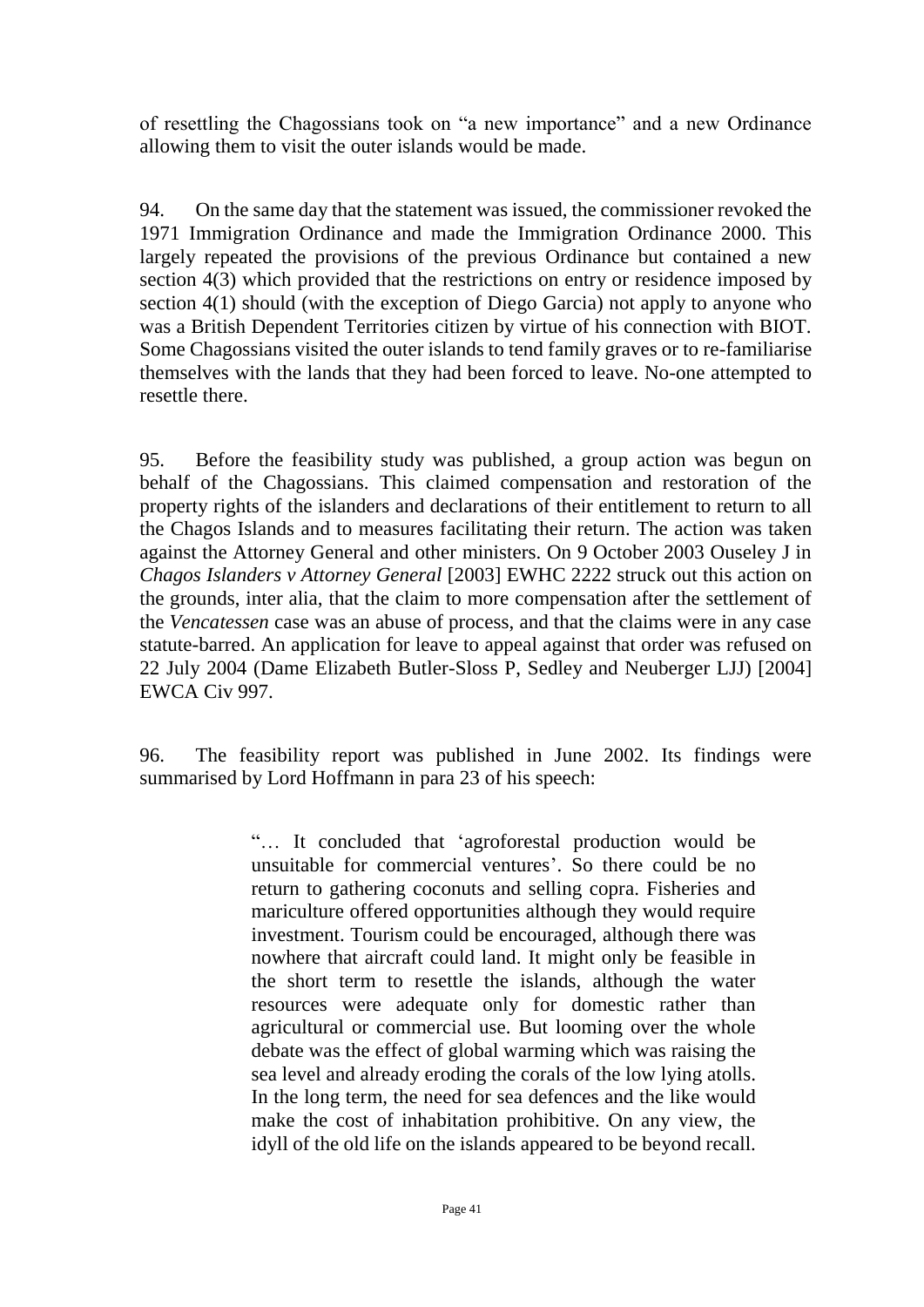of resettling the Chagossians took on "a new importance" and a new Ordinance allowing them to visit the outer islands would be made.

94. On the same day that the statement was issued, the commissioner revoked the 1971 Immigration Ordinance and made the Immigration Ordinance 2000. This largely repeated the provisions of the previous Ordinance but contained a new section 4(3) which provided that the restrictions on entry or residence imposed by section 4(1) should (with the exception of Diego Garcia) not apply to anyone who was a British Dependent Territories citizen by virtue of his connection with BIOT. Some Chagossians visited the outer islands to tend family graves or to re-familiarise themselves with the lands that they had been forced to leave. No-one attempted to resettle there.

95. Before the feasibility study was published, a group action was begun on behalf of the Chagossians. This claimed compensation and restoration of the property rights of the islanders and declarations of their entitlement to return to all the Chagos Islands and to measures facilitating their return. The action was taken against the Attorney General and other ministers. On 9 October 2003 Ouseley J in *Chagos Islanders v Attorney General* [2003] EWHC 2222 struck out this action on the grounds, inter alia, that the claim to more compensation after the settlement of the *Vencatessen* case was an abuse of process, and that the claims were in any case statute-barred. An application for leave to appeal against that order was refused on 22 July 2004 (Dame Elizabeth Butler-Sloss P, Sedley and Neuberger LJJ) [2004] EWCA Civ 997.

96. The feasibility report was published in June 2002. Its findings were summarised by Lord Hoffmann in para 23 of his speech:

> "… It concluded that 'agroforestal production would be unsuitable for commercial ventures'. So there could be no return to gathering coconuts and selling copra. Fisheries and mariculture offered opportunities although they would require investment. Tourism could be encouraged, although there was nowhere that aircraft could land. It might only be feasible in the short term to resettle the islands, although the water resources were adequate only for domestic rather than agricultural or commercial use. But looming over the whole debate was the effect of global warming which was raising the sea level and already eroding the corals of the low lying atolls. In the long term, the need for sea defences and the like would make the cost of inhabitation prohibitive. On any view, the idyll of the old life on the islands appeared to be beyond recall.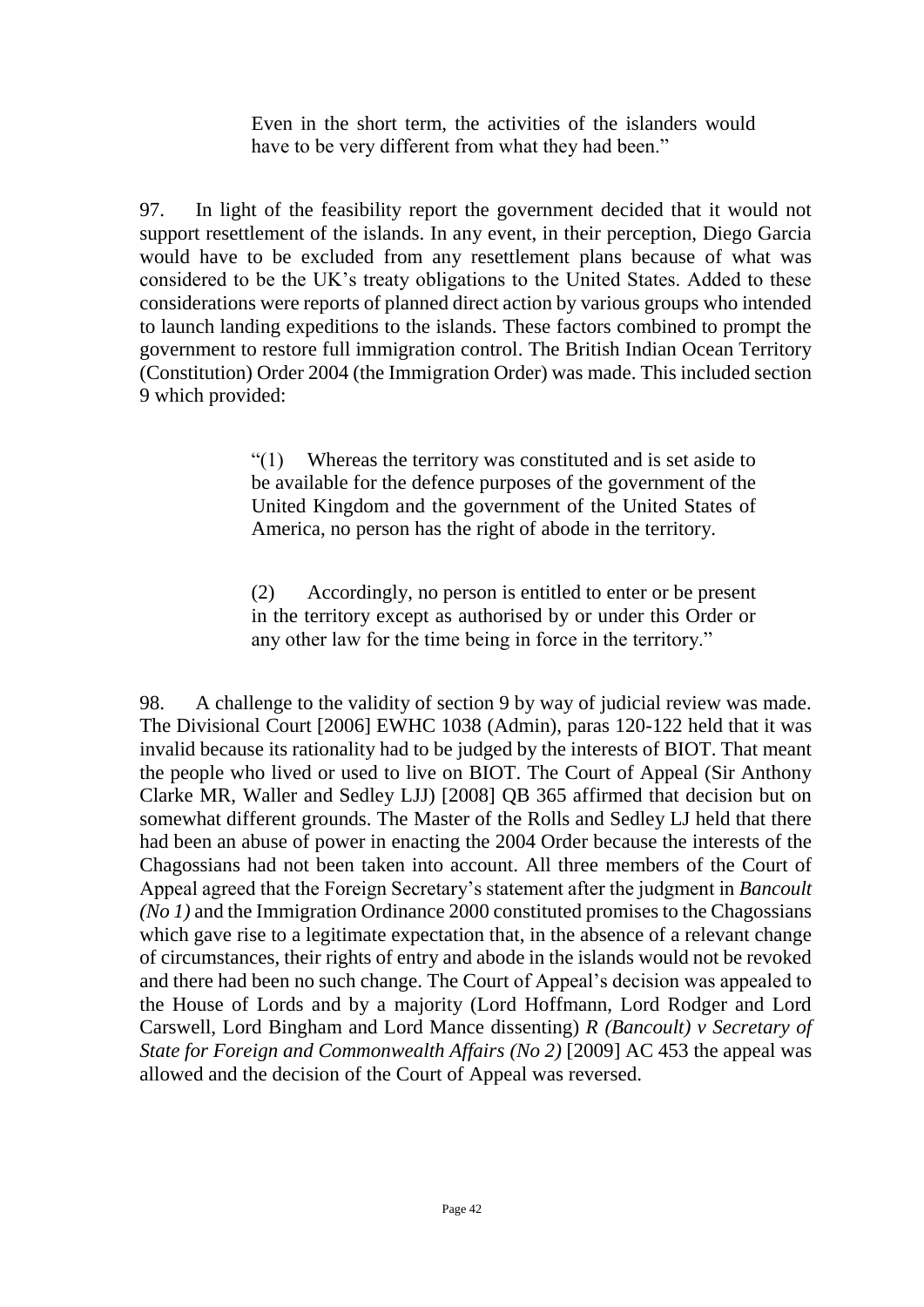Even in the short term, the activities of the islanders would have to be very different from what they had been."

97. In light of the feasibility report the government decided that it would not support resettlement of the islands. In any event, in their perception, Diego Garcia would have to be excluded from any resettlement plans because of what was considered to be the UK's treaty obligations to the United States. Added to these considerations were reports of planned direct action by various groups who intended to launch landing expeditions to the islands. These factors combined to prompt the government to restore full immigration control. The British Indian Ocean Territory (Constitution) Order 2004 (the Immigration Order) was made. This included section 9 which provided:

> "(1) Whereas the territory was constituted and is set aside to be available for the defence purposes of the government of the United Kingdom and the government of the United States of America, no person has the right of abode in the territory.

> (2) Accordingly, no person is entitled to enter or be present in the territory except as authorised by or under this Order or any other law for the time being in force in the territory."

98. A challenge to the validity of section 9 by way of judicial review was made. The Divisional Court [2006] EWHC 1038 (Admin), paras 120-122 held that it was invalid because its rationality had to be judged by the interests of BIOT. That meant the people who lived or used to live on BIOT. The Court of Appeal (Sir Anthony Clarke MR, Waller and Sedley LJJ) [2008] QB 365 affirmed that decision but on somewhat different grounds. The Master of the Rolls and Sedley LJ held that there had been an abuse of power in enacting the 2004 Order because the interests of the Chagossians had not been taken into account. All three members of the Court of Appeal agreed that the Foreign Secretary's statement after the judgment in *Bancoult (No 1)* and the Immigration Ordinance 2000 constituted promises to the Chagossians which gave rise to a legitimate expectation that, in the absence of a relevant change of circumstances, their rights of entry and abode in the islands would not be revoked and there had been no such change. The Court of Appeal's decision was appealed to the House of Lords and by a majority (Lord Hoffmann, Lord Rodger and Lord Carswell, Lord Bingham and Lord Mance dissenting) *R (Bancoult) v Secretary of State for Foreign and Commonwealth Affairs (No 2)* [2009] AC 453 the appeal was allowed and the decision of the Court of Appeal was reversed.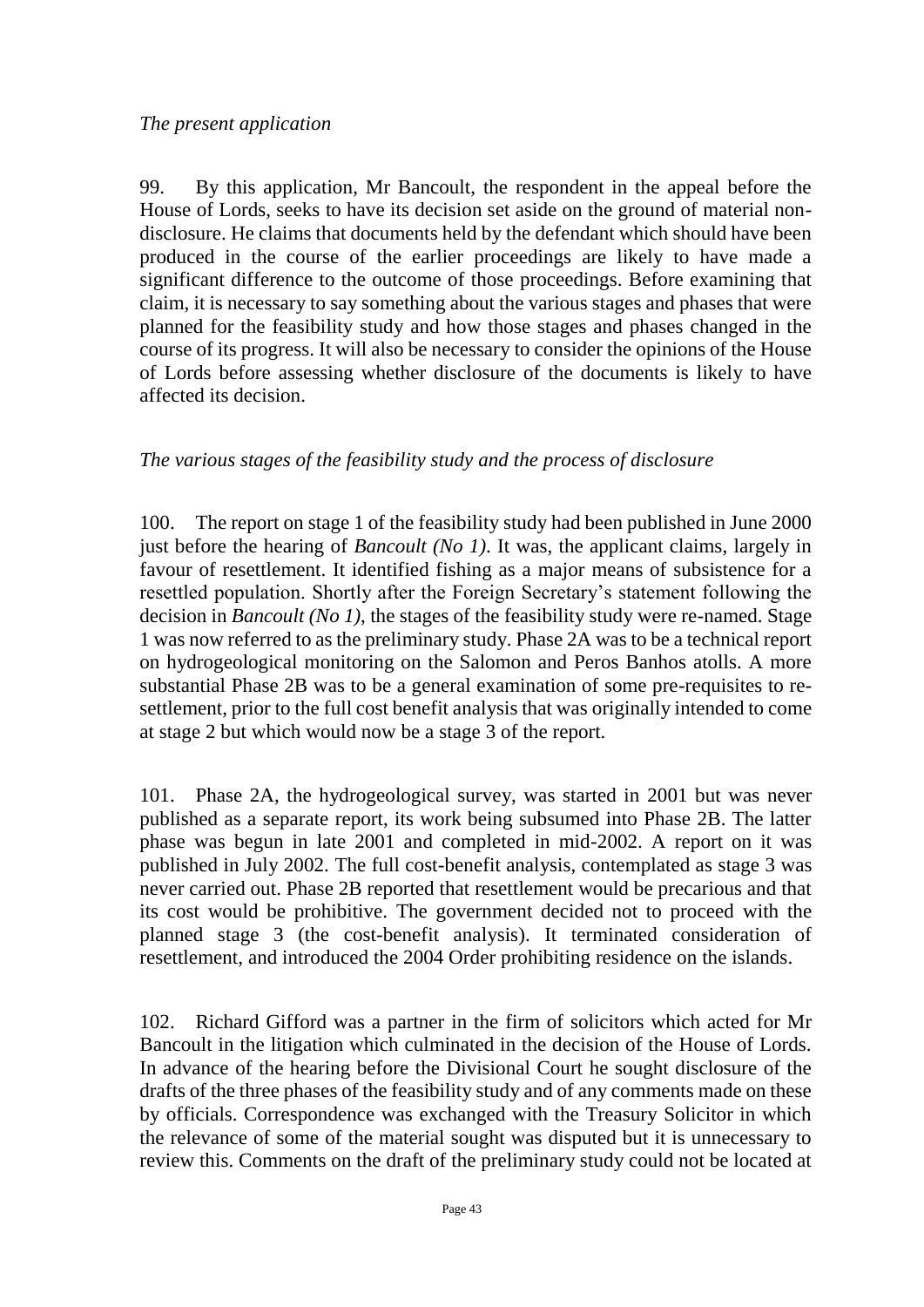#### *The present application*

99. By this application, Mr Bancoult, the respondent in the appeal before the House of Lords, seeks to have its decision set aside on the ground of material nondisclosure. He claims that documents held by the defendant which should have been produced in the course of the earlier proceedings are likely to have made a significant difference to the outcome of those proceedings. Before examining that claim, it is necessary to say something about the various stages and phases that were planned for the feasibility study and how those stages and phases changed in the course of its progress. It will also be necessary to consider the opinions of the House of Lords before assessing whether disclosure of the documents is likely to have affected its decision.

#### *The various stages of the feasibility study and the process of disclosure*

100. The report on stage 1 of the feasibility study had been published in June 2000 just before the hearing of *Bancoult (No 1)*. It was, the applicant claims, largely in favour of resettlement. It identified fishing as a major means of subsistence for a resettled population. Shortly after the Foreign Secretary's statement following the decision in *Bancoult (No 1)*, the stages of the feasibility study were re-named. Stage 1 was now referred to as the preliminary study. Phase 2A was to be a technical report on hydrogeological monitoring on the Salomon and Peros Banhos atolls. A more substantial Phase 2B was to be a general examination of some pre-requisites to resettlement, prior to the full cost benefit analysis that was originally intended to come at stage 2 but which would now be a stage 3 of the report.

101. Phase 2A, the hydrogeological survey, was started in 2001 but was never published as a separate report, its work being subsumed into Phase 2B. The latter phase was begun in late 2001 and completed in mid-2002. A report on it was published in July 2002. The full cost-benefit analysis, contemplated as stage 3 was never carried out. Phase 2B reported that resettlement would be precarious and that its cost would be prohibitive. The government decided not to proceed with the planned stage 3 (the cost-benefit analysis). It terminated consideration of resettlement, and introduced the 2004 Order prohibiting residence on the islands.

102. Richard Gifford was a partner in the firm of solicitors which acted for Mr Bancoult in the litigation which culminated in the decision of the House of Lords. In advance of the hearing before the Divisional Court he sought disclosure of the drafts of the three phases of the feasibility study and of any comments made on these by officials. Correspondence was exchanged with the Treasury Solicitor in which the relevance of some of the material sought was disputed but it is unnecessary to review this. Comments on the draft of the preliminary study could not be located at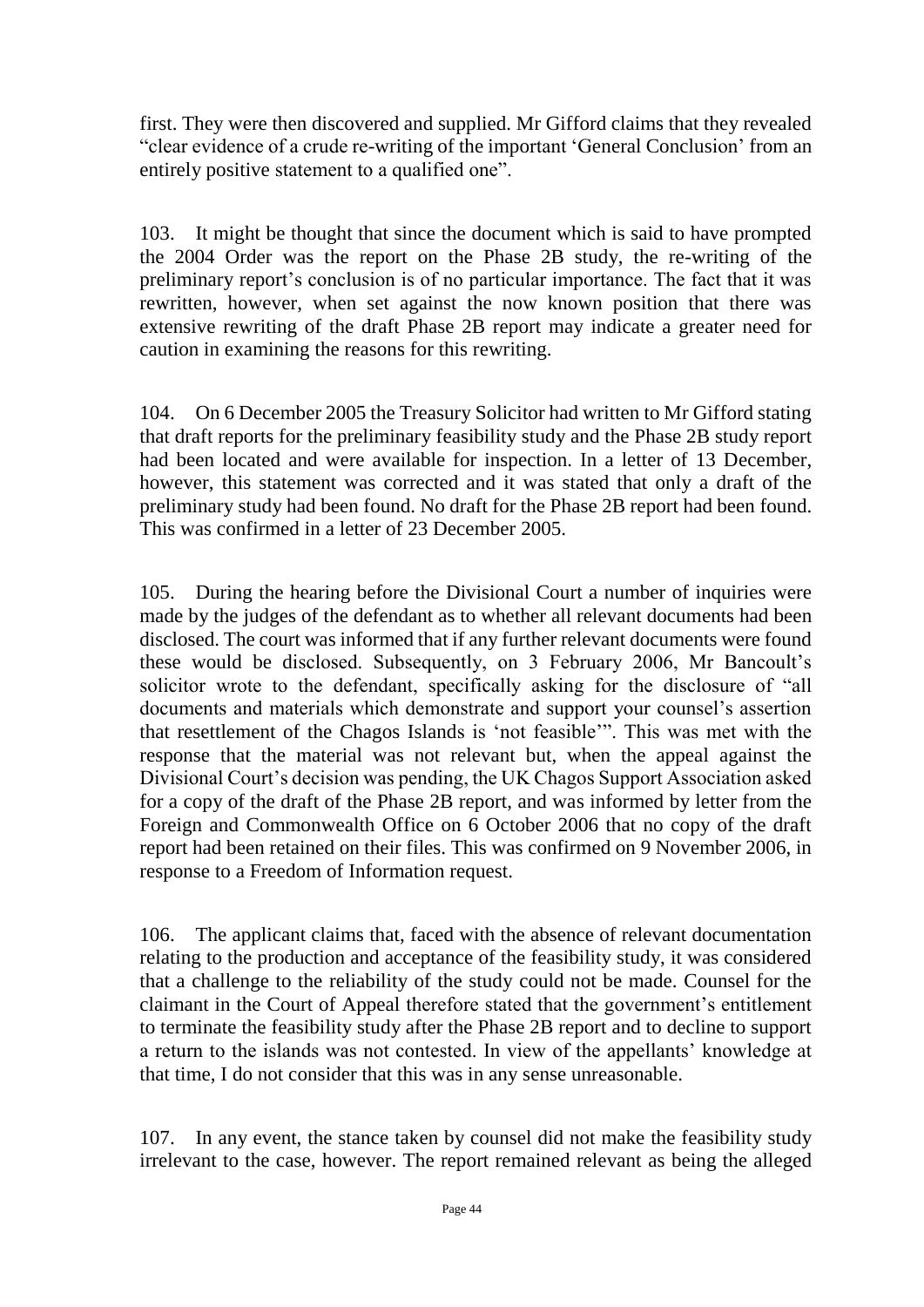first. They were then discovered and supplied. Mr Gifford claims that they revealed "clear evidence of a crude re-writing of the important 'General Conclusion' from an entirely positive statement to a qualified one".

103. It might be thought that since the document which is said to have prompted the 2004 Order was the report on the Phase 2B study, the re-writing of the preliminary report's conclusion is of no particular importance. The fact that it was rewritten, however, when set against the now known position that there was extensive rewriting of the draft Phase 2B report may indicate a greater need for caution in examining the reasons for this rewriting.

104. On 6 December 2005 the Treasury Solicitor had written to Mr Gifford stating that draft reports for the preliminary feasibility study and the Phase 2B study report had been located and were available for inspection. In a letter of 13 December, however, this statement was corrected and it was stated that only a draft of the preliminary study had been found. No draft for the Phase 2B report had been found. This was confirmed in a letter of 23 December 2005.

105. During the hearing before the Divisional Court a number of inquiries were made by the judges of the defendant as to whether all relevant documents had been disclosed. The court was informed that if any further relevant documents were found these would be disclosed. Subsequently, on 3 February 2006, Mr Bancoult's solicitor wrote to the defendant, specifically asking for the disclosure of "all documents and materials which demonstrate and support your counsel's assertion that resettlement of the Chagos Islands is 'not feasible'". This was met with the response that the material was not relevant but, when the appeal against the Divisional Court's decision was pending, the UK Chagos Support Association asked for a copy of the draft of the Phase 2B report, and was informed by letter from the Foreign and Commonwealth Office on 6 October 2006 that no copy of the draft report had been retained on their files. This was confirmed on 9 November 2006, in response to a Freedom of Information request.

106. The applicant claims that, faced with the absence of relevant documentation relating to the production and acceptance of the feasibility study, it was considered that a challenge to the reliability of the study could not be made. Counsel for the claimant in the Court of Appeal therefore stated that the government's entitlement to terminate the feasibility study after the Phase 2B report and to decline to support a return to the islands was not contested. In view of the appellants' knowledge at that time, I do not consider that this was in any sense unreasonable.

107. In any event, the stance taken by counsel did not make the feasibility study irrelevant to the case, however. The report remained relevant as being the alleged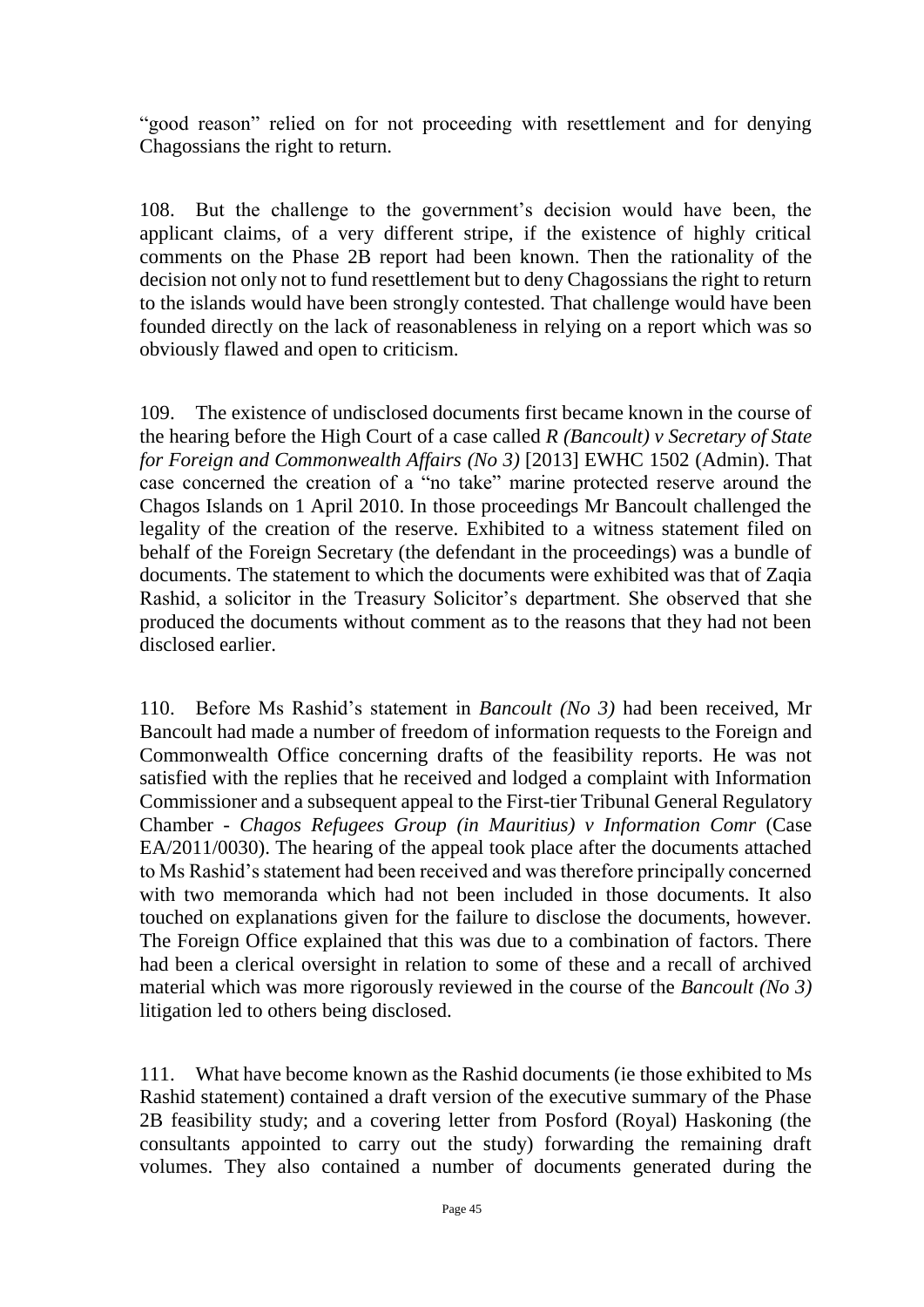"good reason" relied on for not proceeding with resettlement and for denying Chagossians the right to return.

108. But the challenge to the government's decision would have been, the applicant claims, of a very different stripe, if the existence of highly critical comments on the Phase 2B report had been known. Then the rationality of the decision not only not to fund resettlement but to deny Chagossians the right to return to the islands would have been strongly contested. That challenge would have been founded directly on the lack of reasonableness in relying on a report which was so obviously flawed and open to criticism.

109. The existence of undisclosed documents first became known in the course of the hearing before the High Court of a case called *R (Bancoult) v Secretary of State for Foreign and Commonwealth Affairs (No 3)* [2013] EWHC 1502 (Admin). That case concerned the creation of a "no take" marine protected reserve around the Chagos Islands on 1 April 2010. In those proceedings Mr Bancoult challenged the legality of the creation of the reserve. Exhibited to a witness statement filed on behalf of the Foreign Secretary (the defendant in the proceedings) was a bundle of documents. The statement to which the documents were exhibited was that of Zaqia Rashid, a solicitor in the Treasury Solicitor's department. She observed that she produced the documents without comment as to the reasons that they had not been disclosed earlier.

110. Before Ms Rashid's statement in *Bancoult (No 3)* had been received, Mr Bancoult had made a number of freedom of information requests to the Foreign and Commonwealth Office concerning drafts of the feasibility reports. He was not satisfied with the replies that he received and lodged a complaint with Information Commissioner and a subsequent appeal to the First-tier Tribunal General Regulatory Chamber - *Chagos Refugees Group (in Mauritius) v Information Comr* (Case EA/2011/0030). The hearing of the appeal took place after the documents attached to Ms Rashid's statement had been received and was therefore principally concerned with two memoranda which had not been included in those documents. It also touched on explanations given for the failure to disclose the documents, however. The Foreign Office explained that this was due to a combination of factors. There had been a clerical oversight in relation to some of these and a recall of archived material which was more rigorously reviewed in the course of the *Bancoult (No 3)* litigation led to others being disclosed.

111. What have become known as the Rashid documents (ie those exhibited to Ms Rashid statement) contained a draft version of the executive summary of the Phase 2B feasibility study; and a covering letter from Posford (Royal) Haskoning (the consultants appointed to carry out the study) forwarding the remaining draft volumes. They also contained a number of documents generated during the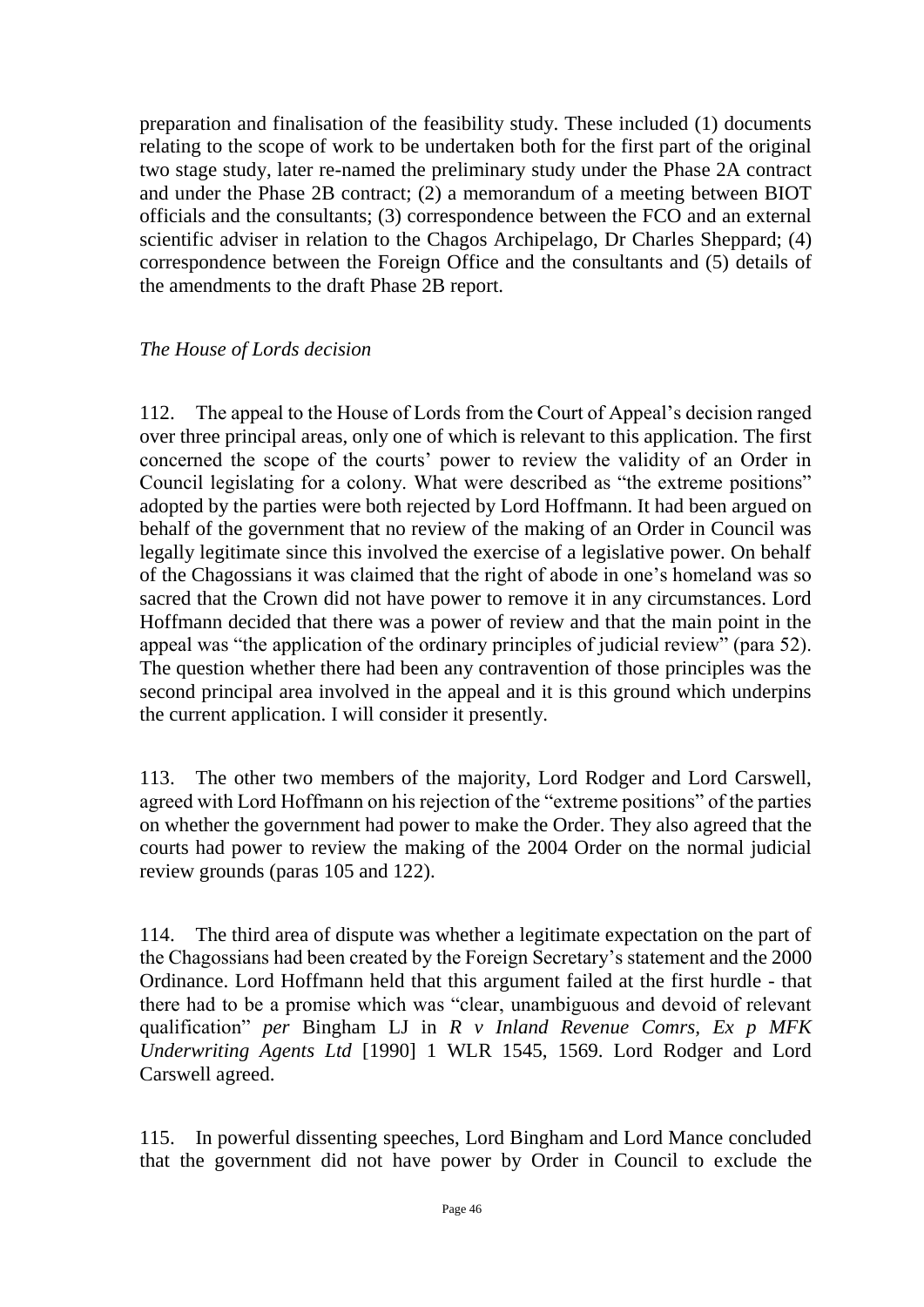preparation and finalisation of the feasibility study. These included (1) documents relating to the scope of work to be undertaken both for the first part of the original two stage study, later re-named the preliminary study under the Phase 2A contract and under the Phase 2B contract; (2) a memorandum of a meeting between BIOT officials and the consultants; (3) correspondence between the FCO and an external scientific adviser in relation to the Chagos Archipelago, Dr Charles Sheppard; (4) correspondence between the Foreign Office and the consultants and (5) details of the amendments to the draft Phase 2B report.

#### *The House of Lords decision*

112. The appeal to the House of Lords from the Court of Appeal's decision ranged over three principal areas, only one of which is relevant to this application. The first concerned the scope of the courts' power to review the validity of an Order in Council legislating for a colony. What were described as "the extreme positions" adopted by the parties were both rejected by Lord Hoffmann. It had been argued on behalf of the government that no review of the making of an Order in Council was legally legitimate since this involved the exercise of a legislative power. On behalf of the Chagossians it was claimed that the right of abode in one's homeland was so sacred that the Crown did not have power to remove it in any circumstances. Lord Hoffmann decided that there was a power of review and that the main point in the appeal was "the application of the ordinary principles of judicial review" (para 52). The question whether there had been any contravention of those principles was the second principal area involved in the appeal and it is this ground which underpins the current application. I will consider it presently.

113. The other two members of the majority, Lord Rodger and Lord Carswell, agreed with Lord Hoffmann on his rejection of the "extreme positions" of the parties on whether the government had power to make the Order. They also agreed that the courts had power to review the making of the 2004 Order on the normal judicial review grounds (paras 105 and 122).

114. The third area of dispute was whether a legitimate expectation on the part of the Chagossians had been created by the Foreign Secretary's statement and the 2000 Ordinance. Lord Hoffmann held that this argument failed at the first hurdle - that there had to be a promise which was "clear, unambiguous and devoid of relevant qualification" *per* Bingham LJ in *R v Inland Revenue Comrs, Ex p MFK Underwriting Agents Ltd* [1990] 1 WLR 1545, 1569. Lord Rodger and Lord Carswell agreed.

115. In powerful dissenting speeches, Lord Bingham and Lord Mance concluded that the government did not have power by Order in Council to exclude the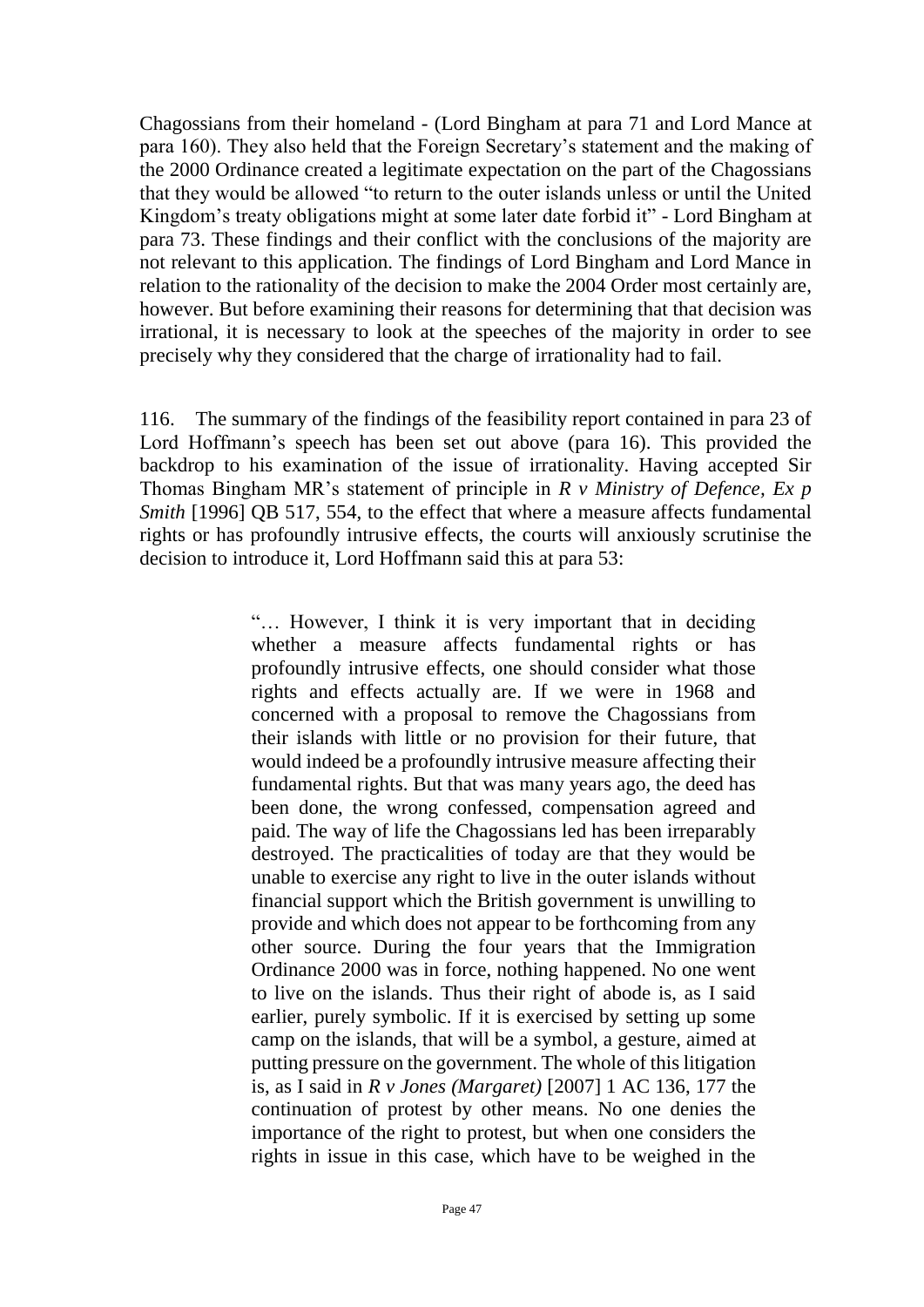Chagossians from their homeland - (Lord Bingham at para 71 and Lord Mance at para 160). They also held that the Foreign Secretary's statement and the making of the 2000 Ordinance created a legitimate expectation on the part of the Chagossians that they would be allowed "to return to the outer islands unless or until the United Kingdom's treaty obligations might at some later date forbid it" - Lord Bingham at para 73. These findings and their conflict with the conclusions of the majority are not relevant to this application. The findings of Lord Bingham and Lord Mance in relation to the rationality of the decision to make the 2004 Order most certainly are, however. But before examining their reasons for determining that that decision was irrational, it is necessary to look at the speeches of the majority in order to see precisely why they considered that the charge of irrationality had to fail.

116. The summary of the findings of the feasibility report contained in para 23 of Lord Hoffmann's speech has been set out above (para 16). This provided the backdrop to his examination of the issue of irrationality. Having accepted Sir Thomas Bingham MR's statement of principle in *R v Ministry of Defence, Ex p Smith* [1996] QB 517, 554, to the effect that where a measure affects fundamental rights or has profoundly intrusive effects, the courts will anxiously scrutinise the decision to introduce it, Lord Hoffmann said this at para 53:

> "… However, I think it is very important that in deciding whether a measure affects fundamental rights or has profoundly intrusive effects, one should consider what those rights and effects actually are. If we were in 1968 and concerned with a proposal to remove the Chagossians from their islands with little or no provision for their future, that would indeed be a profoundly intrusive measure affecting their fundamental rights. But that was many years ago, the deed has been done, the wrong confessed, compensation agreed and paid. The way of life the Chagossians led has been irreparably destroyed. The practicalities of today are that they would be unable to exercise any right to live in the outer islands without financial support which the British government is unwilling to provide and which does not appear to be forthcoming from any other source. During the four years that the Immigration Ordinance 2000 was in force, nothing happened. No one went to live on the islands. Thus their right of abode is, as I said earlier, purely symbolic. If it is exercised by setting up some camp on the islands, that will be a symbol, a gesture, aimed at putting pressure on the government. The whole of this litigation is, as I said in *R v Jones (Margaret)* [2007] 1 AC 136, 177 the continuation of protest by other means. No one denies the importance of the right to protest, but when one considers the rights in issue in this case, which have to be weighed in the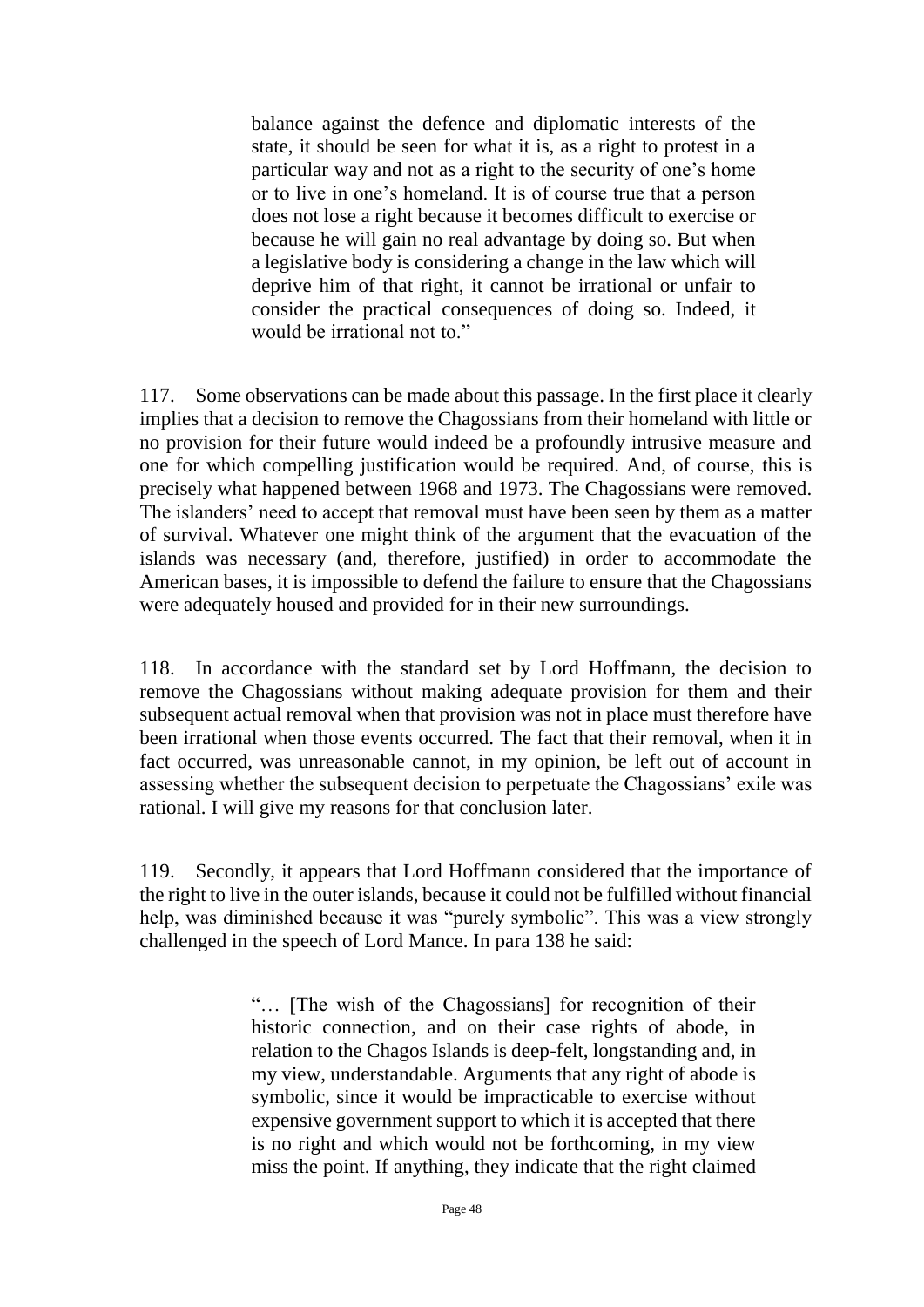balance against the defence and diplomatic interests of the state, it should be seen for what it is, as a right to protest in a particular way and not as a right to the security of one's home or to live in one's homeland. It is of course true that a person does not lose a right because it becomes difficult to exercise or because he will gain no real advantage by doing so. But when a legislative body is considering a change in the law which will deprive him of that right, it cannot be irrational or unfair to consider the practical consequences of doing so. Indeed, it would be irrational not to."

117. Some observations can be made about this passage. In the first place it clearly implies that a decision to remove the Chagossians from their homeland with little or no provision for their future would indeed be a profoundly intrusive measure and one for which compelling justification would be required. And, of course, this is precisely what happened between 1968 and 1973. The Chagossians were removed. The islanders' need to accept that removal must have been seen by them as a matter of survival. Whatever one might think of the argument that the evacuation of the islands was necessary (and, therefore, justified) in order to accommodate the American bases, it is impossible to defend the failure to ensure that the Chagossians were adequately housed and provided for in their new surroundings.

118. In accordance with the standard set by Lord Hoffmann, the decision to remove the Chagossians without making adequate provision for them and their subsequent actual removal when that provision was not in place must therefore have been irrational when those events occurred. The fact that their removal, when it in fact occurred, was unreasonable cannot, in my opinion, be left out of account in assessing whether the subsequent decision to perpetuate the Chagossians' exile was rational. I will give my reasons for that conclusion later.

119. Secondly, it appears that Lord Hoffmann considered that the importance of the right to live in the outer islands, because it could not be fulfilled without financial help, was diminished because it was "purely symbolic". This was a view strongly challenged in the speech of Lord Mance. In para 138 he said:

> "… [The wish of the Chagossians] for recognition of their historic connection, and on their case rights of abode, in relation to the Chagos Islands is deep-felt, longstanding and, in my view, understandable. Arguments that any right of abode is symbolic, since it would be impracticable to exercise without expensive government support to which it is accepted that there is no right and which would not be forthcoming, in my view miss the point. If anything, they indicate that the right claimed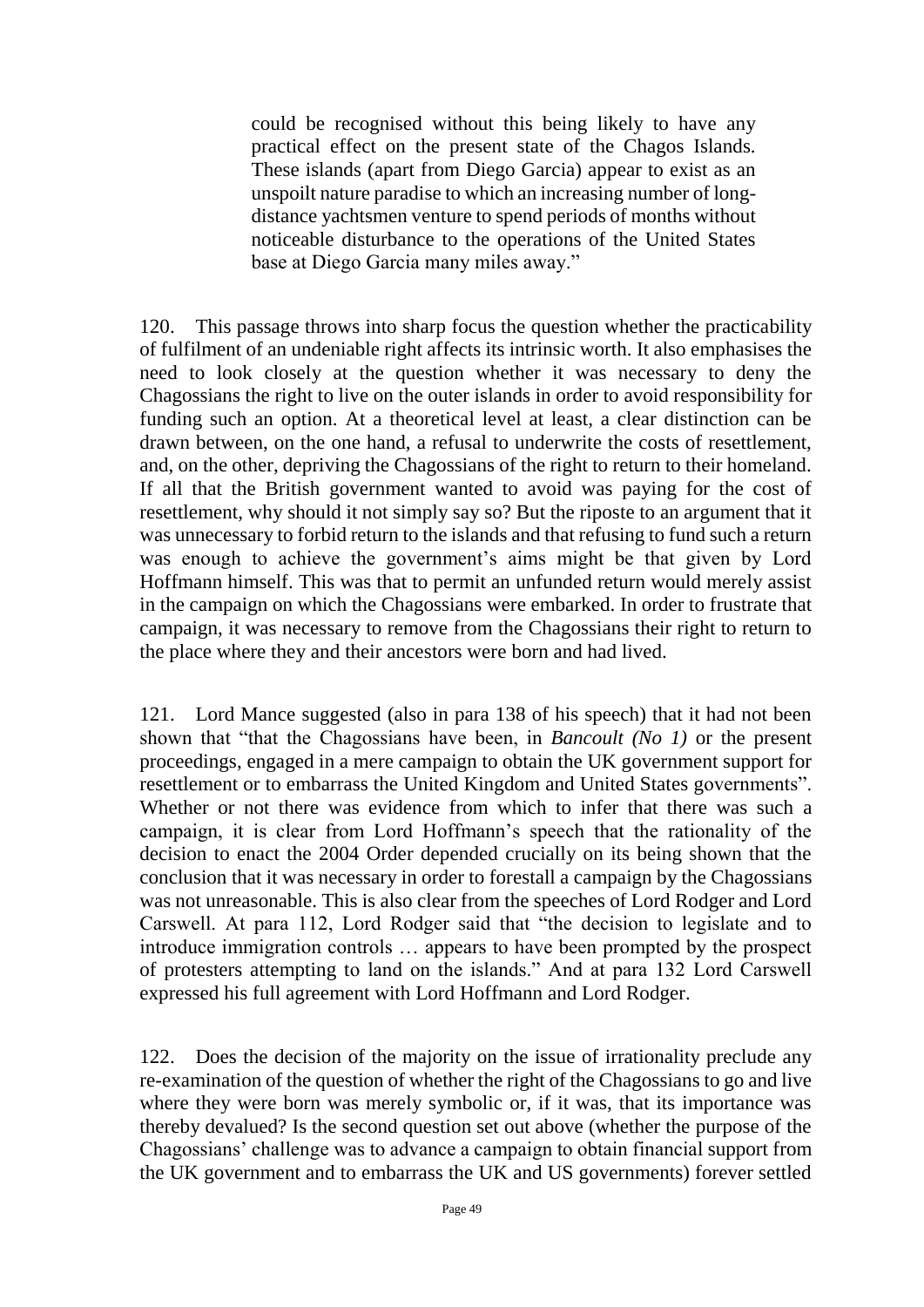could be recognised without this being likely to have any practical effect on the present state of the Chagos Islands. These islands (apart from Diego Garcia) appear to exist as an unspoilt nature paradise to which an increasing number of longdistance yachtsmen venture to spend periods of months without noticeable disturbance to the operations of the United States base at Diego Garcia many miles away."

120. This passage throws into sharp focus the question whether the practicability of fulfilment of an undeniable right affects its intrinsic worth. It also emphasises the need to look closely at the question whether it was necessary to deny the Chagossians the right to live on the outer islands in order to avoid responsibility for funding such an option. At a theoretical level at least, a clear distinction can be drawn between, on the one hand, a refusal to underwrite the costs of resettlement, and, on the other, depriving the Chagossians of the right to return to their homeland. If all that the British government wanted to avoid was paying for the cost of resettlement, why should it not simply say so? But the riposte to an argument that it was unnecessary to forbid return to the islands and that refusing to fund such a return was enough to achieve the government's aims might be that given by Lord Hoffmann himself. This was that to permit an unfunded return would merely assist in the campaign on which the Chagossians were embarked. In order to frustrate that campaign, it was necessary to remove from the Chagossians their right to return to the place where they and their ancestors were born and had lived.

121. Lord Mance suggested (also in para 138 of his speech) that it had not been shown that "that the Chagossians have been, in *Bancoult (No 1)* or the present proceedings, engaged in a mere campaign to obtain the UK government support for resettlement or to embarrass the United Kingdom and United States governments". Whether or not there was evidence from which to infer that there was such a campaign, it is clear from Lord Hoffmann's speech that the rationality of the decision to enact the 2004 Order depended crucially on its being shown that the conclusion that it was necessary in order to forestall a campaign by the Chagossians was not unreasonable. This is also clear from the speeches of Lord Rodger and Lord Carswell. At para 112, Lord Rodger said that "the decision to legislate and to introduce immigration controls … appears to have been prompted by the prospect of protesters attempting to land on the islands." And at para 132 Lord Carswell expressed his full agreement with Lord Hoffmann and Lord Rodger.

122. Does the decision of the majority on the issue of irrationality preclude any re-examination of the question of whether the right of the Chagossians to go and live where they were born was merely symbolic or, if it was, that its importance was thereby devalued? Is the second question set out above (whether the purpose of the Chagossians' challenge was to advance a campaign to obtain financial support from the UK government and to embarrass the UK and US governments) forever settled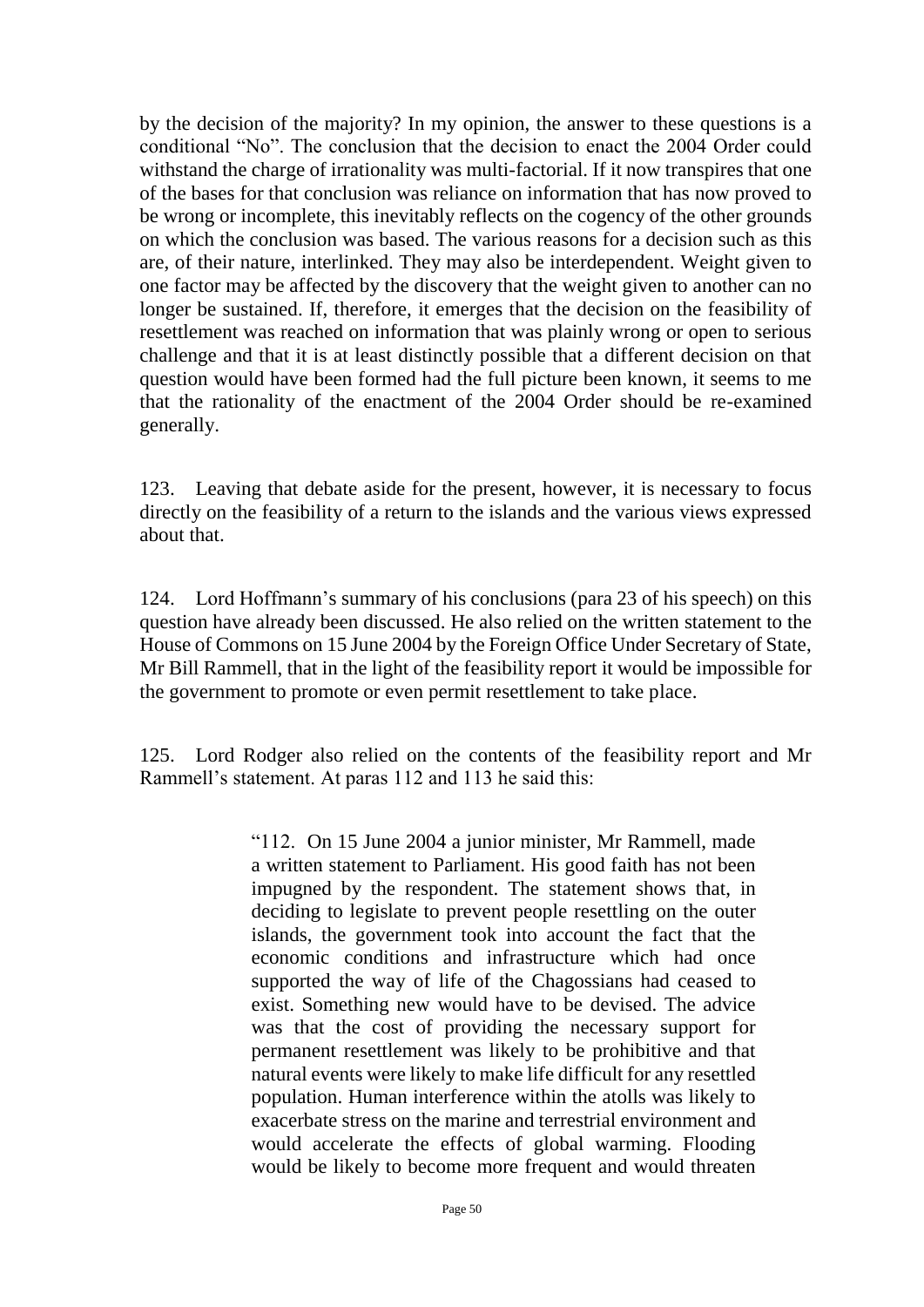by the decision of the majority? In my opinion, the answer to these questions is a conditional "No". The conclusion that the decision to enact the 2004 Order could withstand the charge of irrationality was multi-factorial. If it now transpires that one of the bases for that conclusion was reliance on information that has now proved to be wrong or incomplete, this inevitably reflects on the cogency of the other grounds on which the conclusion was based. The various reasons for a decision such as this are, of their nature, interlinked. They may also be interdependent. Weight given to one factor may be affected by the discovery that the weight given to another can no longer be sustained. If, therefore, it emerges that the decision on the feasibility of resettlement was reached on information that was plainly wrong or open to serious challenge and that it is at least distinctly possible that a different decision on that question would have been formed had the full picture been known, it seems to me that the rationality of the enactment of the 2004 Order should be re-examined generally.

123. Leaving that debate aside for the present, however, it is necessary to focus directly on the feasibility of a return to the islands and the various views expressed about that.

124. Lord Hoffmann's summary of his conclusions (para 23 of his speech) on this question have already been discussed. He also relied on the written statement to the House of Commons on 15 June 2004 by the Foreign Office Under Secretary of State, Mr Bill Rammell, that in the light of the feasibility report it would be impossible for the government to promote or even permit resettlement to take place.

125. Lord Rodger also relied on the contents of the feasibility report and Mr Rammell's statement. At paras 112 and 113 he said this:

> "112. On 15 June 2004 a junior minister, Mr Rammell, made a written statement to Parliament. His good faith has not been impugned by the respondent. The statement shows that, in deciding to legislate to prevent people resettling on the outer islands, the government took into account the fact that the economic conditions and infrastructure which had once supported the way of life of the Chagossians had ceased to exist. Something new would have to be devised. The advice was that the cost of providing the necessary support for permanent resettlement was likely to be prohibitive and that natural events were likely to make life difficult for any resettled population. Human interference within the atolls was likely to exacerbate stress on the marine and terrestrial environment and would accelerate the effects of global warming. Flooding would be likely to become more frequent and would threaten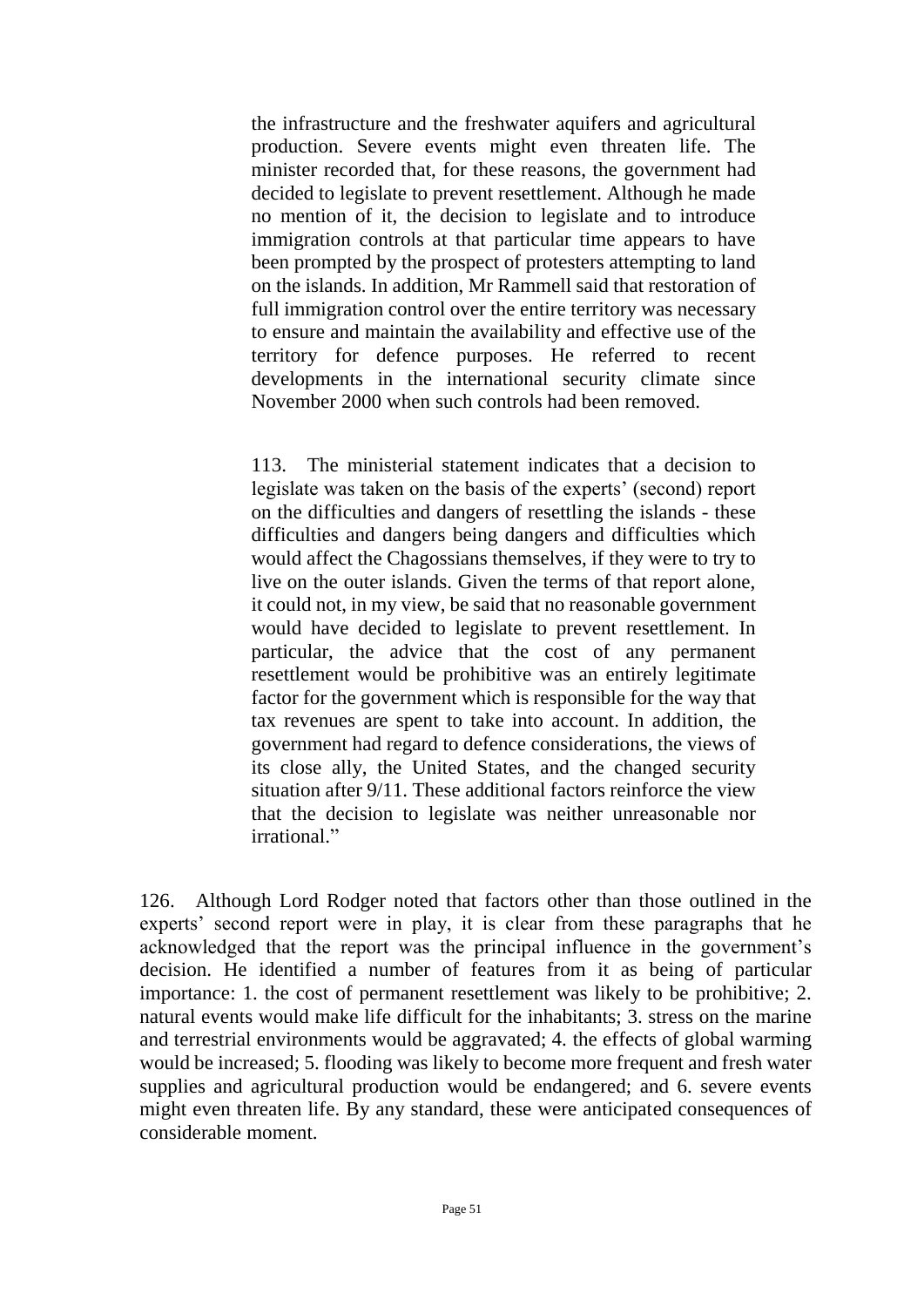the infrastructure and the freshwater aquifers and agricultural production. Severe events might even threaten life. The minister recorded that, for these reasons, the government had decided to legislate to prevent resettlement. Although he made no mention of it, the decision to legislate and to introduce immigration controls at that particular time appears to have been prompted by the prospect of protesters attempting to land on the islands. In addition, Mr Rammell said that restoration of full immigration control over the entire territory was necessary to ensure and maintain the availability and effective use of the territory for defence purposes. He referred to recent developments in the international security climate since November 2000 when such controls had been removed.

113. The ministerial statement indicates that a decision to legislate was taken on the basis of the experts' (second) report on the difficulties and dangers of resettling the islands - these difficulties and dangers being dangers and difficulties which would affect the Chagossians themselves, if they were to try to live on the outer islands. Given the terms of that report alone, it could not, in my view, be said that no reasonable government would have decided to legislate to prevent resettlement. In particular, the advice that the cost of any permanent resettlement would be prohibitive was an entirely legitimate factor for the government which is responsible for the way that tax revenues are spent to take into account. In addition, the government had regard to defence considerations, the views of its close ally, the United States, and the changed security situation after 9/11. These additional factors reinforce the view that the decision to legislate was neither unreasonable nor irrational."

126. Although Lord Rodger noted that factors other than those outlined in the experts' second report were in play, it is clear from these paragraphs that he acknowledged that the report was the principal influence in the government's decision. He identified a number of features from it as being of particular importance: 1. the cost of permanent resettlement was likely to be prohibitive; 2. natural events would make life difficult for the inhabitants; 3. stress on the marine and terrestrial environments would be aggravated; 4. the effects of global warming would be increased; 5. flooding was likely to become more frequent and fresh water supplies and agricultural production would be endangered; and 6. severe events might even threaten life. By any standard, these were anticipated consequences of considerable moment.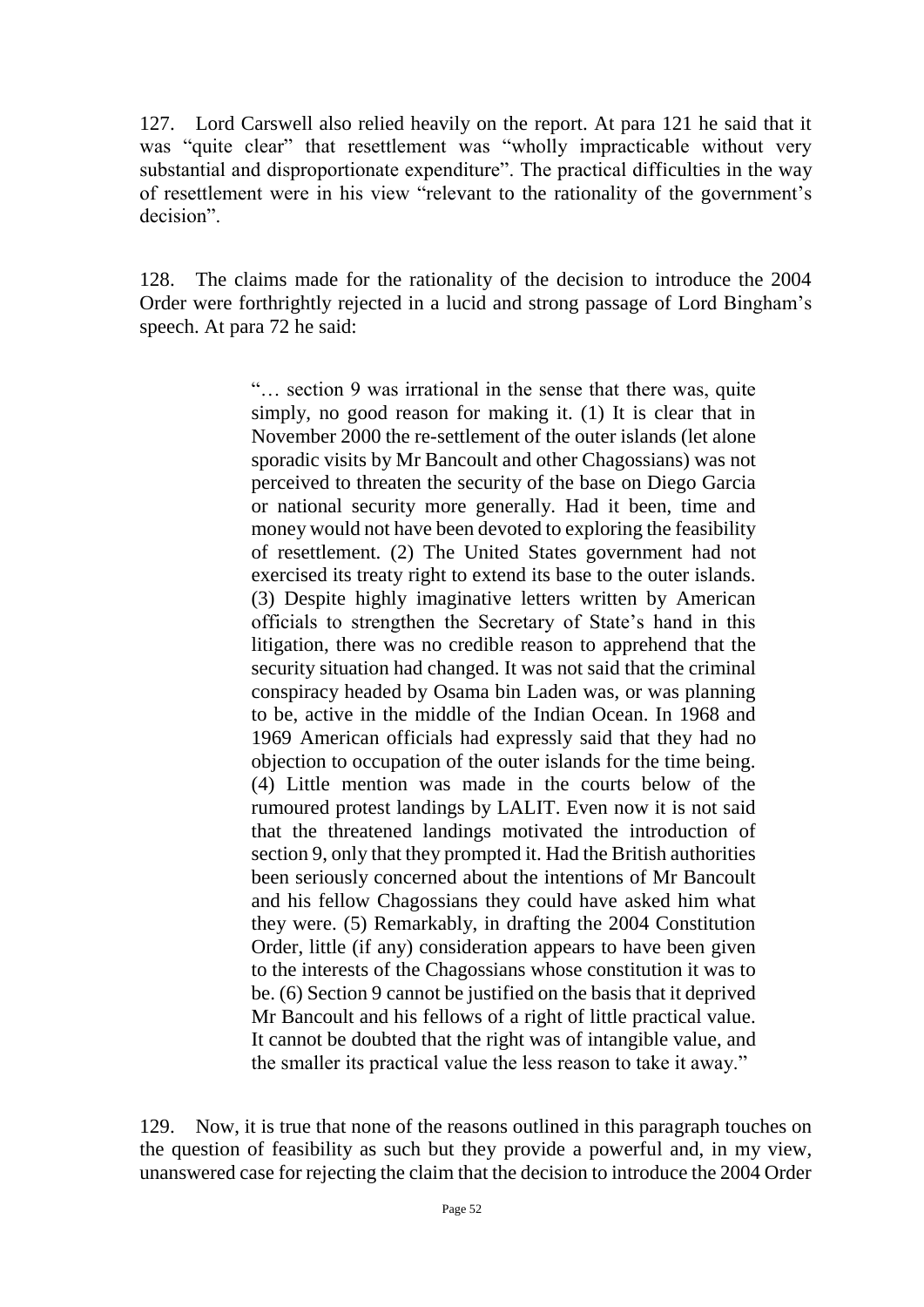127. Lord Carswell also relied heavily on the report. At para 121 he said that it was "quite clear" that resettlement was "wholly impracticable without very substantial and disproportionate expenditure". The practical difficulties in the way of resettlement were in his view "relevant to the rationality of the government's decision".

128. The claims made for the rationality of the decision to introduce the 2004 Order were forthrightly rejected in a lucid and strong passage of Lord Bingham's speech. At para 72 he said:

> "… section 9 was irrational in the sense that there was, quite simply, no good reason for making it. (1) It is clear that in November 2000 the re-settlement of the outer islands (let alone sporadic visits by Mr Bancoult and other Chagossians) was not perceived to threaten the security of the base on Diego Garcia or national security more generally. Had it been, time and money would not have been devoted to exploring the feasibility of resettlement. (2) The United States government had not exercised its treaty right to extend its base to the outer islands. (3) Despite highly imaginative letters written by American officials to strengthen the Secretary of State's hand in this litigation, there was no credible reason to apprehend that the security situation had changed. It was not said that the criminal conspiracy headed by Osama bin Laden was, or was planning to be, active in the middle of the Indian Ocean. In 1968 and 1969 American officials had expressly said that they had no objection to occupation of the outer islands for the time being. (4) Little mention was made in the courts below of the rumoured protest landings by LALIT. Even now it is not said that the threatened landings motivated the introduction of section 9, only that they prompted it. Had the British authorities been seriously concerned about the intentions of Mr Bancoult and his fellow Chagossians they could have asked him what they were. (5) Remarkably, in drafting the 2004 Constitution Order, little (if any) consideration appears to have been given to the interests of the Chagossians whose constitution it was to be. (6) Section 9 cannot be justified on the basis that it deprived Mr Bancoult and his fellows of a right of little practical value. It cannot be doubted that the right was of intangible value, and the smaller its practical value the less reason to take it away."

129. Now, it is true that none of the reasons outlined in this paragraph touches on the question of feasibility as such but they provide a powerful and, in my view, unanswered case for rejecting the claim that the decision to introduce the 2004 Order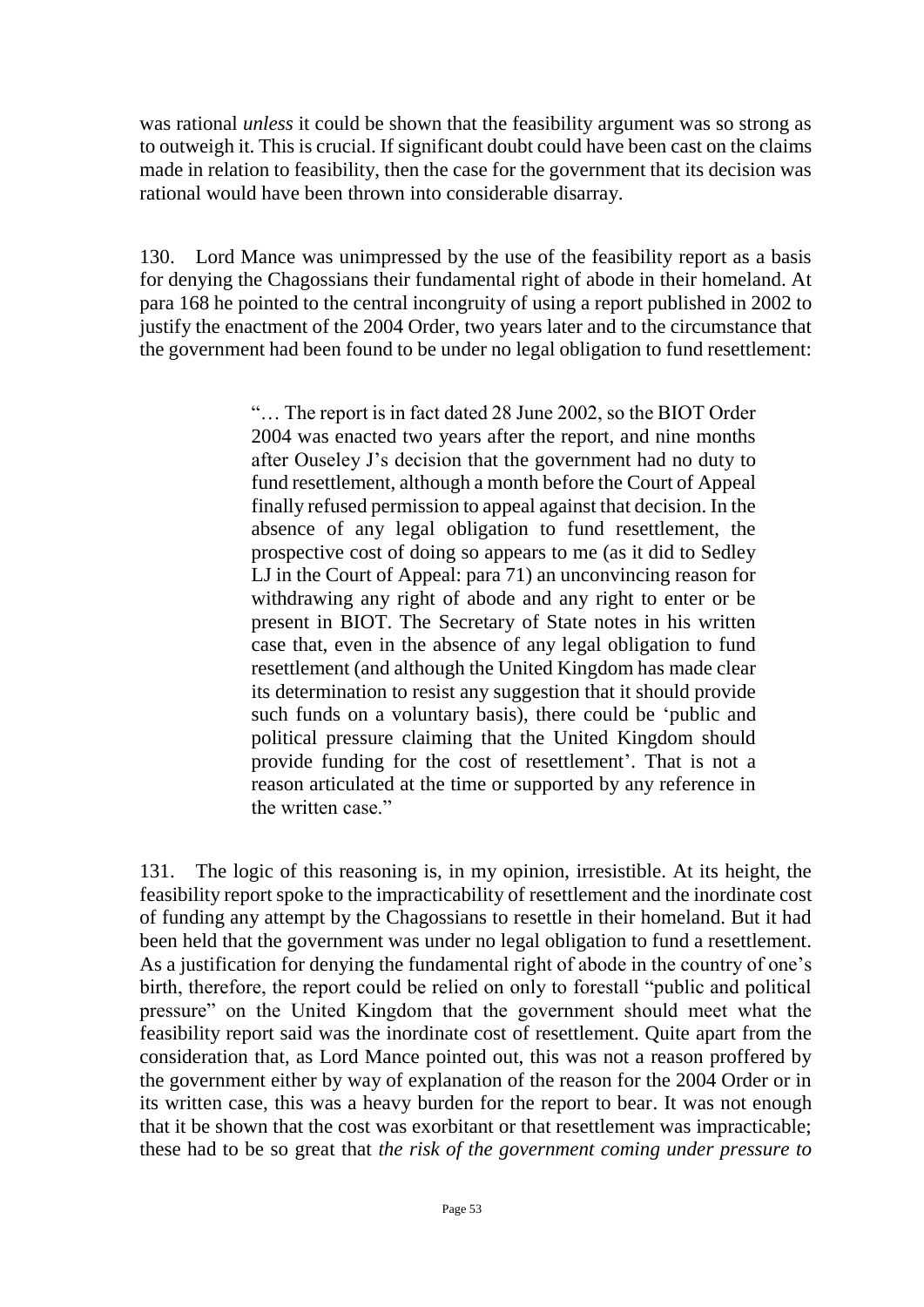was rational *unless* it could be shown that the feasibility argument was so strong as to outweigh it. This is crucial. If significant doubt could have been cast on the claims made in relation to feasibility, then the case for the government that its decision was rational would have been thrown into considerable disarray.

130. Lord Mance was unimpressed by the use of the feasibility report as a basis for denying the Chagossians their fundamental right of abode in their homeland. At para 168 he pointed to the central incongruity of using a report published in 2002 to justify the enactment of the 2004 Order, two years later and to the circumstance that the government had been found to be under no legal obligation to fund resettlement:

> "… The report is in fact dated 28 June 2002, so the BIOT Order 2004 was enacted two years after the report, and nine months after Ouseley J's decision that the government had no duty to fund resettlement, although a month before the Court of Appeal finally refused permission to appeal against that decision. In the absence of any legal obligation to fund resettlement, the prospective cost of doing so appears to me (as it did to Sedley LJ in the Court of Appeal: para 71) an unconvincing reason for withdrawing any right of abode and any right to enter or be present in BIOT. The Secretary of State notes in his written case that, even in the absence of any legal obligation to fund resettlement (and although the United Kingdom has made clear its determination to resist any suggestion that it should provide such funds on a voluntary basis), there could be 'public and political pressure claiming that the United Kingdom should provide funding for the cost of resettlement'. That is not a reason articulated at the time or supported by any reference in the written case."

131. The logic of this reasoning is, in my opinion, irresistible. At its height, the feasibility report spoke to the impracticability of resettlement and the inordinate cost of funding any attempt by the Chagossians to resettle in their homeland. But it had been held that the government was under no legal obligation to fund a resettlement. As a justification for denying the fundamental right of abode in the country of one's birth, therefore, the report could be relied on only to forestall "public and political pressure" on the United Kingdom that the government should meet what the feasibility report said was the inordinate cost of resettlement. Quite apart from the consideration that, as Lord Mance pointed out, this was not a reason proffered by the government either by way of explanation of the reason for the 2004 Order or in its written case, this was a heavy burden for the report to bear. It was not enough that it be shown that the cost was exorbitant or that resettlement was impracticable; these had to be so great that *the risk of the government coming under pressure to*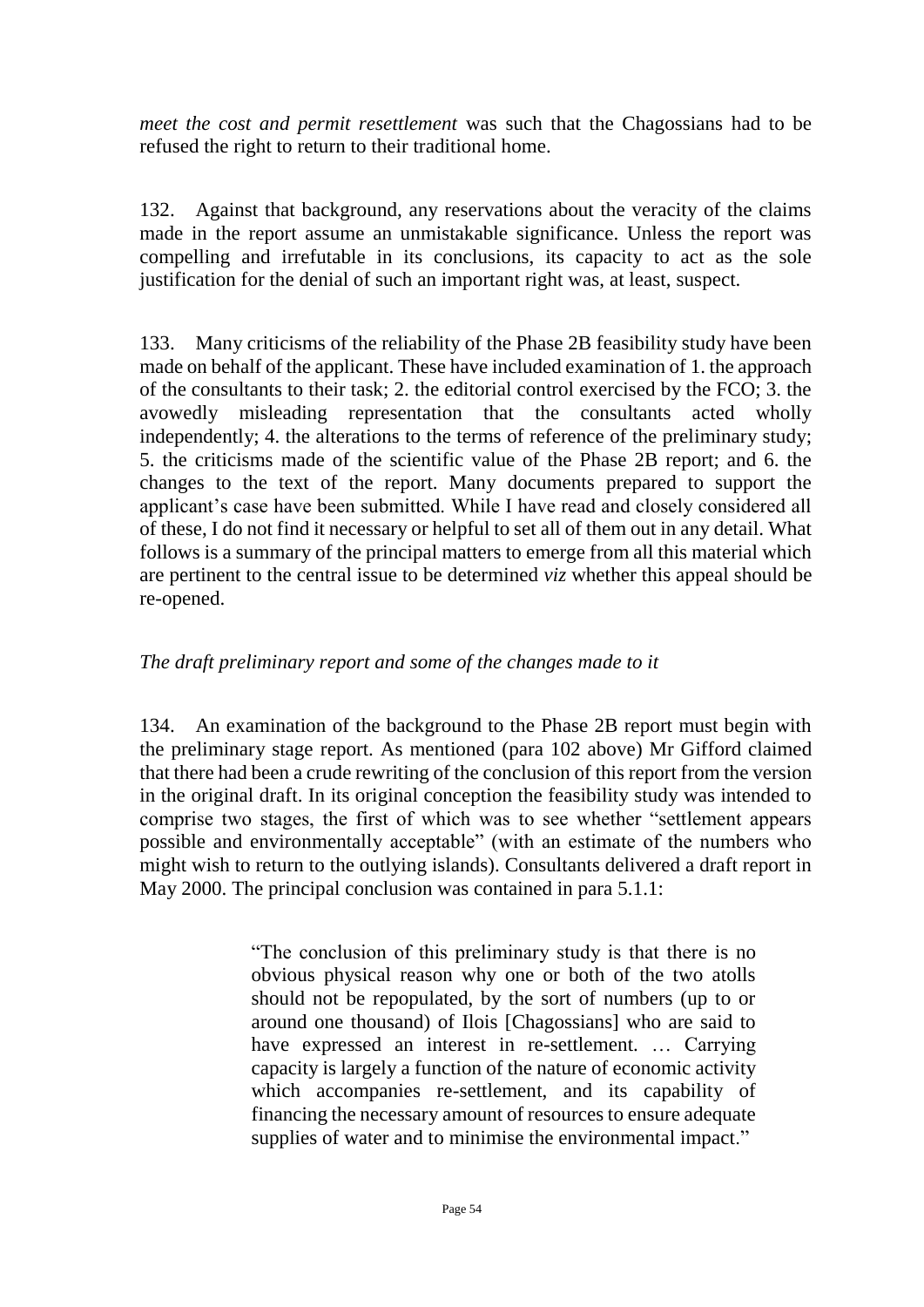*meet the cost and permit resettlement* was such that the Chagossians had to be refused the right to return to their traditional home.

132. Against that background, any reservations about the veracity of the claims made in the report assume an unmistakable significance. Unless the report was compelling and irrefutable in its conclusions, its capacity to act as the sole justification for the denial of such an important right was, at least, suspect.

133. Many criticisms of the reliability of the Phase 2B feasibility study have been made on behalf of the applicant. These have included examination of 1. the approach of the consultants to their task; 2. the editorial control exercised by the FCO; 3. the avowedly misleading representation that the consultants acted wholly independently; 4. the alterations to the terms of reference of the preliminary study; 5. the criticisms made of the scientific value of the Phase 2B report; and 6. the changes to the text of the report. Many documents prepared to support the applicant's case have been submitted. While I have read and closely considered all of these, I do not find it necessary or helpful to set all of them out in any detail. What follows is a summary of the principal matters to emerge from all this material which are pertinent to the central issue to be determined *viz* whether this appeal should be re-opened.

#### *The draft preliminary report and some of the changes made to it*

134. An examination of the background to the Phase 2B report must begin with the preliminary stage report. As mentioned (para 102 above) Mr Gifford claimed that there had been a crude rewriting of the conclusion of this report from the version in the original draft. In its original conception the feasibility study was intended to comprise two stages, the first of which was to see whether "settlement appears possible and environmentally acceptable" (with an estimate of the numbers who might wish to return to the outlying islands). Consultants delivered a draft report in May 2000. The principal conclusion was contained in para 5.1.1:

> "The conclusion of this preliminary study is that there is no obvious physical reason why one or both of the two atolls should not be repopulated, by the sort of numbers (up to or around one thousand) of Ilois [Chagossians] who are said to have expressed an interest in re-settlement. ... Carrying capacity is largely a function of the nature of economic activity which accompanies re-settlement, and its capability of financing the necessary amount of resources to ensure adequate supplies of water and to minimise the environmental impact."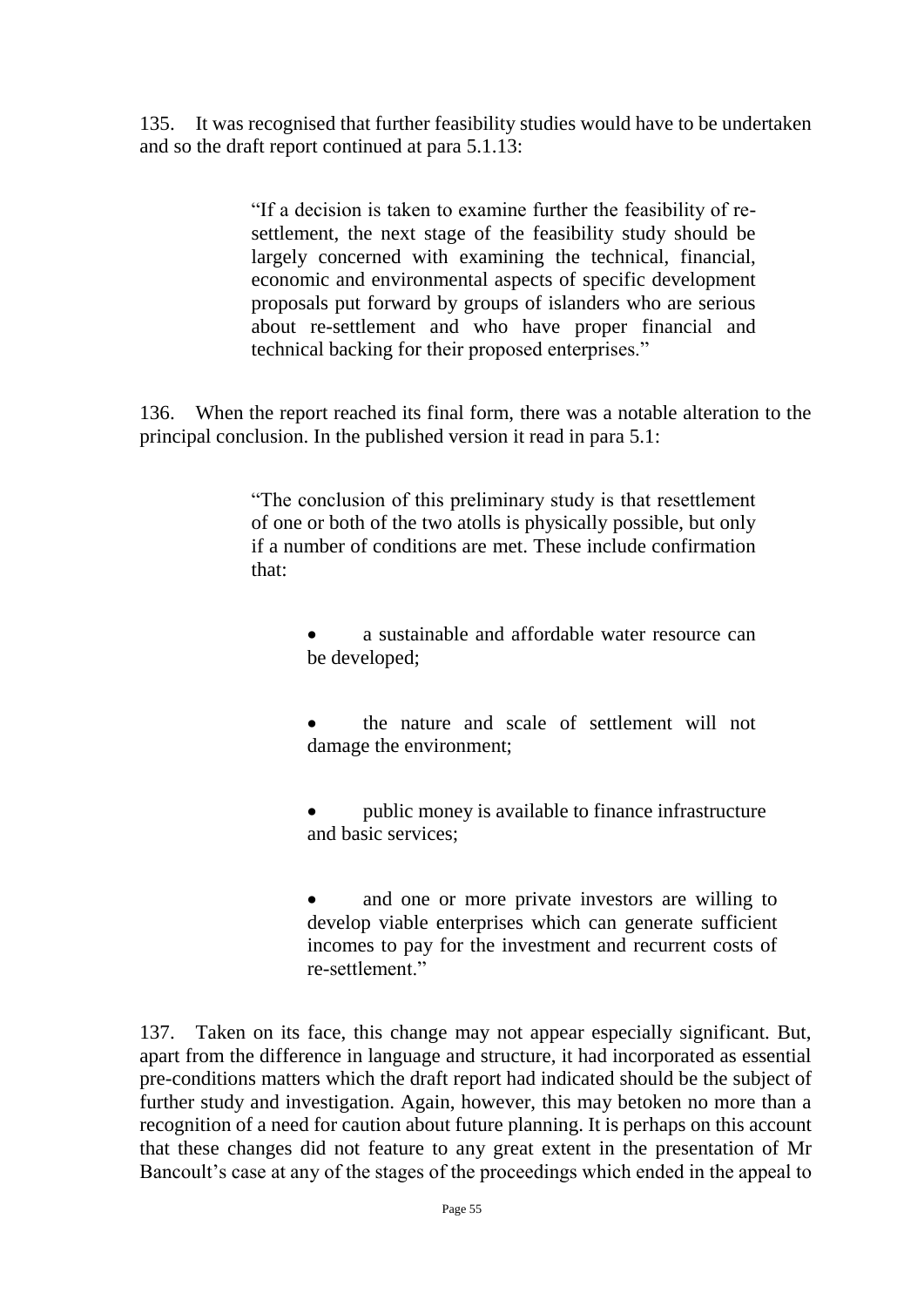135. It was recognised that further feasibility studies would have to be undertaken and so the draft report continued at para 5.1.13:

> "If a decision is taken to examine further the feasibility of resettlement, the next stage of the feasibility study should be largely concerned with examining the technical, financial, economic and environmental aspects of specific development proposals put forward by groups of islanders who are serious about re-settlement and who have proper financial and technical backing for their proposed enterprises."

136. When the report reached its final form, there was a notable alteration to the principal conclusion. In the published version it read in para 5.1:

> "The conclusion of this preliminary study is that resettlement of one or both of the two atolls is physically possible, but only if a number of conditions are met. These include confirmation that:

> > a sustainable and affordable water resource can be developed;

> > the nature and scale of settlement will not damage the environment;

• bublic money is available to finance infrastructure and basic services;

 and one or more private investors are willing to develop viable enterprises which can generate sufficient incomes to pay for the investment and recurrent costs of re-settlement."

137. Taken on its face, this change may not appear especially significant. But, apart from the difference in language and structure, it had incorporated as essential pre-conditions matters which the draft report had indicated should be the subject of further study and investigation. Again, however, this may betoken no more than a recognition of a need for caution about future planning. It is perhaps on this account that these changes did not feature to any great extent in the presentation of Mr Bancoult's case at any of the stages of the proceedings which ended in the appeal to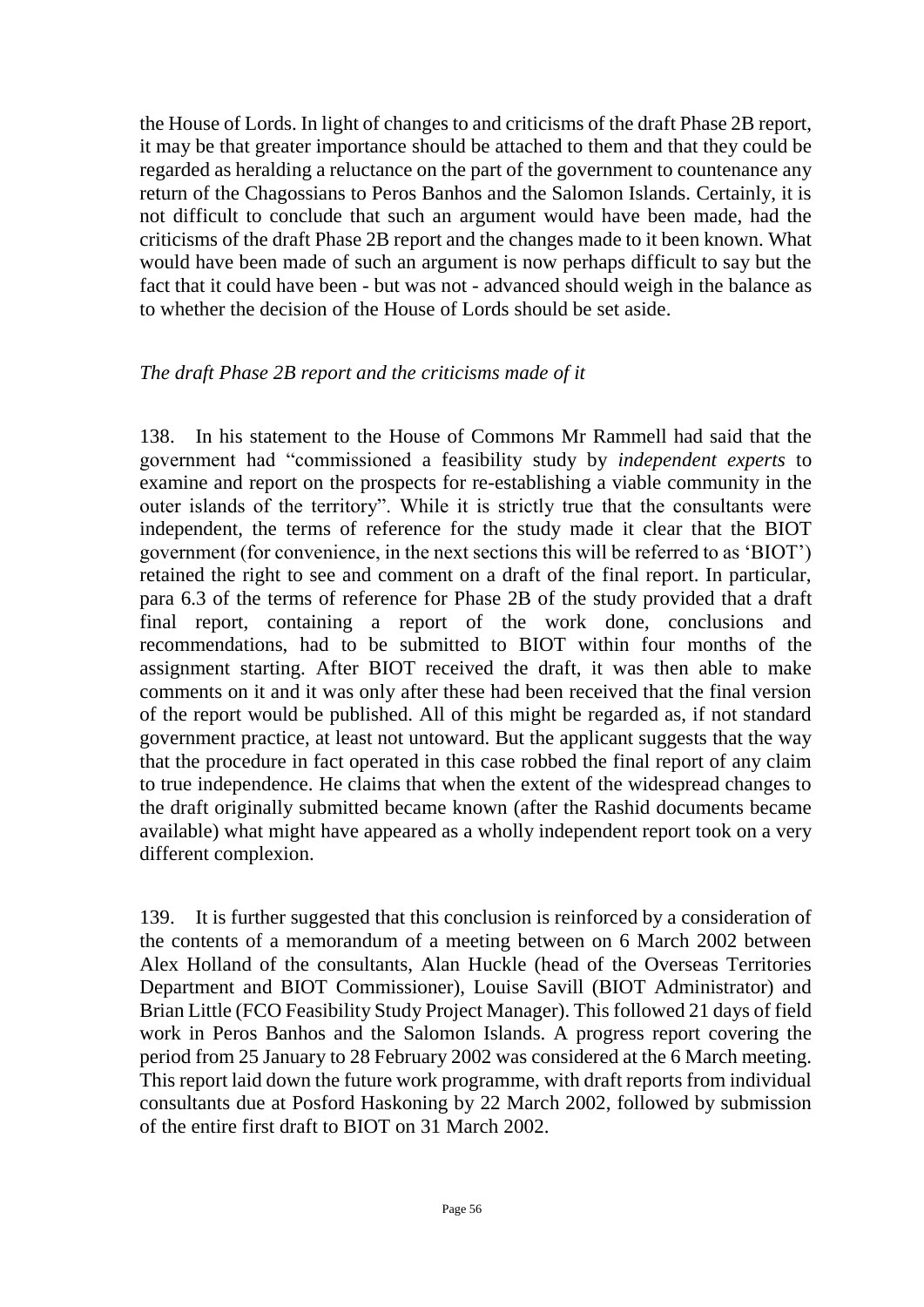the House of Lords. In light of changes to and criticisms of the draft Phase 2B report, it may be that greater importance should be attached to them and that they could be regarded as heralding a reluctance on the part of the government to countenance any return of the Chagossians to Peros Banhos and the Salomon Islands. Certainly, it is not difficult to conclude that such an argument would have been made, had the criticisms of the draft Phase 2B report and the changes made to it been known. What would have been made of such an argument is now perhaps difficult to say but the fact that it could have been - but was not - advanced should weigh in the balance as to whether the decision of the House of Lords should be set aside.

#### *The draft Phase 2B report and the criticisms made of it*

138. In his statement to the House of Commons Mr Rammell had said that the government had "commissioned a feasibility study by *independent experts* to examine and report on the prospects for re-establishing a viable community in the outer islands of the territory". While it is strictly true that the consultants were independent, the terms of reference for the study made it clear that the BIOT government (for convenience, in the next sections this will be referred to as 'BIOT') retained the right to see and comment on a draft of the final report. In particular, para 6.3 of the terms of reference for Phase 2B of the study provided that a draft final report, containing a report of the work done, conclusions and recommendations, had to be submitted to BIOT within four months of the assignment starting. After BIOT received the draft, it was then able to make comments on it and it was only after these had been received that the final version of the report would be published. All of this might be regarded as, if not standard government practice, at least not untoward. But the applicant suggests that the way that the procedure in fact operated in this case robbed the final report of any claim to true independence. He claims that when the extent of the widespread changes to the draft originally submitted became known (after the Rashid documents became available) what might have appeared as a wholly independent report took on a very different complexion.

139. It is further suggested that this conclusion is reinforced by a consideration of the contents of a memorandum of a meeting between on 6 March 2002 between Alex Holland of the consultants, Alan Huckle (head of the Overseas Territories Department and BIOT Commissioner), Louise Savill (BIOT Administrator) and Brian Little (FCO Feasibility Study Project Manager). This followed 21 days of field work in Peros Banhos and the Salomon Islands. A progress report covering the period from 25 January to 28 February 2002 was considered at the 6 March meeting. This report laid down the future work programme, with draft reports from individual consultants due at Posford Haskoning by 22 March 2002, followed by submission of the entire first draft to BIOT on 31 March 2002.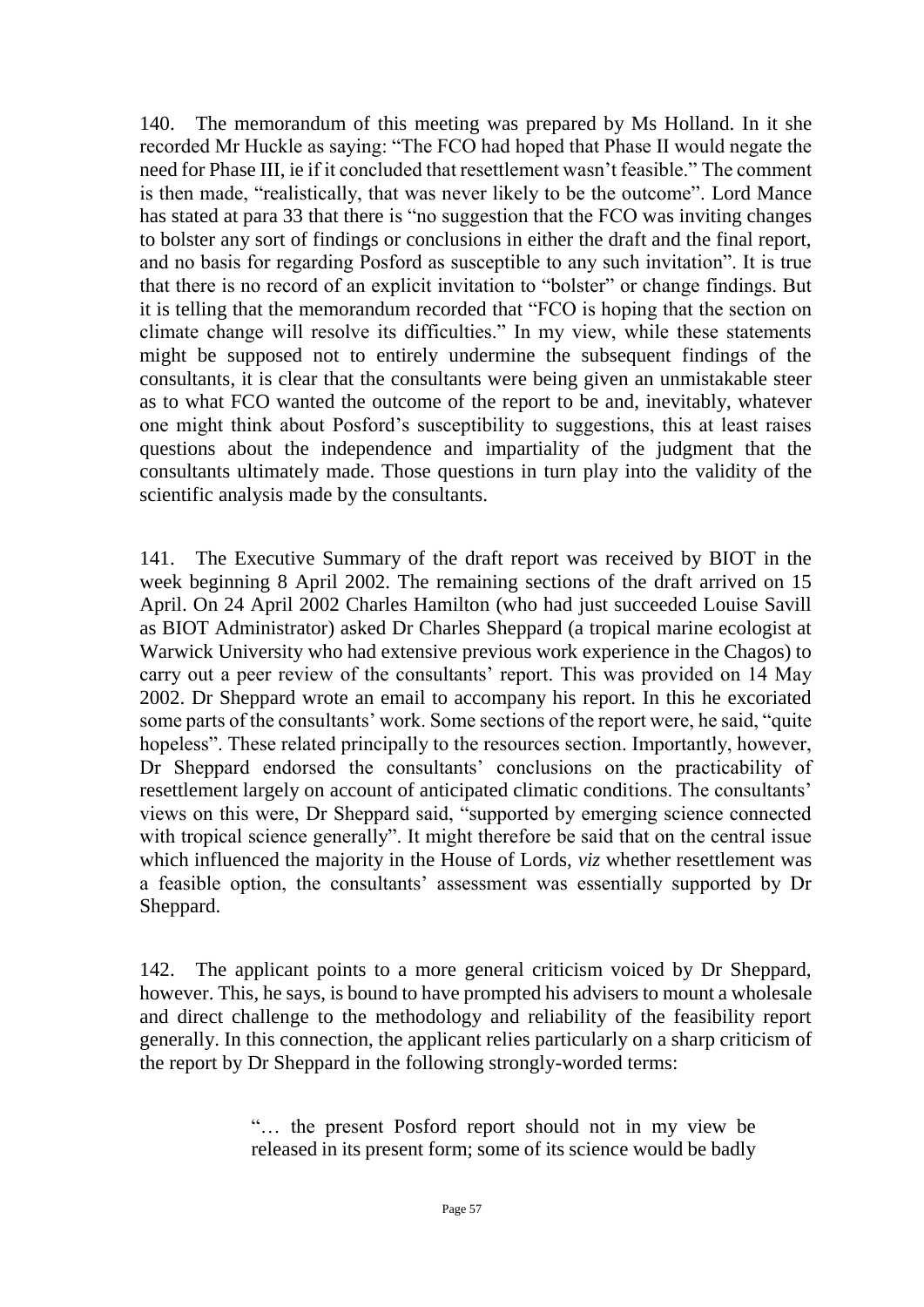140. The memorandum of this meeting was prepared by Ms Holland. In it she recorded Mr Huckle as saying: "The FCO had hoped that Phase II would negate the need for Phase III, ie if it concluded that resettlement wasn't feasible." The comment is then made, "realistically, that was never likely to be the outcome". Lord Mance has stated at para 33 that there is "no suggestion that the FCO was inviting changes to bolster any sort of findings or conclusions in either the draft and the final report, and no basis for regarding Posford as susceptible to any such invitation". It is true that there is no record of an explicit invitation to "bolster" or change findings. But it is telling that the memorandum recorded that "FCO is hoping that the section on climate change will resolve its difficulties." In my view, while these statements might be supposed not to entirely undermine the subsequent findings of the consultants, it is clear that the consultants were being given an unmistakable steer as to what FCO wanted the outcome of the report to be and, inevitably, whatever one might think about Posford's susceptibility to suggestions, this at least raises questions about the independence and impartiality of the judgment that the consultants ultimately made. Those questions in turn play into the validity of the scientific analysis made by the consultants.

141. The Executive Summary of the draft report was received by BIOT in the week beginning 8 April 2002. The remaining sections of the draft arrived on 15 April. On 24 April 2002 Charles Hamilton (who had just succeeded Louise Savill as BIOT Administrator) asked Dr Charles Sheppard (a tropical marine ecologist at Warwick University who had extensive previous work experience in the Chagos) to carry out a peer review of the consultants' report. This was provided on 14 May 2002. Dr Sheppard wrote an email to accompany his report. In this he excoriated some parts of the consultants' work. Some sections of the report were, he said, "quite hopeless". These related principally to the resources section. Importantly, however, Dr Sheppard endorsed the consultants' conclusions on the practicability of resettlement largely on account of anticipated climatic conditions. The consultants' views on this were, Dr Sheppard said, "supported by emerging science connected with tropical science generally". It might therefore be said that on the central issue which influenced the majority in the House of Lords, *viz* whether resettlement was a feasible option, the consultants' assessment was essentially supported by Dr Sheppard.

142. The applicant points to a more general criticism voiced by Dr Sheppard, however. This, he says, is bound to have prompted his advisers to mount a wholesale and direct challenge to the methodology and reliability of the feasibility report generally. In this connection, the applicant relies particularly on a sharp criticism of the report by Dr Sheppard in the following strongly-worded terms:

> "… the present Posford report should not in my view be released in its present form; some of its science would be badly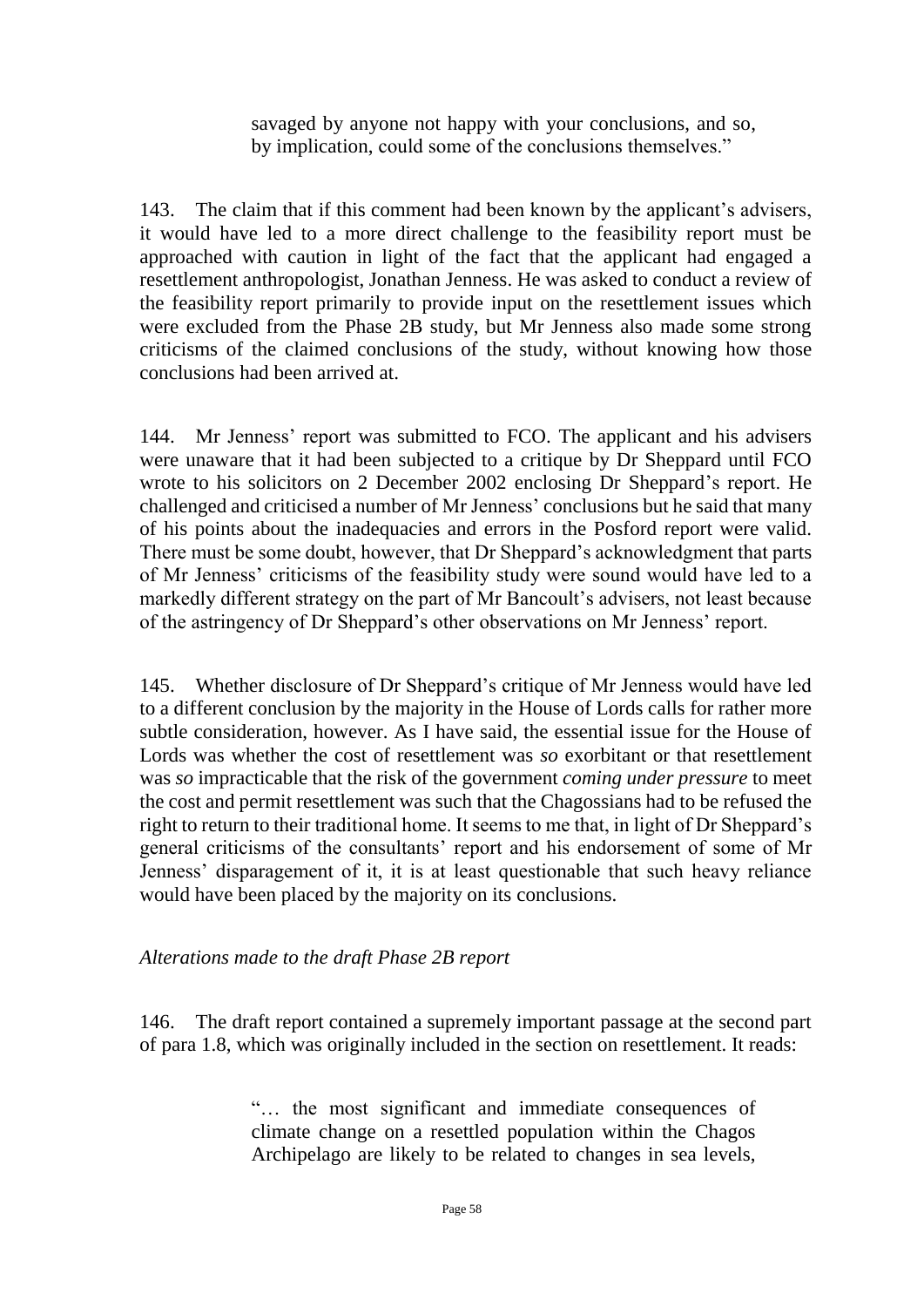savaged by anyone not happy with your conclusions, and so, by implication, could some of the conclusions themselves."

143. The claim that if this comment had been known by the applicant's advisers, it would have led to a more direct challenge to the feasibility report must be approached with caution in light of the fact that the applicant had engaged a resettlement anthropologist, Jonathan Jenness. He was asked to conduct a review of the feasibility report primarily to provide input on the resettlement issues which were excluded from the Phase 2B study, but Mr Jenness also made some strong criticisms of the claimed conclusions of the study, without knowing how those conclusions had been arrived at.

144. Mr Jenness' report was submitted to FCO. The applicant and his advisers were unaware that it had been subjected to a critique by Dr Sheppard until FCO wrote to his solicitors on 2 December 2002 enclosing Dr Sheppard's report. He challenged and criticised a number of Mr Jenness' conclusions but he said that many of his points about the inadequacies and errors in the Posford report were valid. There must be some doubt, however, that Dr Sheppard's acknowledgment that parts of Mr Jenness' criticisms of the feasibility study were sound would have led to a markedly different strategy on the part of Mr Bancoult's advisers, not least because of the astringency of Dr Sheppard's other observations on Mr Jenness' report.

145. Whether disclosure of Dr Sheppard's critique of Mr Jenness would have led to a different conclusion by the majority in the House of Lords calls for rather more subtle consideration, however. As I have said, the essential issue for the House of Lords was whether the cost of resettlement was *so* exorbitant or that resettlement was *so* impracticable that the risk of the government *coming under pressure* to meet the cost and permit resettlement was such that the Chagossians had to be refused the right to return to their traditional home. It seems to me that, in light of Dr Sheppard's general criticisms of the consultants' report and his endorsement of some of Mr Jenness' disparagement of it, it is at least questionable that such heavy reliance would have been placed by the majority on its conclusions.

#### *Alterations made to the draft Phase 2B report*

146. The draft report contained a supremely important passage at the second part of para 1.8, which was originally included in the section on resettlement. It reads:

> "… the most significant and immediate consequences of climate change on a resettled population within the Chagos Archipelago are likely to be related to changes in sea levels,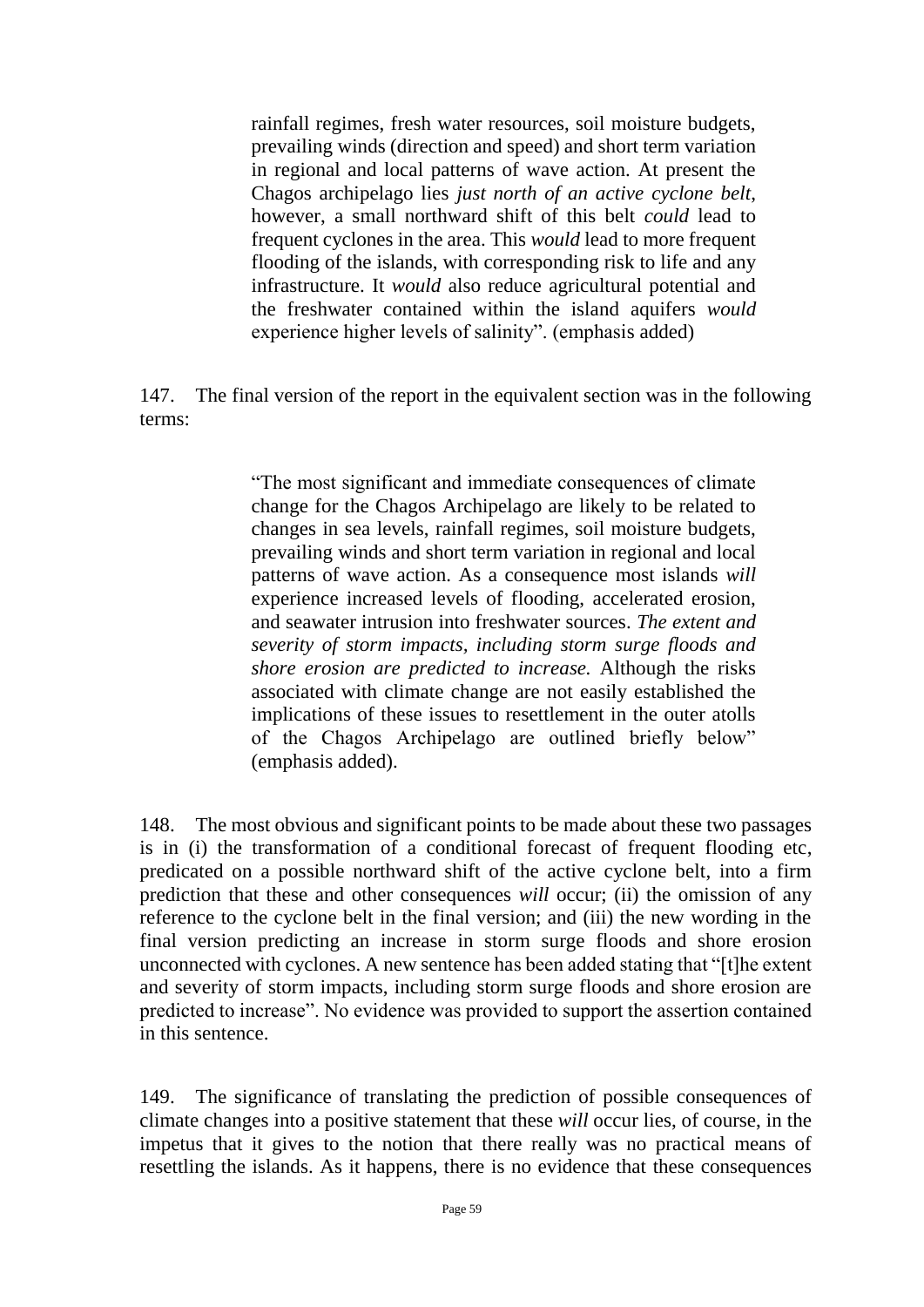rainfall regimes, fresh water resources, soil moisture budgets, prevailing winds (direction and speed) and short term variation in regional and local patterns of wave action. At present the Chagos archipelago lies *just north of an active cyclone belt*, however, a small northward shift of this belt *could* lead to frequent cyclones in the area. This *would* lead to more frequent flooding of the islands, with corresponding risk to life and any infrastructure. It *would* also reduce agricultural potential and the freshwater contained within the island aquifers *would* experience higher levels of salinity". (emphasis added)

147. The final version of the report in the equivalent section was in the following terms:

> "The most significant and immediate consequences of climate change for the Chagos Archipelago are likely to be related to changes in sea levels, rainfall regimes, soil moisture budgets, prevailing winds and short term variation in regional and local patterns of wave action. As a consequence most islands *will* experience increased levels of flooding, accelerated erosion, and seawater intrusion into freshwater sources. *The extent and severity of storm impacts, including storm surge floods and shore erosion are predicted to increase.* Although the risks associated with climate change are not easily established the implications of these issues to resettlement in the outer atolls of the Chagos Archipelago are outlined briefly below" (emphasis added).

148. The most obvious and significant points to be made about these two passages is in (i) the transformation of a conditional forecast of frequent flooding etc, predicated on a possible northward shift of the active cyclone belt, into a firm prediction that these and other consequences *will* occur; (ii) the omission of any reference to the cyclone belt in the final version; and (iii) the new wording in the final version predicting an increase in storm surge floods and shore erosion unconnected with cyclones. A new sentence has been added stating that "[t]he extent and severity of storm impacts, including storm surge floods and shore erosion are predicted to increase". No evidence was provided to support the assertion contained in this sentence.

149. The significance of translating the prediction of possible consequences of climate changes into a positive statement that these *will* occur lies, of course, in the impetus that it gives to the notion that there really was no practical means of resettling the islands. As it happens, there is no evidence that these consequences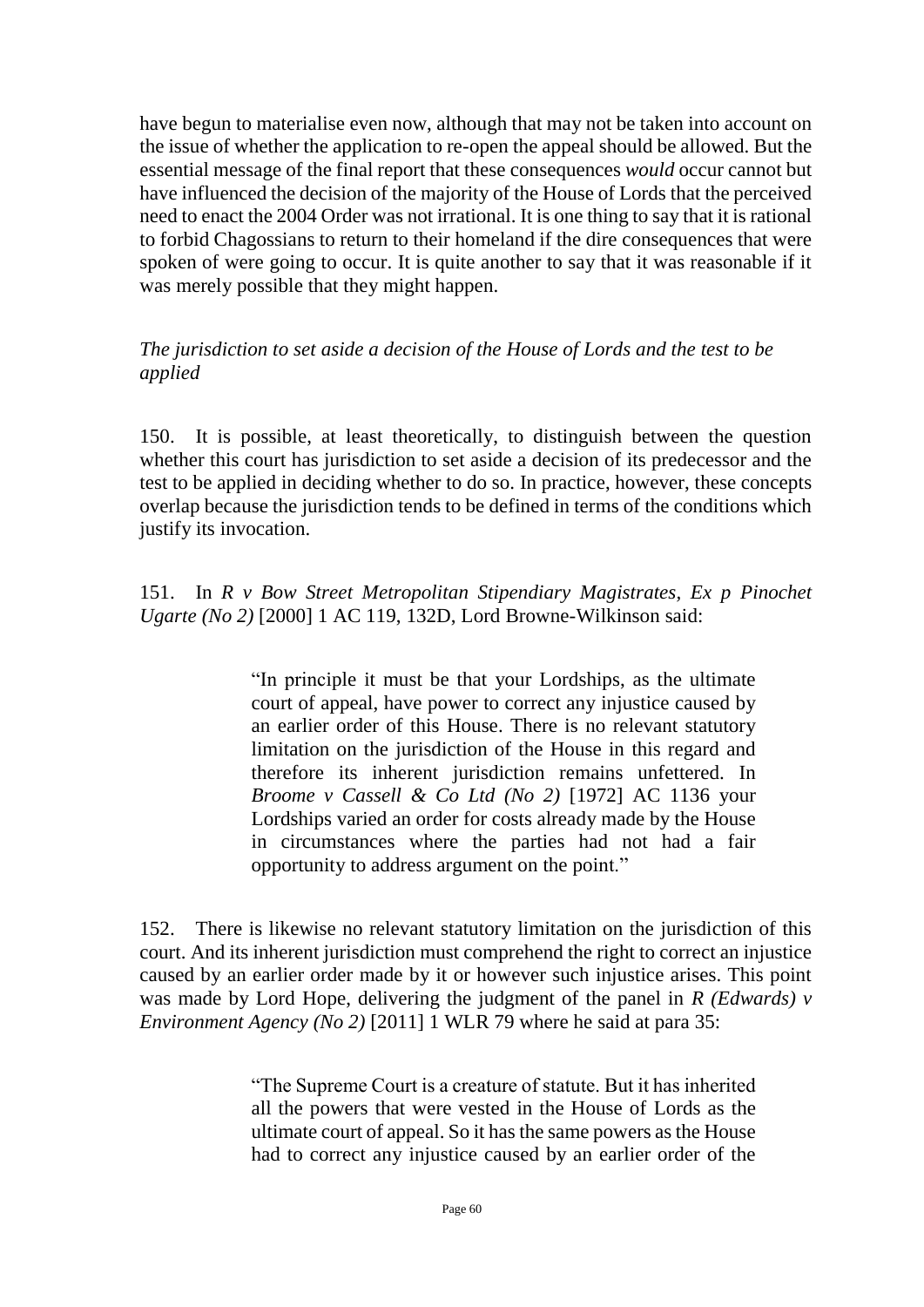have begun to materialise even now, although that may not be taken into account on the issue of whether the application to re-open the appeal should be allowed. But the essential message of the final report that these consequences *would* occur cannot but have influenced the decision of the majority of the House of Lords that the perceived need to enact the 2004 Order was not irrational. It is one thing to say that it is rational to forbid Chagossians to return to their homeland if the dire consequences that were spoken of were going to occur. It is quite another to say that it was reasonable if it was merely possible that they might happen.

*The jurisdiction to set aside a decision of the House of Lords and the test to be applied*

150. It is possible, at least theoretically, to distinguish between the question whether this court has jurisdiction to set aside a decision of its predecessor and the test to be applied in deciding whether to do so. In practice, however, these concepts overlap because the jurisdiction tends to be defined in terms of the conditions which justify its invocation.

151. In *R v Bow Street Metropolitan Stipendiary Magistrates, Ex p Pinochet Ugarte (No 2)* [2000] 1 AC 119, 132D, Lord Browne-Wilkinson said:

> "In principle it must be that your Lordships, as the ultimate court of appeal, have power to correct any injustice caused by an earlier order of this House. There is no relevant statutory limitation on the jurisdiction of the House in this regard and therefore its inherent jurisdiction remains unfettered. In *Broome v Cassell & Co Ltd (No 2)* [1972] AC 1136 your Lordships varied an order for costs already made by the House in circumstances where the parties had not had a fair opportunity to address argument on the point."

152. There is likewise no relevant statutory limitation on the jurisdiction of this court. And its inherent jurisdiction must comprehend the right to correct an injustice caused by an earlier order made by it or however such injustice arises. This point was made by Lord Hope, delivering the judgment of the panel in *R (Edwards) v Environment Agency (No 2)* [2011] 1 WLR 79 where he said at para 35:

> "The Supreme Court is a creature of statute. But it has inherited all the powers that were vested in the House of Lords as the ultimate court of appeal. So it has the same powers as the House had to correct any injustice caused by an earlier order of the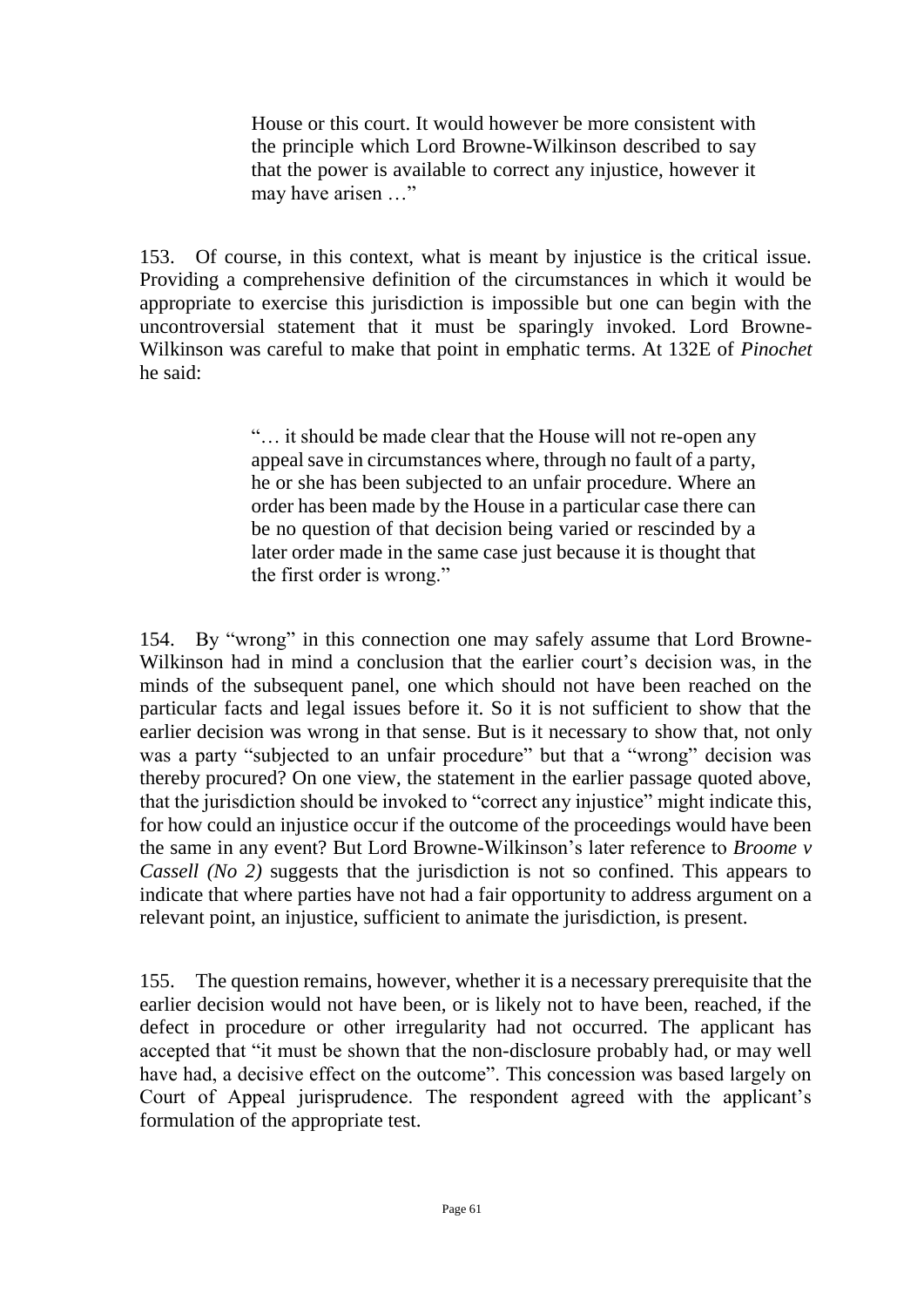House or this court. It would however be more consistent with the principle which Lord Browne-Wilkinson described to say that the power is available to correct any injustice, however it may have arisen …"

153. Of course, in this context, what is meant by injustice is the critical issue. Providing a comprehensive definition of the circumstances in which it would be appropriate to exercise this jurisdiction is impossible but one can begin with the uncontroversial statement that it must be sparingly invoked. Lord Browne-Wilkinson was careful to make that point in emphatic terms. At 132E of *Pinochet*  he said:

> "… it should be made clear that the House will not re-open any appeal save in circumstances where, through no fault of a party, he or she has been subjected to an unfair procedure. Where an order has been made by the House in a particular case there can be no question of that decision being varied or rescinded by a later order made in the same case just because it is thought that the first order is wrong."

154. By "wrong" in this connection one may safely assume that Lord Browne-Wilkinson had in mind a conclusion that the earlier court's decision was, in the minds of the subsequent panel, one which should not have been reached on the particular facts and legal issues before it. So it is not sufficient to show that the earlier decision was wrong in that sense. But is it necessary to show that, not only was a party "subjected to an unfair procedure" but that a "wrong" decision was thereby procured? On one view, the statement in the earlier passage quoted above, that the jurisdiction should be invoked to "correct any injustice" might indicate this, for how could an injustice occur if the outcome of the proceedings would have been the same in any event? But Lord Browne-Wilkinson's later reference to *Broome v Cassell (No 2)* suggests that the jurisdiction is not so confined. This appears to indicate that where parties have not had a fair opportunity to address argument on a relevant point, an injustice, sufficient to animate the jurisdiction, is present.

155. The question remains, however, whether it is a necessary prerequisite that the earlier decision would not have been, or is likely not to have been, reached, if the defect in procedure or other irregularity had not occurred. The applicant has accepted that "it must be shown that the non-disclosure probably had, or may well have had, a decisive effect on the outcome". This concession was based largely on Court of Appeal jurisprudence. The respondent agreed with the applicant's formulation of the appropriate test.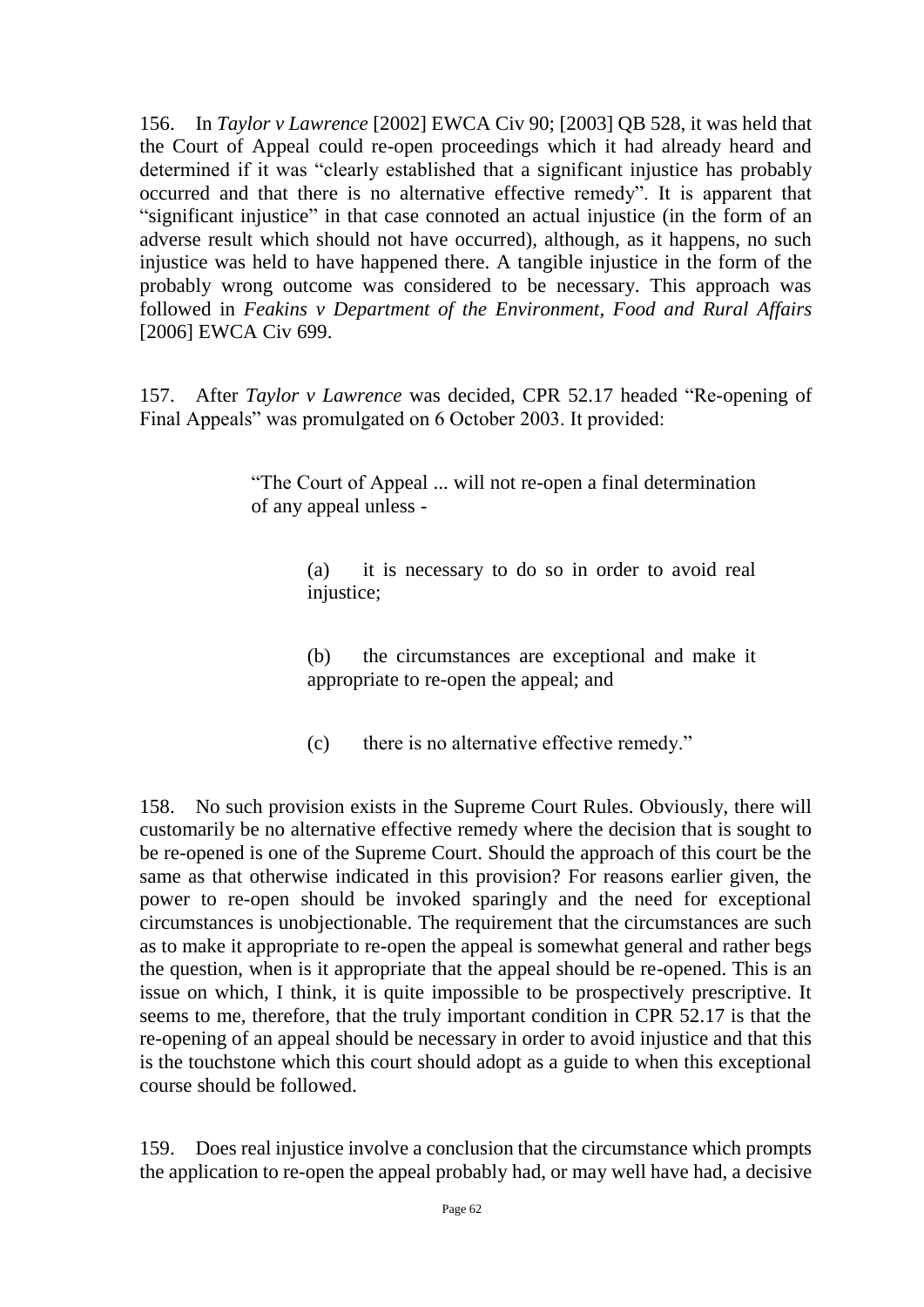156. In *Taylor v Lawrence* [2002] EWCA Civ 90; [2003] QB 528, it was held that the Court of Appeal could re-open proceedings which it had already heard and determined if it was "clearly established that a significant injustice has probably occurred and that there is no alternative effective remedy". It is apparent that "significant injustice" in that case connoted an actual injustice (in the form of an adverse result which should not have occurred), although, as it happens, no such injustice was held to have happened there. A tangible injustice in the form of the probably wrong outcome was considered to be necessary. This approach was followed in *Feakins v Department of the Environment, Food and Rural Affairs* [2006] EWCA Civ 699.

157. After *Taylor v Lawrence* was decided, CPR 52.17 headed "Re-opening of Final Appeals" was promulgated on 6 October 2003. It provided:

> "The Court of Appeal ... will not re-open a final determination of any appeal unless -

> > (a) it is necessary to do so in order to avoid real injustice;

> > (b) the circumstances are exceptional and make it appropriate to re-open the appeal; and

(c) there is no alternative effective remedy."

158. No such provision exists in the Supreme Court Rules. Obviously, there will customarily be no alternative effective remedy where the decision that is sought to be re-opened is one of the Supreme Court. Should the approach of this court be the same as that otherwise indicated in this provision? For reasons earlier given, the power to re-open should be invoked sparingly and the need for exceptional circumstances is unobjectionable. The requirement that the circumstances are such as to make it appropriate to re-open the appeal is somewhat general and rather begs the question, when is it appropriate that the appeal should be re-opened. This is an issue on which, I think, it is quite impossible to be prospectively prescriptive. It seems to me, therefore, that the truly important condition in CPR 52.17 is that the re-opening of an appeal should be necessary in order to avoid injustice and that this is the touchstone which this court should adopt as a guide to when this exceptional course should be followed.

159. Does real injustice involve a conclusion that the circumstance which prompts the application to re-open the appeal probably had, or may well have had, a decisive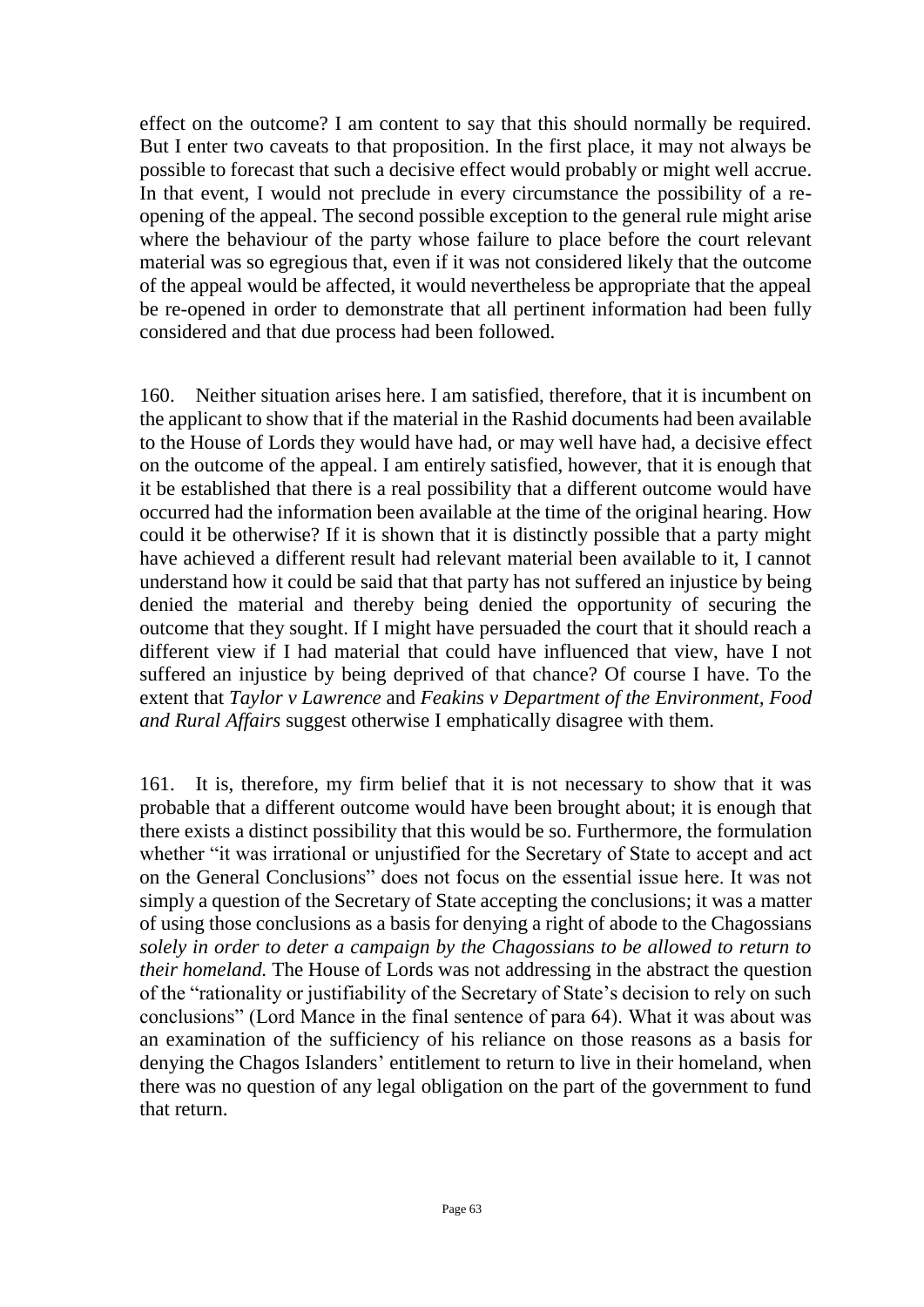effect on the outcome? I am content to say that this should normally be required. But I enter two caveats to that proposition. In the first place, it may not always be possible to forecast that such a decisive effect would probably or might well accrue. In that event, I would not preclude in every circumstance the possibility of a reopening of the appeal. The second possible exception to the general rule might arise where the behaviour of the party whose failure to place before the court relevant material was so egregious that, even if it was not considered likely that the outcome of the appeal would be affected, it would nevertheless be appropriate that the appeal be re-opened in order to demonstrate that all pertinent information had been fully considered and that due process had been followed.

160. Neither situation arises here. I am satisfied, therefore, that it is incumbent on the applicant to show that if the material in the Rashid documents had been available to the House of Lords they would have had, or may well have had, a decisive effect on the outcome of the appeal. I am entirely satisfied, however, that it is enough that it be established that there is a real possibility that a different outcome would have occurred had the information been available at the time of the original hearing. How could it be otherwise? If it is shown that it is distinctly possible that a party might have achieved a different result had relevant material been available to it, I cannot understand how it could be said that that party has not suffered an injustice by being denied the material and thereby being denied the opportunity of securing the outcome that they sought. If I might have persuaded the court that it should reach a different view if I had material that could have influenced that view, have I not suffered an injustice by being deprived of that chance? Of course I have. To the extent that *Taylor v Lawrence* and *Feakins v Department of the Environment, Food and Rural Affairs* suggest otherwise I emphatically disagree with them.

161. It is, therefore, my firm belief that it is not necessary to show that it was probable that a different outcome would have been brought about; it is enough that there exists a distinct possibility that this would be so. Furthermore, the formulation whether "it was irrational or unjustified for the Secretary of State to accept and act on the General Conclusions" does not focus on the essential issue here. It was not simply a question of the Secretary of State accepting the conclusions; it was a matter of using those conclusions as a basis for denying a right of abode to the Chagossians *solely in order to deter a campaign by the Chagossians to be allowed to return to their homeland.* The House of Lords was not addressing in the abstract the question of the "rationality or justifiability of the Secretary of State's decision to rely on such conclusions" (Lord Mance in the final sentence of para 64). What it was about was an examination of the sufficiency of his reliance on those reasons as a basis for denying the Chagos Islanders' entitlement to return to live in their homeland, when there was no question of any legal obligation on the part of the government to fund that return.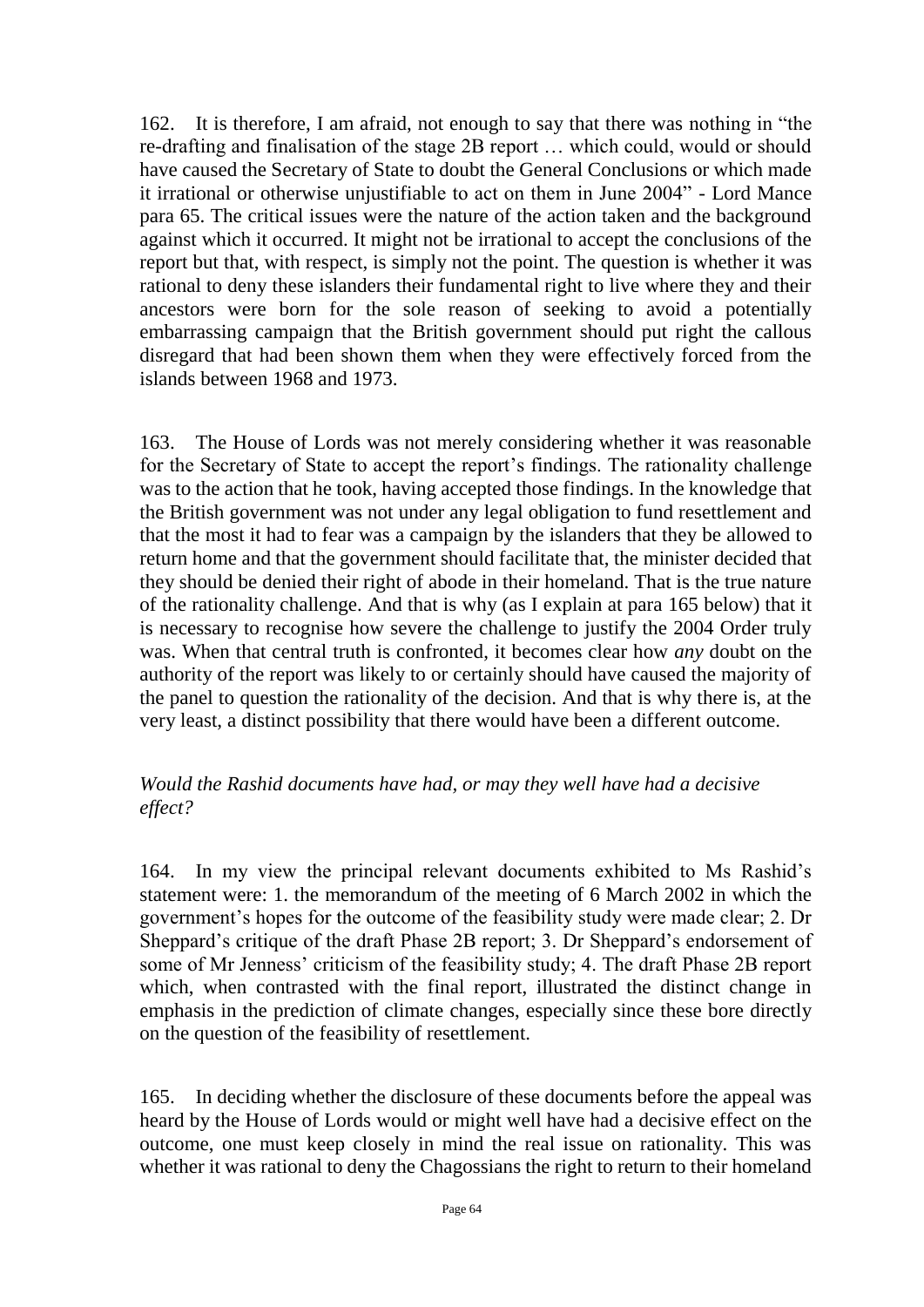162. It is therefore, I am afraid, not enough to say that there was nothing in "the re-drafting and finalisation of the stage 2B report … which could, would or should have caused the Secretary of State to doubt the General Conclusions or which made it irrational or otherwise unjustifiable to act on them in June 2004" - Lord Mance para 65. The critical issues were the nature of the action taken and the background against which it occurred. It might not be irrational to accept the conclusions of the report but that, with respect, is simply not the point. The question is whether it was rational to deny these islanders their fundamental right to live where they and their ancestors were born for the sole reason of seeking to avoid a potentially embarrassing campaign that the British government should put right the callous disregard that had been shown them when they were effectively forced from the islands between 1968 and 1973.

163. The House of Lords was not merely considering whether it was reasonable for the Secretary of State to accept the report's findings. The rationality challenge was to the action that he took, having accepted those findings. In the knowledge that the British government was not under any legal obligation to fund resettlement and that the most it had to fear was a campaign by the islanders that they be allowed to return home and that the government should facilitate that, the minister decided that they should be denied their right of abode in their homeland. That is the true nature of the rationality challenge. And that is why (as I explain at para 165 below) that it is necessary to recognise how severe the challenge to justify the 2004 Order truly was. When that central truth is confronted, it becomes clear how *any* doubt on the authority of the report was likely to or certainly should have caused the majority of the panel to question the rationality of the decision. And that is why there is, at the very least, a distinct possibility that there would have been a different outcome.

## *Would the Rashid documents have had, or may they well have had a decisive effect?*

164. In my view the principal relevant documents exhibited to Ms Rashid's statement were: 1. the memorandum of the meeting of 6 March 2002 in which the government's hopes for the outcome of the feasibility study were made clear; 2. Dr Sheppard's critique of the draft Phase 2B report; 3. Dr Sheppard's endorsement of some of Mr Jenness' criticism of the feasibility study; 4. The draft Phase 2B report which, when contrasted with the final report, illustrated the distinct change in emphasis in the prediction of climate changes, especially since these bore directly on the question of the feasibility of resettlement.

165. In deciding whether the disclosure of these documents before the appeal was heard by the House of Lords would or might well have had a decisive effect on the outcome, one must keep closely in mind the real issue on rationality. This was whether it was rational to deny the Chagossians the right to return to their homeland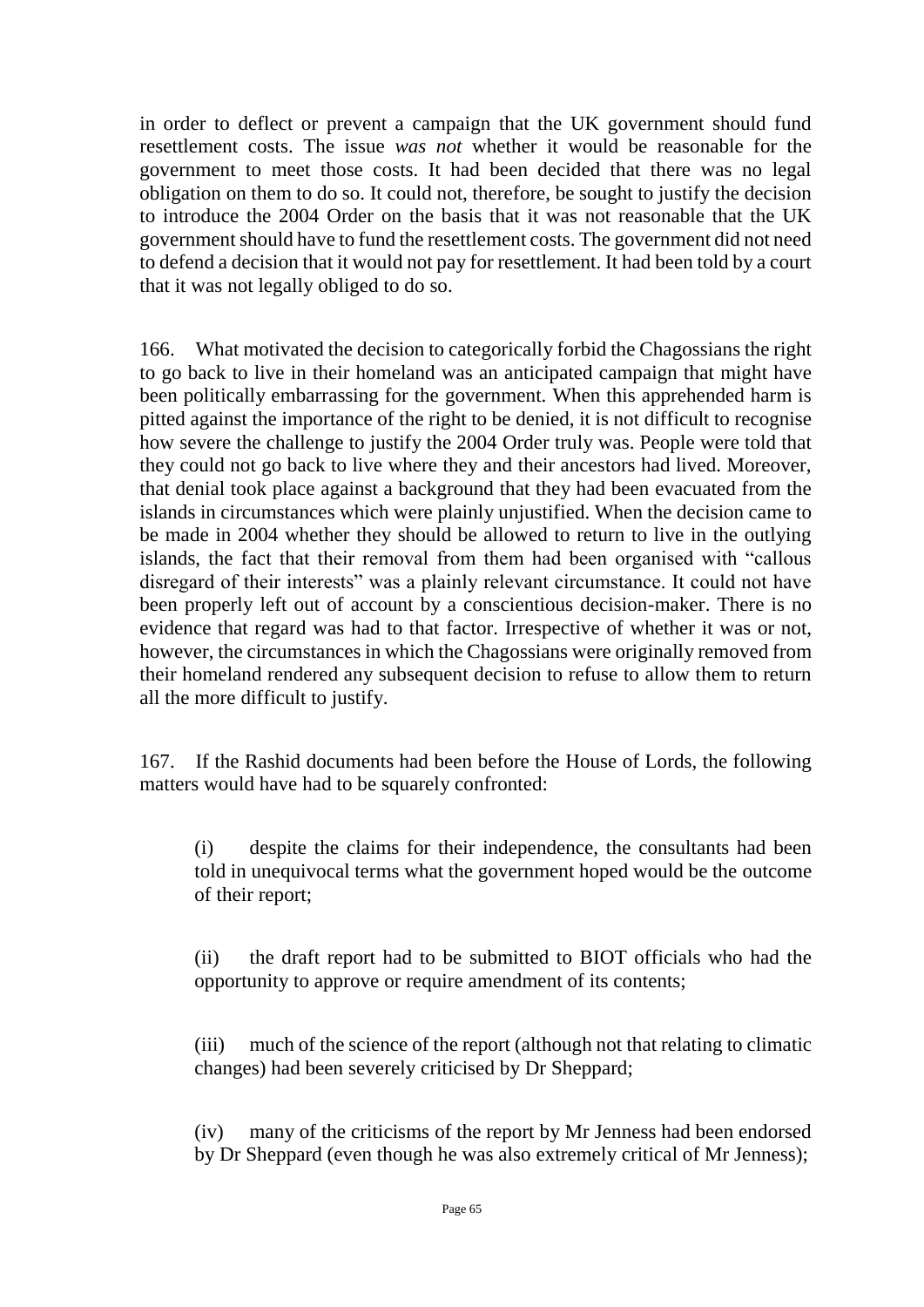in order to deflect or prevent a campaign that the UK government should fund resettlement costs. The issue *was not* whether it would be reasonable for the government to meet those costs. It had been decided that there was no legal obligation on them to do so. It could not, therefore, be sought to justify the decision to introduce the 2004 Order on the basis that it was not reasonable that the UK government should have to fund the resettlement costs. The government did not need to defend a decision that it would not pay for resettlement. It had been told by a court that it was not legally obliged to do so.

166. What motivated the decision to categorically forbid the Chagossians the right to go back to live in their homeland was an anticipated campaign that might have been politically embarrassing for the government. When this apprehended harm is pitted against the importance of the right to be denied, it is not difficult to recognise how severe the challenge to justify the 2004 Order truly was. People were told that they could not go back to live where they and their ancestors had lived. Moreover, that denial took place against a background that they had been evacuated from the islands in circumstances which were plainly unjustified. When the decision came to be made in 2004 whether they should be allowed to return to live in the outlying islands, the fact that their removal from them had been organised with "callous disregard of their interests" was a plainly relevant circumstance. It could not have been properly left out of account by a conscientious decision-maker. There is no evidence that regard was had to that factor. Irrespective of whether it was or not, however, the circumstances in which the Chagossians were originally removed from their homeland rendered any subsequent decision to refuse to allow them to return all the more difficult to justify.

167. If the Rashid documents had been before the House of Lords, the following matters would have had to be squarely confronted:

(i) despite the claims for their independence, the consultants had been told in unequivocal terms what the government hoped would be the outcome of their report;

(ii) the draft report had to be submitted to BIOT officials who had the opportunity to approve or require amendment of its contents;

(iii) much of the science of the report (although not that relating to climatic changes) had been severely criticised by Dr Sheppard;

(iv) many of the criticisms of the report by Mr Jenness had been endorsed by Dr Sheppard (even though he was also extremely critical of Mr Jenness);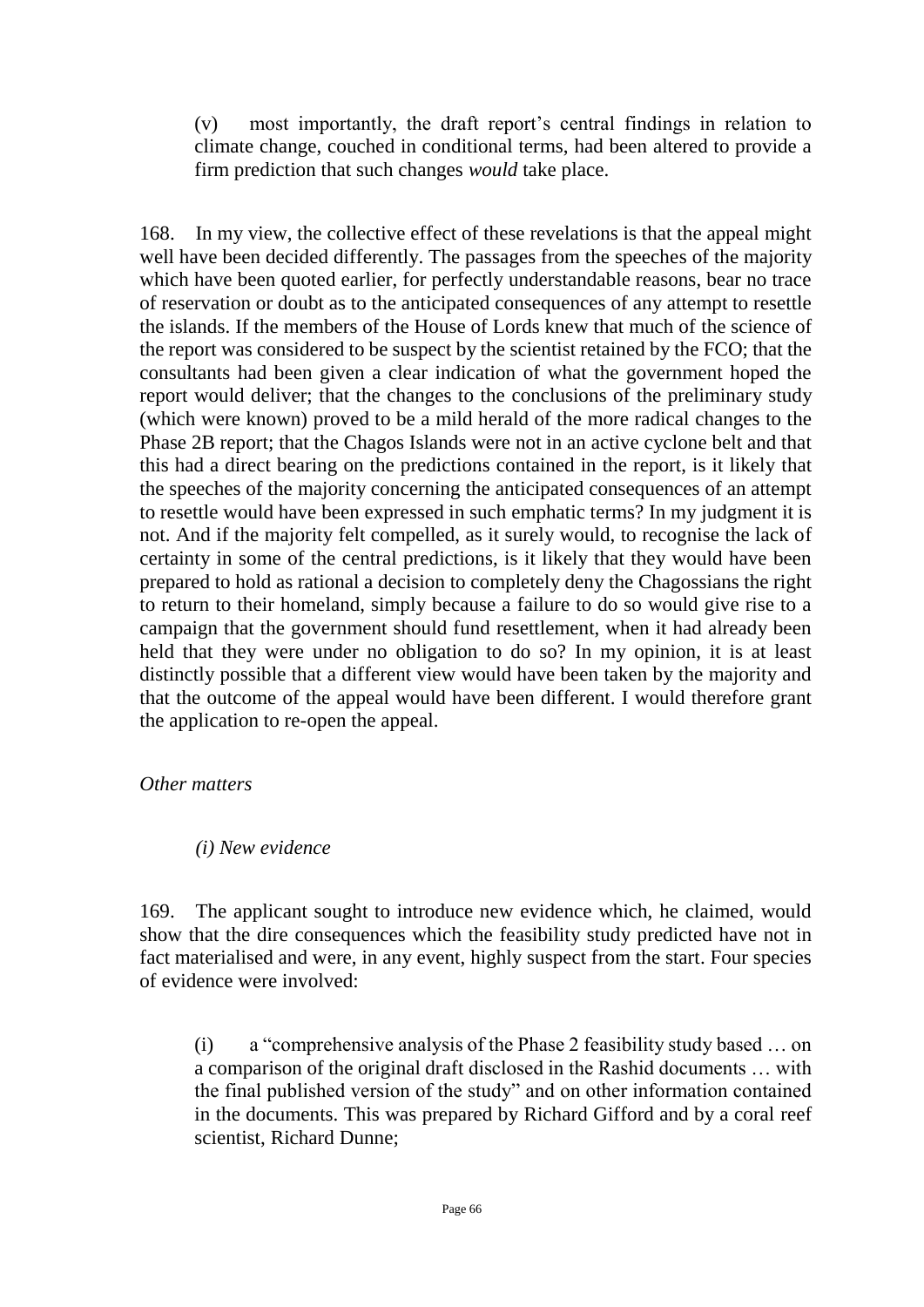(v) most importantly, the draft report's central findings in relation to climate change, couched in conditional terms, had been altered to provide a firm prediction that such changes *would* take place.

168. In my view, the collective effect of these revelations is that the appeal might well have been decided differently. The passages from the speeches of the majority which have been quoted earlier, for perfectly understandable reasons, bear no trace of reservation or doubt as to the anticipated consequences of any attempt to resettle the islands. If the members of the House of Lords knew that much of the science of the report was considered to be suspect by the scientist retained by the FCO; that the consultants had been given a clear indication of what the government hoped the report would deliver; that the changes to the conclusions of the preliminary study (which were known) proved to be a mild herald of the more radical changes to the Phase 2B report; that the Chagos Islands were not in an active cyclone belt and that this had a direct bearing on the predictions contained in the report, is it likely that the speeches of the majority concerning the anticipated consequences of an attempt to resettle would have been expressed in such emphatic terms? In my judgment it is not. And if the majority felt compelled, as it surely would, to recognise the lack of certainty in some of the central predictions, is it likely that they would have been prepared to hold as rational a decision to completely deny the Chagossians the right to return to their homeland, simply because a failure to do so would give rise to a campaign that the government should fund resettlement, when it had already been held that they were under no obligation to do so? In my opinion, it is at least distinctly possible that a different view would have been taken by the majority and that the outcome of the appeal would have been different. I would therefore grant the application to re-open the appeal.

#### *Other matters*

#### *(i) New evidence*

169. The applicant sought to introduce new evidence which, he claimed, would show that the dire consequences which the feasibility study predicted have not in fact materialised and were, in any event, highly suspect from the start. Four species of evidence were involved:

(i) a "comprehensive analysis of the Phase 2 feasibility study based … on a comparison of the original draft disclosed in the Rashid documents … with the final published version of the study" and on other information contained in the documents. This was prepared by Richard Gifford and by a coral reef scientist, Richard Dunne;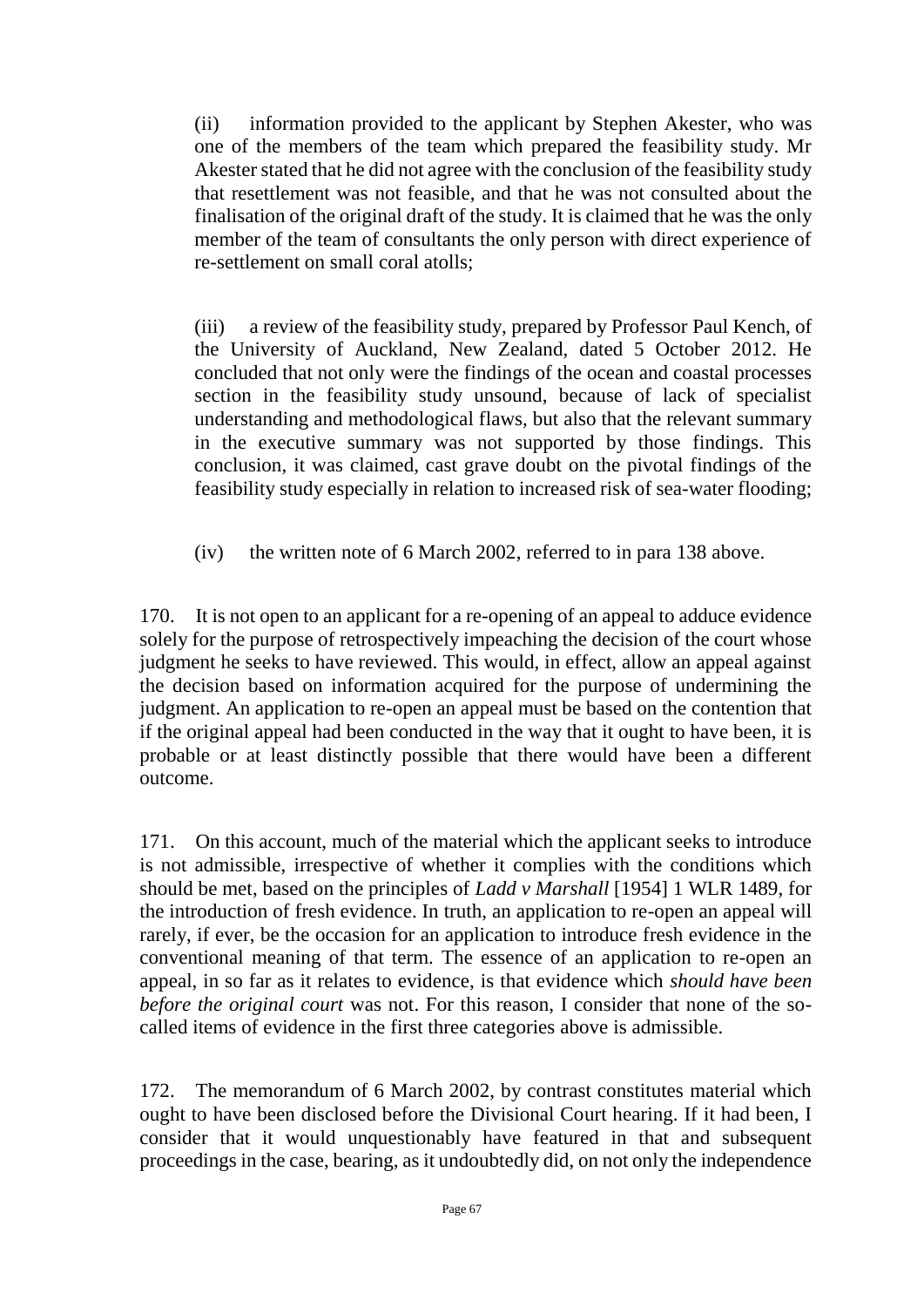(ii) information provided to the applicant by Stephen Akester, who was one of the members of the team which prepared the feasibility study. Mr Akester stated that he did not agree with the conclusion of the feasibility study that resettlement was not feasible, and that he was not consulted about the finalisation of the original draft of the study. It is claimed that he was the only member of the team of consultants the only person with direct experience of re-settlement on small coral atolls;

(iii) a review of the feasibility study, prepared by Professor Paul Kench, of the University of Auckland, New Zealand, dated 5 October 2012. He concluded that not only were the findings of the ocean and coastal processes section in the feasibility study unsound, because of lack of specialist understanding and methodological flaws, but also that the relevant summary in the executive summary was not supported by those findings. This conclusion, it was claimed, cast grave doubt on the pivotal findings of the feasibility study especially in relation to increased risk of sea-water flooding;

(iv) the written note of 6 March 2002, referred to in para 138 above.

170. It is not open to an applicant for a re-opening of an appeal to adduce evidence solely for the purpose of retrospectively impeaching the decision of the court whose judgment he seeks to have reviewed. This would, in effect, allow an appeal against the decision based on information acquired for the purpose of undermining the judgment. An application to re-open an appeal must be based on the contention that if the original appeal had been conducted in the way that it ought to have been, it is probable or at least distinctly possible that there would have been a different outcome.

171. On this account, much of the material which the applicant seeks to introduce is not admissible, irrespective of whether it complies with the conditions which should be met, based on the principles of *Ladd v Marshall* [1954] 1 WLR 1489, for the introduction of fresh evidence. In truth, an application to re-open an appeal will rarely, if ever, be the occasion for an application to introduce fresh evidence in the conventional meaning of that term. The essence of an application to re-open an appeal, in so far as it relates to evidence, is that evidence which *should have been before the original court* was not. For this reason, I consider that none of the socalled items of evidence in the first three categories above is admissible.

172. The memorandum of 6 March 2002, by contrast constitutes material which ought to have been disclosed before the Divisional Court hearing. If it had been, I consider that it would unquestionably have featured in that and subsequent proceedings in the case, bearing, as it undoubtedly did, on not only the independence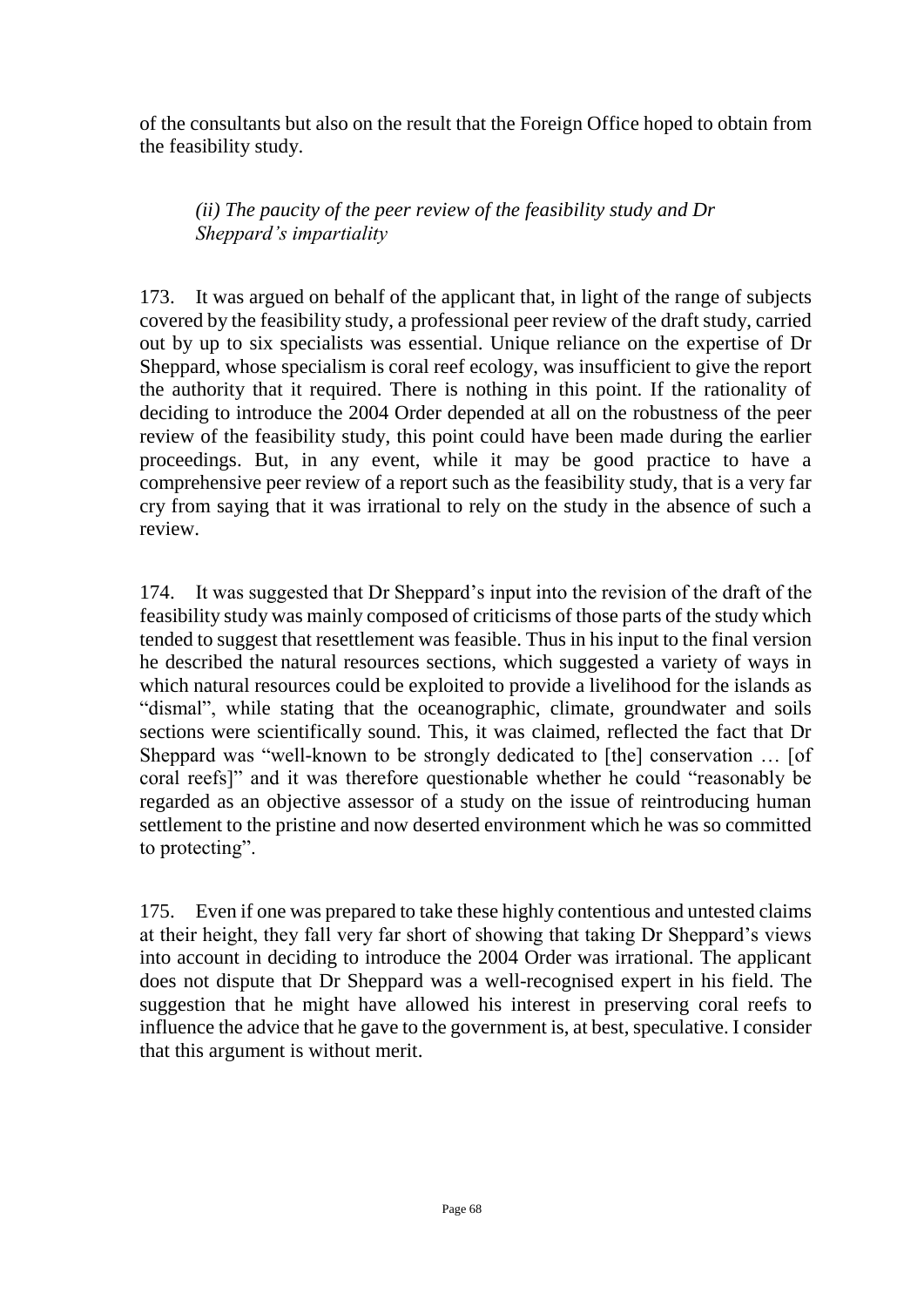of the consultants but also on the result that the Foreign Office hoped to obtain from the feasibility study.

*(ii) The paucity of the peer review of the feasibility study and Dr Sheppard's impartiality*

173. It was argued on behalf of the applicant that, in light of the range of subjects covered by the feasibility study, a professional peer review of the draft study, carried out by up to six specialists was essential. Unique reliance on the expertise of Dr Sheppard, whose specialism is coral reef ecology, was insufficient to give the report the authority that it required. There is nothing in this point. If the rationality of deciding to introduce the 2004 Order depended at all on the robustness of the peer review of the feasibility study, this point could have been made during the earlier proceedings. But, in any event, while it may be good practice to have a comprehensive peer review of a report such as the feasibility study, that is a very far cry from saying that it was irrational to rely on the study in the absence of such a review.

174. It was suggested that Dr Sheppard's input into the revision of the draft of the feasibility study was mainly composed of criticisms of those parts of the study which tended to suggest that resettlement was feasible. Thus in his input to the final version he described the natural resources sections, which suggested a variety of ways in which natural resources could be exploited to provide a livelihood for the islands as "dismal", while stating that the oceanographic, climate, groundwater and soils sections were scientifically sound. This, it was claimed, reflected the fact that Dr Sheppard was "well-known to be strongly dedicated to [the] conservation … [of coral reefs]" and it was therefore questionable whether he could "reasonably be regarded as an objective assessor of a study on the issue of reintroducing human settlement to the pristine and now deserted environment which he was so committed to protecting".

175. Even if one was prepared to take these highly contentious and untested claims at their height, they fall very far short of showing that taking Dr Sheppard's views into account in deciding to introduce the 2004 Order was irrational. The applicant does not dispute that Dr Sheppard was a well-recognised expert in his field. The suggestion that he might have allowed his interest in preserving coral reefs to influence the advice that he gave to the government is, at best, speculative. I consider that this argument is without merit.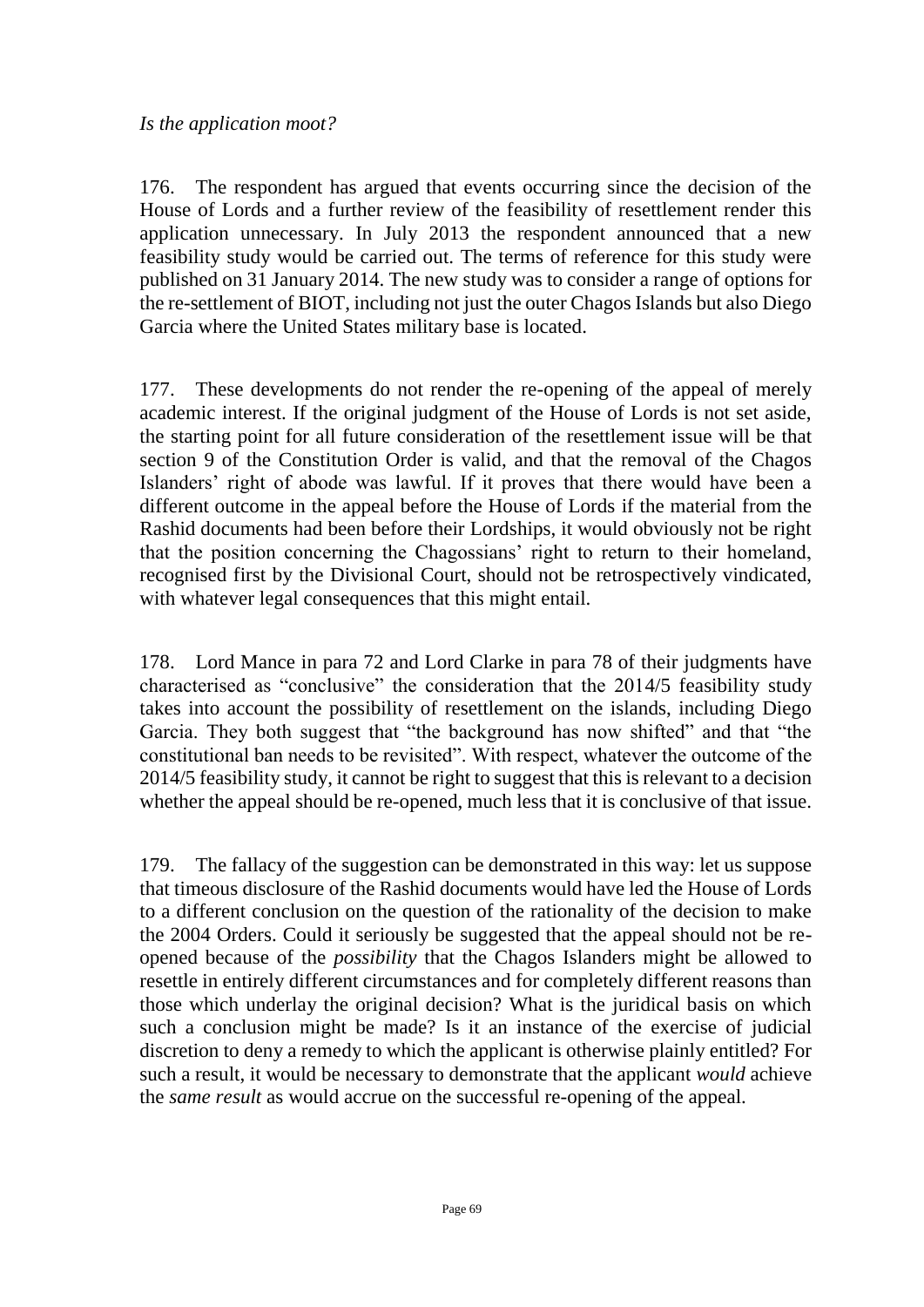176. The respondent has argued that events occurring since the decision of the House of Lords and a further review of the feasibility of resettlement render this application unnecessary. In July 2013 the respondent announced that a new feasibility study would be carried out. The terms of reference for this study were published on 31 January 2014. The new study was to consider a range of options for the re-settlement of BIOT, including not just the outer Chagos Islands but also Diego Garcia where the United States military base is located.

177. These developments do not render the re-opening of the appeal of merely academic interest. If the original judgment of the House of Lords is not set aside, the starting point for all future consideration of the resettlement issue will be that section 9 of the Constitution Order is valid, and that the removal of the Chagos Islanders' right of abode was lawful. If it proves that there would have been a different outcome in the appeal before the House of Lords if the material from the Rashid documents had been before their Lordships, it would obviously not be right that the position concerning the Chagossians' right to return to their homeland, recognised first by the Divisional Court, should not be retrospectively vindicated, with whatever legal consequences that this might entail.

178. Lord Mance in para 72 and Lord Clarke in para 78 of their judgments have characterised as "conclusive" the consideration that the 2014/5 feasibility study takes into account the possibility of resettlement on the islands, including Diego Garcia. They both suggest that "the background has now shifted" and that "the constitutional ban needs to be revisited". With respect, whatever the outcome of the 2014/5 feasibility study, it cannot be right to suggest that this is relevant to a decision whether the appeal should be re-opened, much less that it is conclusive of that issue.

179. The fallacy of the suggestion can be demonstrated in this way: let us suppose that timeous disclosure of the Rashid documents would have led the House of Lords to a different conclusion on the question of the rationality of the decision to make the 2004 Orders. Could it seriously be suggested that the appeal should not be reopened because of the *possibility* that the Chagos Islanders might be allowed to resettle in entirely different circumstances and for completely different reasons than those which underlay the original decision? What is the juridical basis on which such a conclusion might be made? Is it an instance of the exercise of judicial discretion to deny a remedy to which the applicant is otherwise plainly entitled? For such a result, it would be necessary to demonstrate that the applicant *would* achieve the *same result* as would accrue on the successful re-opening of the appeal.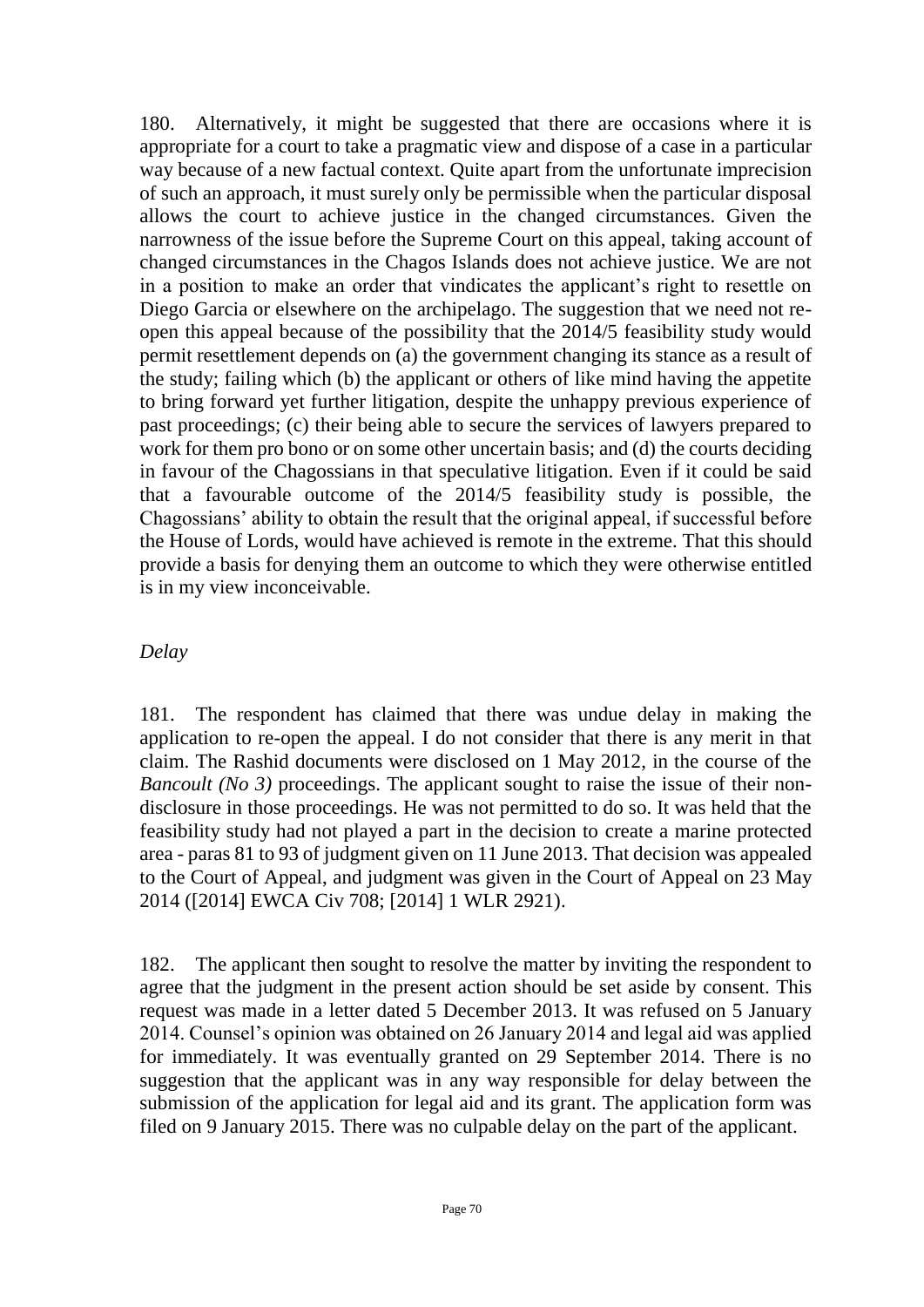180. Alternatively, it might be suggested that there are occasions where it is appropriate for a court to take a pragmatic view and dispose of a case in a particular way because of a new factual context. Quite apart from the unfortunate imprecision of such an approach, it must surely only be permissible when the particular disposal allows the court to achieve justice in the changed circumstances. Given the narrowness of the issue before the Supreme Court on this appeal, taking account of changed circumstances in the Chagos Islands does not achieve justice. We are not in a position to make an order that vindicates the applicant's right to resettle on Diego Garcia or elsewhere on the archipelago. The suggestion that we need not reopen this appeal because of the possibility that the 2014/5 feasibility study would permit resettlement depends on (a) the government changing its stance as a result of the study; failing which (b) the applicant or others of like mind having the appetite to bring forward yet further litigation, despite the unhappy previous experience of past proceedings; (c) their being able to secure the services of lawyers prepared to work for them pro bono or on some other uncertain basis; and (d) the courts deciding in favour of the Chagossians in that speculative litigation. Even if it could be said that a favourable outcome of the 2014/5 feasibility study is possible, the Chagossians' ability to obtain the result that the original appeal, if successful before the House of Lords, would have achieved is remote in the extreme. That this should provide a basis for denying them an outcome to which they were otherwise entitled is in my view inconceivable.

## *Delay*

181. The respondent has claimed that there was undue delay in making the application to re-open the appeal. I do not consider that there is any merit in that claim. The Rashid documents were disclosed on 1 May 2012, in the course of the *Bancoult (No 3)* proceedings. The applicant sought to raise the issue of their nondisclosure in those proceedings. He was not permitted to do so. It was held that the feasibility study had not played a part in the decision to create a marine protected area - paras 81 to 93 of judgment given on 11 June 2013. That decision was appealed to the Court of Appeal, and judgment was given in the Court of Appeal on 23 May 2014 ([2014] EWCA Civ 708; [2014] 1 WLR 2921).

182. The applicant then sought to resolve the matter by inviting the respondent to agree that the judgment in the present action should be set aside by consent. This request was made in a letter dated 5 December 2013. It was refused on 5 January 2014. Counsel's opinion was obtained on 26 January 2014 and legal aid was applied for immediately. It was eventually granted on 29 September 2014. There is no suggestion that the applicant was in any way responsible for delay between the submission of the application for legal aid and its grant. The application form was filed on 9 January 2015. There was no culpable delay on the part of the applicant.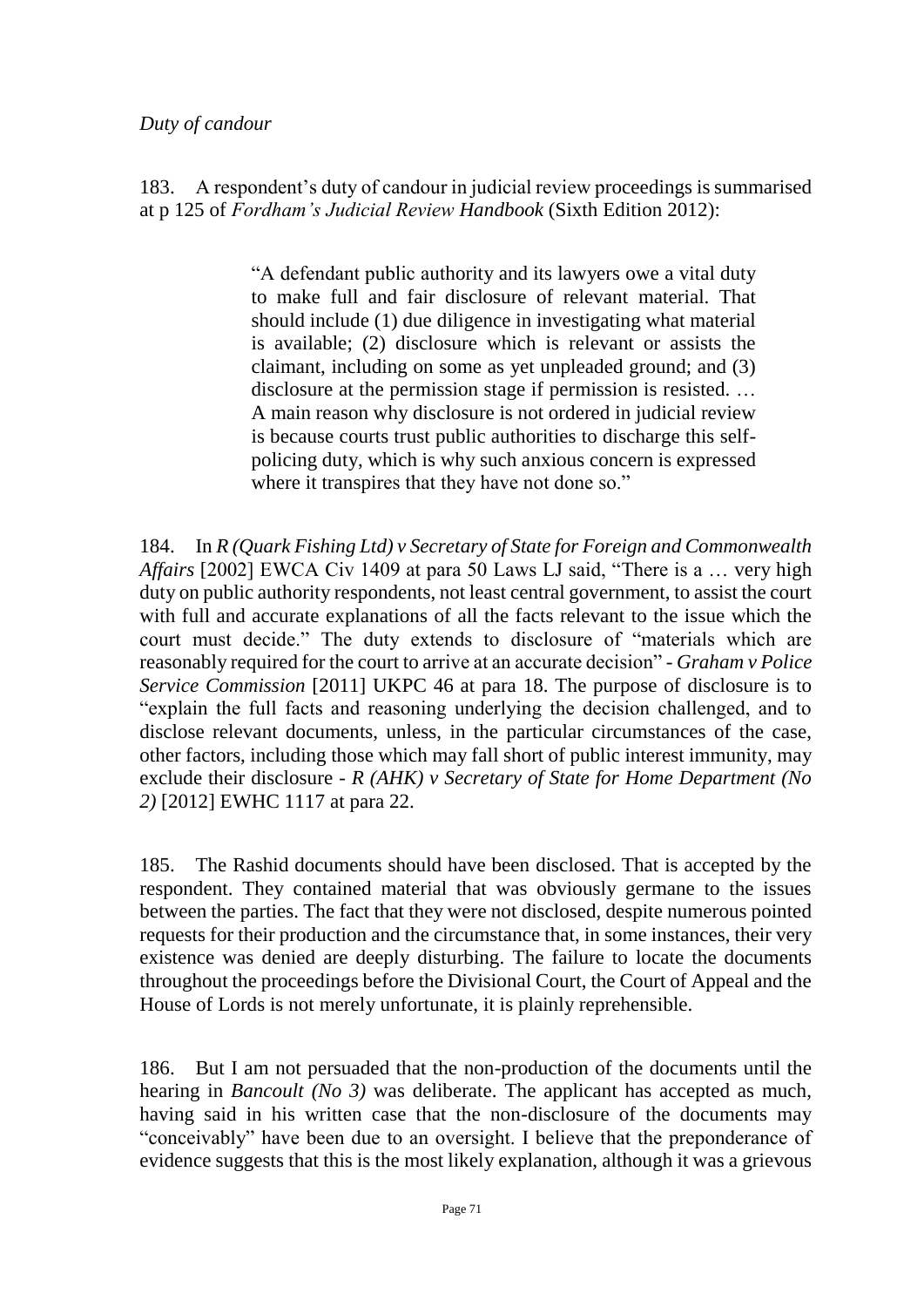#### *Duty of candour*

183. A respondent's duty of candour in judicial review proceedings is summarised at p 125 of *Fordham's Judicial Review Handbook* (Sixth Edition 2012):

> "A defendant public authority and its lawyers owe a vital duty to make full and fair disclosure of relevant material. That should include (1) due diligence in investigating what material is available; (2) disclosure which is relevant or assists the claimant, including on some as yet unpleaded ground; and (3) disclosure at the permission stage if permission is resisted. … A main reason why disclosure is not ordered in judicial review is because courts trust public authorities to discharge this selfpolicing duty, which is why such anxious concern is expressed where it transpires that they have not done so."

184. In *R (Quark Fishing Ltd) v Secretary of State for Foreign and Commonwealth Affairs* [2002] EWCA Civ 1409 at para 50 Laws LJ said, "There is a … very high duty on public authority respondents, not least central government, to assist the court with full and accurate explanations of all the facts relevant to the issue which the court must decide." The duty extends to disclosure of "materials which are reasonably required for the court to arrive at an accurate decision" - *Graham v Police Service Commission* [2011] UKPC 46 at para 18. The purpose of disclosure is to "explain the full facts and reasoning underlying the decision challenged, and to disclose relevant documents, unless, in the particular circumstances of the case, other factors, including those which may fall short of public interest immunity, may exclude their disclosure - *R (AHK) v Secretary of State for Home Department (No 2)* [2012] EWHC 1117 at para 22.

185. The Rashid documents should have been disclosed. That is accepted by the respondent. They contained material that was obviously germane to the issues between the parties. The fact that they were not disclosed, despite numerous pointed requests for their production and the circumstance that, in some instances, their very existence was denied are deeply disturbing. The failure to locate the documents throughout the proceedings before the Divisional Court, the Court of Appeal and the House of Lords is not merely unfortunate, it is plainly reprehensible.

186. But I am not persuaded that the non-production of the documents until the hearing in *Bancoult (No 3)* was deliberate. The applicant has accepted as much, having said in his written case that the non-disclosure of the documents may "conceivably" have been due to an oversight. I believe that the preponderance of evidence suggests that this is the most likely explanation, although it was a grievous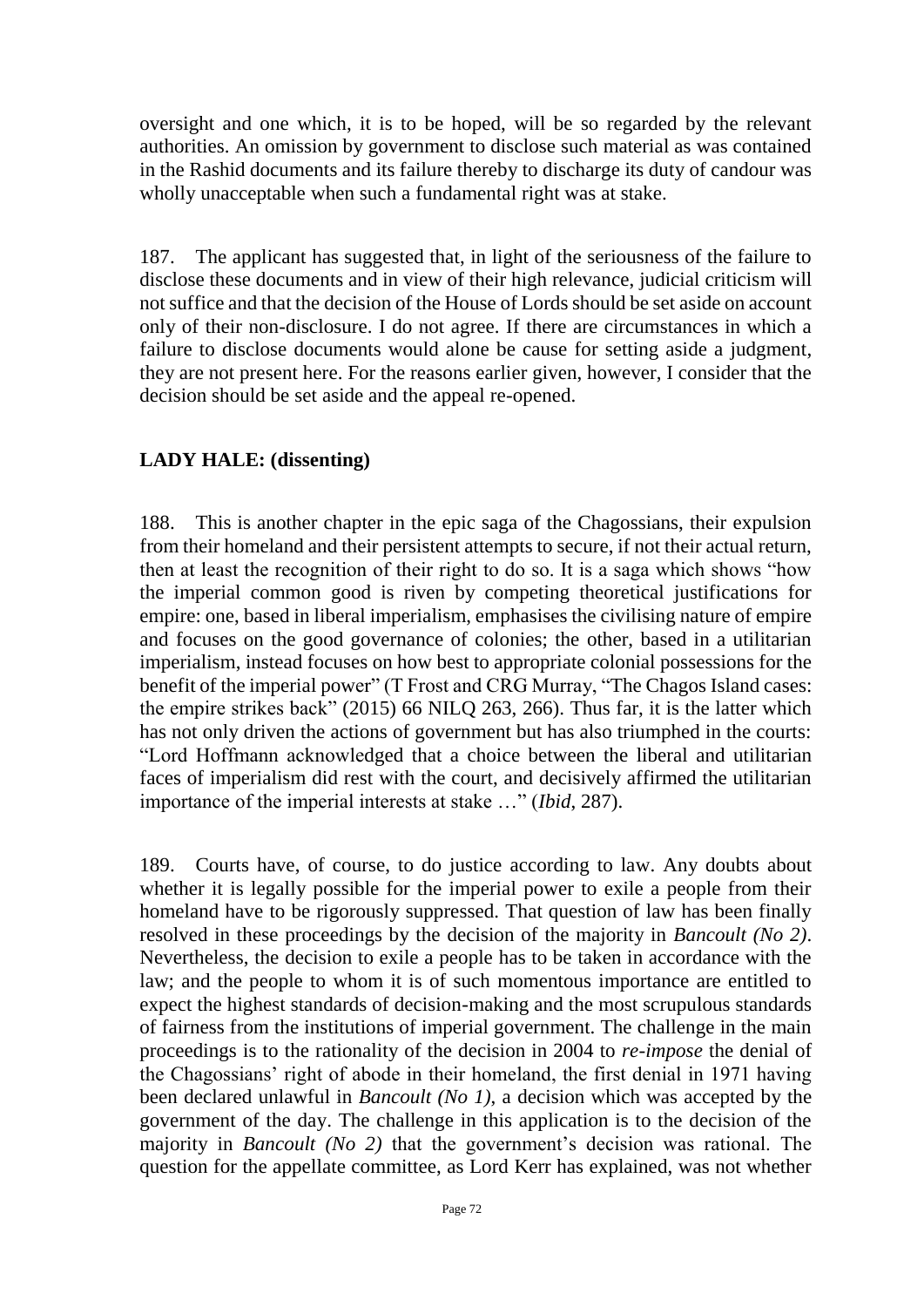oversight and one which, it is to be hoped, will be so regarded by the relevant authorities. An omission by government to disclose such material as was contained in the Rashid documents and its failure thereby to discharge its duty of candour was wholly unacceptable when such a fundamental right was at stake.

187. The applicant has suggested that, in light of the seriousness of the failure to disclose these documents and in view of their high relevance, judicial criticism will not suffice and that the decision of the House of Lords should be set aside on account only of their non-disclosure. I do not agree. If there are circumstances in which a failure to disclose documents would alone be cause for setting aside a judgment, they are not present here. For the reasons earlier given, however, I consider that the decision should be set aside and the appeal re-opened.

## **LADY HALE: (dissenting)**

188. This is another chapter in the epic saga of the Chagossians, their expulsion from their homeland and their persistent attempts to secure, if not their actual return, then at least the recognition of their right to do so. It is a saga which shows "how the imperial common good is riven by competing theoretical justifications for empire: one, based in liberal imperialism, emphasises the civilising nature of empire and focuses on the good governance of colonies; the other, based in a utilitarian imperialism, instead focuses on how best to appropriate colonial possessions for the benefit of the imperial power" (T Frost and CRG Murray, "The Chagos Island cases: the empire strikes back" (2015) 66 NILQ 263, 266). Thus far, it is the latter which has not only driven the actions of government but has also triumphed in the courts: "Lord Hoffmann acknowledged that a choice between the liberal and utilitarian faces of imperialism did rest with the court, and decisively affirmed the utilitarian importance of the imperial interests at stake …" (*Ibid*, 287).

189. Courts have, of course, to do justice according to law. Any doubts about whether it is legally possible for the imperial power to exile a people from their homeland have to be rigorously suppressed. That question of law has been finally resolved in these proceedings by the decision of the majority in *Bancoult (No 2)*. Nevertheless, the decision to exile a people has to be taken in accordance with the law; and the people to whom it is of such momentous importance are entitled to expect the highest standards of decision-making and the most scrupulous standards of fairness from the institutions of imperial government. The challenge in the main proceedings is to the rationality of the decision in 2004 to *re-impose* the denial of the Chagossians' right of abode in their homeland, the first denial in 1971 having been declared unlawful in *Bancoult (No 1)*, a decision which was accepted by the government of the day. The challenge in this application is to the decision of the majority in *Bancoult (No 2)* that the government's decision was rational. The question for the appellate committee, as Lord Kerr has explained, was not whether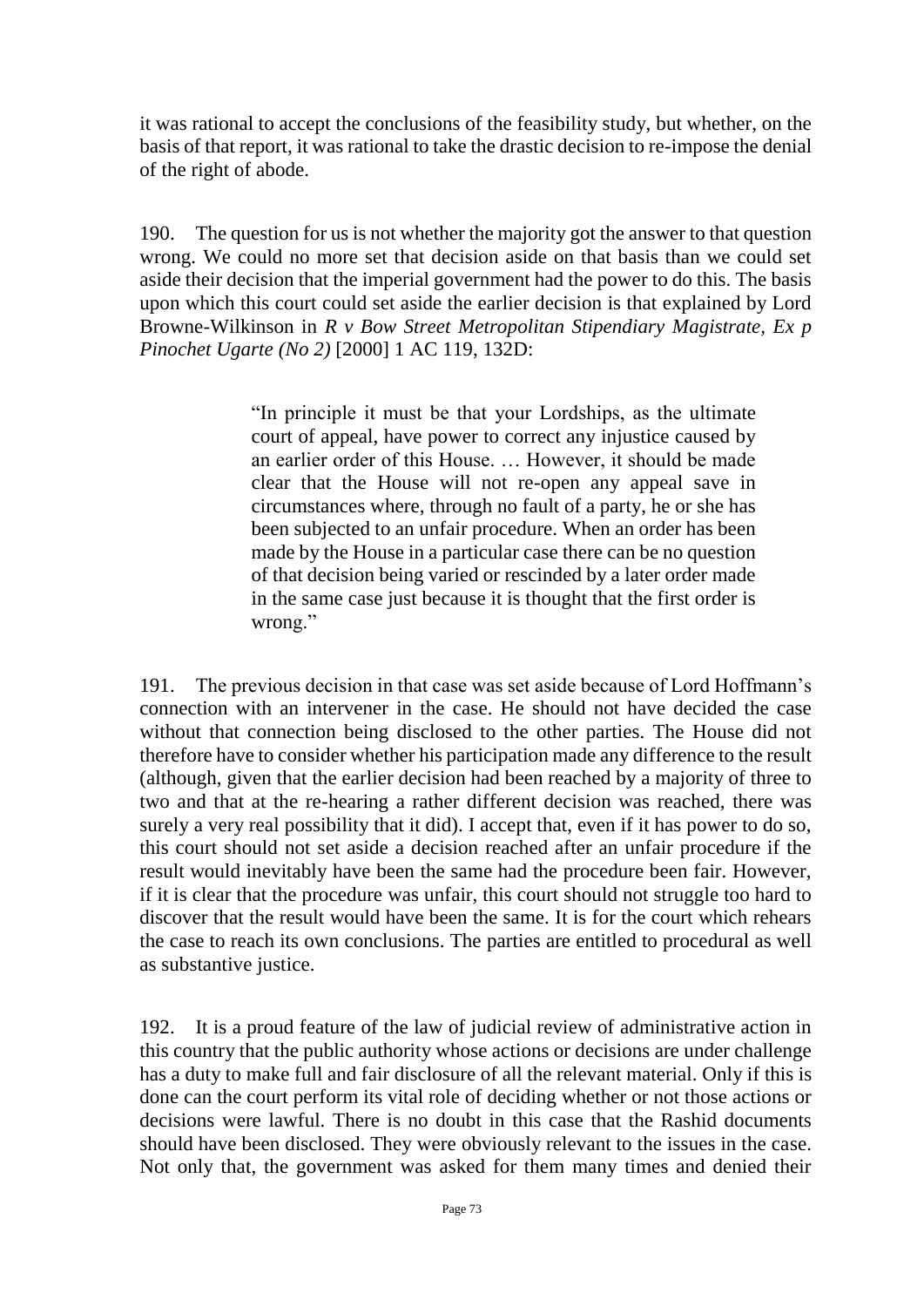it was rational to accept the conclusions of the feasibility study, but whether, on the basis of that report, it was rational to take the drastic decision to re-impose the denial of the right of abode.

190. The question for us is not whether the majority got the answer to that question wrong. We could no more set that decision aside on that basis than we could set aside their decision that the imperial government had the power to do this. The basis upon which this court could set aside the earlier decision is that explained by Lord Browne-Wilkinson in *R v Bow Street Metropolitan Stipendiary Magistrate, Ex p Pinochet Ugarte (No 2)* [2000] 1 AC 119, 132D:

> "In principle it must be that your Lordships, as the ultimate court of appeal, have power to correct any injustice caused by an earlier order of this House. … However, it should be made clear that the House will not re-open any appeal save in circumstances where, through no fault of a party, he or she has been subjected to an unfair procedure. When an order has been made by the House in a particular case there can be no question of that decision being varied or rescinded by a later order made in the same case just because it is thought that the first order is wrong."

191. The previous decision in that case was set aside because of Lord Hoffmann's connection with an intervener in the case. He should not have decided the case without that connection being disclosed to the other parties. The House did not therefore have to consider whether his participation made any difference to the result (although, given that the earlier decision had been reached by a majority of three to two and that at the re-hearing a rather different decision was reached, there was surely a very real possibility that it did). I accept that, even if it has power to do so, this court should not set aside a decision reached after an unfair procedure if the result would inevitably have been the same had the procedure been fair. However, if it is clear that the procedure was unfair, this court should not struggle too hard to discover that the result would have been the same. It is for the court which rehears the case to reach its own conclusions. The parties are entitled to procedural as well as substantive justice.

192. It is a proud feature of the law of judicial review of administrative action in this country that the public authority whose actions or decisions are under challenge has a duty to make full and fair disclosure of all the relevant material. Only if this is done can the court perform its vital role of deciding whether or not those actions or decisions were lawful. There is no doubt in this case that the Rashid documents should have been disclosed. They were obviously relevant to the issues in the case. Not only that, the government was asked for them many times and denied their